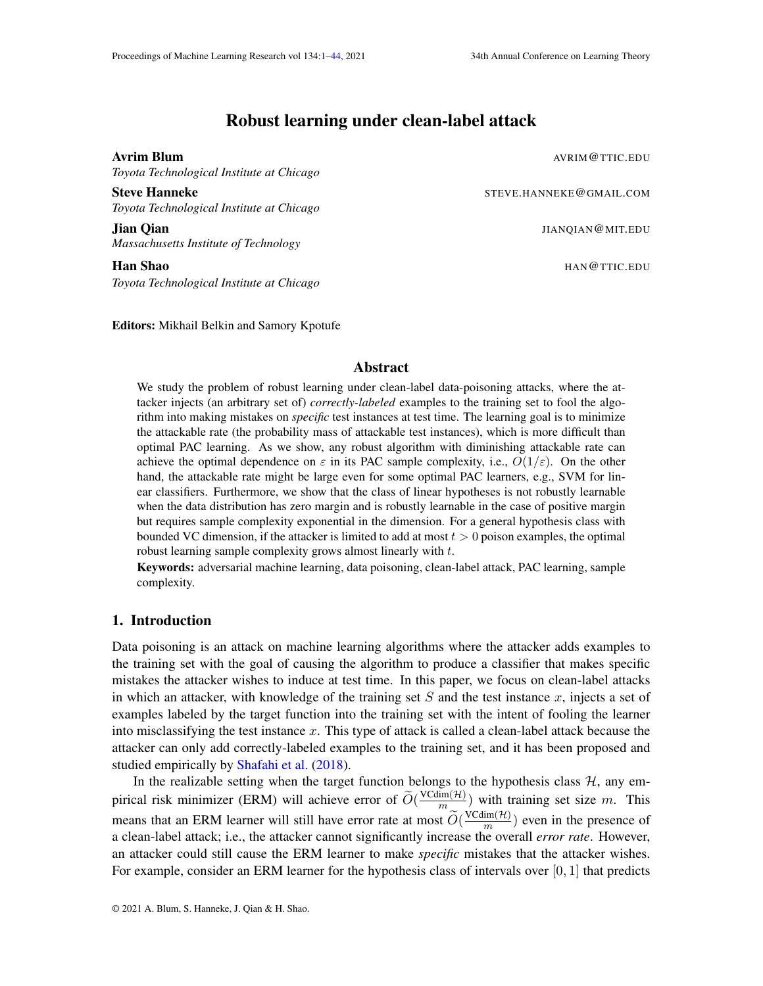# Robust learning under clean-label attack

*Toyota Technological Institute at Chicago*

Steve Hanneke Steve Hanneke STEVE.HANNEKE@GMAIL.COM *Toyota Technological Institute at Chicago*

**Jian Oian** JIANOIAN @MIT.EDU *Massachusetts Institute of Technology*

**Han Shao** HAN HANG TIC.EDU *Toyota Technological Institute at Chicago*

Editors: Mikhail Belkin and Samory Kpotufe

# Abstract

We study the problem of robust learning under clean-label data-poisoning attacks, where the attacker injects (an arbitrary set of) *correctly-labeled* examples to the training set to fool the algorithm into making mistakes on *specific* test instances at test time. The learning goal is to minimize the attackable rate (the probability mass of attackable test instances), which is more difficult than optimal PAC learning. As we show, any robust algorithm with diminishing attackable rate can achieve the optimal dependence on  $\varepsilon$  in its PAC sample complexity, i.e.,  $O(1/\varepsilon)$ . On the other hand, the attackable rate might be large even for some optimal PAC learners, e.g., SVM for linear classifiers. Furthermore, we show that the class of linear hypotheses is not robustly learnable when the data distribution has zero margin and is robustly learnable in the case of positive margin but requires sample complexity exponential in the dimension. For a general hypothesis class with bounded VC dimension, if the attacker is limited to add at most  $t > 0$  poison examples, the optimal robust learning sample complexity grows almost linearly with t.

Keywords: adversarial machine learning, data poisoning, clean-label attack, PAC learning, sample complexity.

# 1. Introduction

Data poisoning is an attack on machine learning algorithms where the attacker adds examples to the training set with the goal of causing the algorithm to produce a classifier that makes specific mistakes the attacker wishes to induce at test time. In this paper, we focus on clean-label attacks in which an attacker, with knowledge of the training set  $S$  and the test instance  $x$ , injects a set of examples labeled by the target function into the training set with the intent of fooling the learner into misclassifying the test instance  $x$ . This type of attack is called a clean-label attack because the attacker can only add correctly-labeled examples to the training set, and it has been proposed and studied empirically by [Shafahi et al.](#page-16-0) [\(2018\)](#page-16-0).

In the realizable setting when the target function belongs to the hypothesis class  $H$ , any empirical risk minimizer (ERM) will achieve error of  $\widetilde{O}(\frac{VCdim(\mathcal{H})}{m_{\infty}})$  $\frac{dm(H)}{m}$ ) with training set size m. This means that an ERM learner will still have error rate at most  $\widetilde{O}(\frac{\text{VCdim}(\mathcal{H})}{m})$  $\frac{dm(H)}{m}$ ) even in the presence of a clean-label attack; i.e., the attacker cannot significantly increase the overall *error rate*. However, an attacker could still cause the ERM learner to make *specific* mistakes that the attacker wishes. For example, consider an ERM learner for the hypothesis class of intervals over  $[0, 1]$  that predicts

<span id="page-0-0"></span>**Avrim Blum And Avrim Blum** Avrim **Blum** Avrim **Blum** Avrim **Blum** Avrim **Avrim Blum**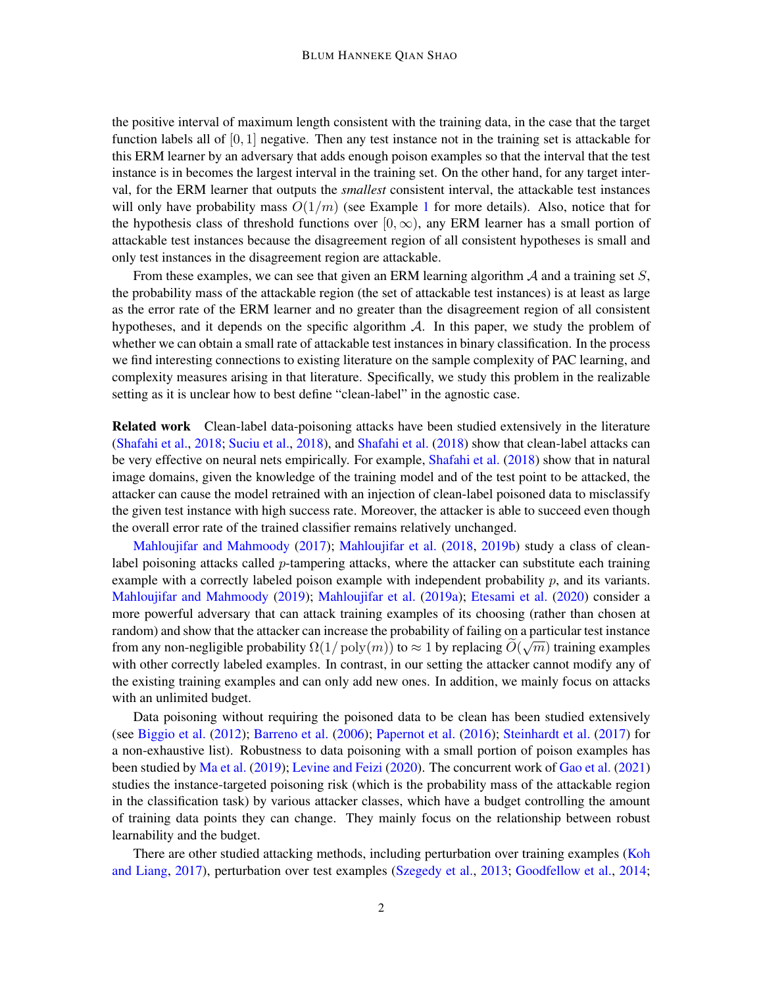the positive interval of maximum length consistent with the training data, in the case that the target function labels all of  $[0, 1]$  negative. Then any test instance not in the training set is attackable for this ERM learner by an adversary that adds enough poison examples so that the interval that the test instance is in becomes the largest interval in the training set. On the other hand, for any target interval, for the ERM learner that outputs the *smallest* consistent interval, the attackable test instances will only have probability mass  $O(1/m)$  $O(1/m)$  $O(1/m)$  (see Example 1 for more details). Also, notice that for the hypothesis class of threshold functions over  $[0, \infty)$ , any ERM learner has a small portion of attackable test instances because the disagreement region of all consistent hypotheses is small and only test instances in the disagreement region are attackable.

From these examples, we can see that given an ERM learning algorithm  $A$  and a training set  $S$ , the probability mass of the attackable region (the set of attackable test instances) is at least as large as the error rate of the ERM learner and no greater than the disagreement region of all consistent hypotheses, and it depends on the specific algorithm  $A$ . In this paper, we study the problem of whether we can obtain a small rate of attackable test instances in binary classification. In the process we find interesting connections to existing literature on the sample complexity of PAC learning, and complexity measures arising in that literature. Specifically, we study this problem in the realizable setting as it is unclear how to best define "clean-label" in the agnostic case.

Related work Clean-label data-poisoning attacks have been studied extensively in the literature [\(Shafahi et al.,](#page-16-0) [2018;](#page-16-0) [Suciu et al.,](#page-16-1) [2018\)](#page-16-1), and [Shafahi et al.](#page-16-0) [\(2018\)](#page-16-0) show that clean-label attacks can be very effective on neural nets empirically. For example, [Shafahi et al.](#page-16-0) [\(2018\)](#page-16-0) show that in natural image domains, given the knowledge of the training model and of the test point to be attacked, the attacker can cause the model retrained with an injection of clean-label poisoned data to misclassify the given test instance with high success rate. Moreover, the attacker is able to succeed even though the overall error rate of the trained classifier remains relatively unchanged.

[Mahloujifar and Mahmoody](#page-15-0) [\(2017\)](#page-15-0); [Mahloujifar et al.](#page-15-1) [\(2018,](#page-15-1) [2019b\)](#page-15-2) study a class of cleanlabel poisoning attacks called  $p$ -tampering attacks, where the attacker can substitute each training example with a correctly labeled poison example with independent probability  $p$ , and its variants. [Mahloujifar and Mahmoody](#page-15-3) [\(2019\)](#page-15-3); [Mahloujifar et al.](#page-15-4) [\(2019a\)](#page-15-4); [Etesami et al.](#page-14-0) [\(2020\)](#page-14-0) consider a more powerful adversary that can attack training examples of its choosing (rather than chosen at random) and show that the attacker can increase the probability of failing on a particular test instance from any non-negligible probability  $\Omega(1/\text{poly}(m))$  to  $\approx 1$  by replacing  $O(\sqrt{m})$  training examples with other correctly labeled examples. In contrast, in our setting the attacker cannot modify any of the existing training examples and can only add new ones. In addition, we mainly focus on attacks with an unlimited budget.

Data poisoning without requiring the poisoned data to be clean has been studied extensively (see [Biggio et al.](#page-14-1) [\(2012\)](#page-14-1); [Barreno et al.](#page-14-2) [\(2006\)](#page-14-2); [Papernot et al.](#page-15-5) [\(2016\)](#page-15-5); [Steinhardt et al.](#page-16-2) [\(2017\)](#page-16-2) for a non-exhaustive list). Robustness to data poisoning with a small portion of poison examples has been studied by [Ma et al.](#page-15-6) [\(2019\)](#page-15-6); [Levine and Feizi](#page-15-7) [\(2020\)](#page-15-7). The concurrent work of [Gao et al.](#page-14-3) [\(2021\)](#page-14-3) studies the instance-targeted poisoning risk (which is the probability mass of the attackable region in the classification task) by various attacker classes, which have a budget controlling the amount of training data points they can change. They mainly focus on the relationship between robust learnability and the budget.

There are other studied attacking methods, including perturbation over training examples [\(Koh](#page-15-8) [and Liang,](#page-15-8) [2017\)](#page-15-8), perturbation over test examples [\(Szegedy et al.,](#page-16-3) [2013;](#page-16-3) [Goodfellow et al.,](#page-14-4) [2014;](#page-14-4)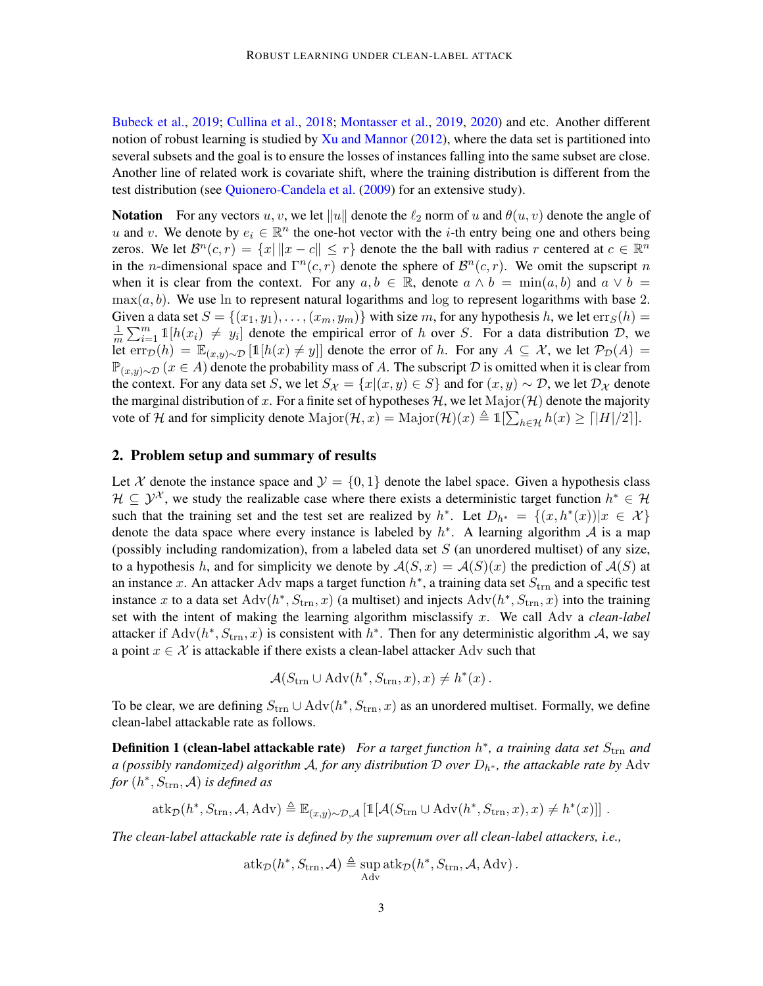[Bubeck et al.,](#page-14-5) [2019;](#page-14-5) [Cullina et al.,](#page-14-6) [2018;](#page-14-6) [Montasser et al.,](#page-15-9) [2019,](#page-15-9) [2020\)](#page-15-10) and etc. Another different notion of robust learning is studied by [Xu and Mannor](#page-16-4) [\(2012\)](#page-16-4), where the data set is partitioned into several subsets and the goal is to ensure the losses of instances falling into the same subset are close. Another line of related work is covariate shift, where the training distribution is different from the test distribution (see [Quionero-Candela et al.](#page-16-5) [\(2009\)](#page-16-5) for an extensive study).

**Notation** For any vectors u, v, we let  $||u||$  denote the  $\ell_2$  norm of u and  $\theta(u, v)$  denote the angle of u and v. We denote by  $e_i \in \mathbb{R}^n$  the one-hot vector with the *i*-th entry being one and others being zeros. We let  $\mathcal{B}^n(c,r) = \{x \mid ||x-c|| \leq r\}$  denote the the ball with radius r centered at  $c \in \mathbb{R}^n$ in the *n*-dimensional space and  $\Gamma^{n}(c, r)$  denote the sphere of  $\mathcal{B}^{n}(c, r)$ . We omit the supscript *n* when it is clear from the context. For any  $a, b \in \mathbb{R}$ , denote  $a \wedge b = \min(a, b)$  and  $a \vee b =$  $\max(a, b)$ . We use ln to represent natural logarithms and log to represent logarithms with base 2. Given a data set  $S = \{(x_1, y_1), \ldots, (x_m, y_m)\}\$  with size m, for any hypothesis h, we let  $\text{err}_S(h) =$ 1  $\frac{1}{m}\sum_{i=1}^m 1[h(x_i) \neq y_i]$  denote the empirical error of h over S. For a data distribution  $\mathcal{D}$ , we let  $\text{err}_{\mathcal{D}}(h) = \mathbb{E}_{(x,y)\sim\mathcal{D}}[\mathbb{1}[h(x) \neq y]]$  denote the error of h. For any  $A \subseteq \mathcal{X}$ , we let  $\mathcal{P}_{\mathcal{D}}(A) =$  $\mathbb{P}_{(x,y)\sim\mathcal{D}}(x \in A)$  denote the probability mass of A. The subscript  $\mathcal D$  is omitted when it is clear from the context. For any data set S, we let  $S_{\mathcal{X}} = \{x | (x, y) \in S\}$  and for  $(x, y) \sim \mathcal{D}$ , we let  $\mathcal{D}_{\mathcal{X}}$  denote the marginal distribution of x. For a finite set of hypotheses H, we let  $\text{Major}(\mathcal{H})$  denote the majority vote of H and for simplicity denote  $\text{Major}(\mathcal{H}, x) = \text{Major}(\mathcal{H})(x) \triangleq \mathbb{1}[\sum_{h \in \mathcal{H}} h(x) \ge ||H|/2]].$ 

## 2. Problem setup and summary of results

Let X denote the instance space and  $\mathcal{Y} = \{0, 1\}$  denote the label space. Given a hypothesis class  $\mathcal{H} \subseteq \mathcal{Y}^{\mathcal{X}}$ , we study the realizable case where there exists a deterministic target function  $h^* \in \mathcal{H}$ such that the training set and the test set are realized by  $h^*$ . Let  $D_{h^*} = \{(x, h^*(x)) | x \in \mathcal{X}\}\$ denote the data space where every instance is labeled by  $h^*$ . A learning algorithm A is a map (possibly including randomization), from a labeled data set  $S$  (an unordered multiset) of any size, to a hypothesis h, and for simplicity we denote by  $A(S, x) = A(S)(x)$  the prediction of  $A(S)$  at an instance x. An attacker Adv maps a target function  $h^*$ , a training data set  $S_{\text{trn}}$  and a specific test instance x to a data set  $Adv(h^*, S_{trn}, x)$  (a multiset) and injects  $Adv(h^*, S_{trn}, x)$  into the training set with the intent of making the learning algorithm misclassify x. We call Adv a *clean-label* attacker if  $Adv(h^*, S_{trn}, x)$  is consistent with  $h^*$ . Then for any deterministic algorithm A, we say a point  $x \in \mathcal{X}$  is attackable if there exists a clean-label attacker Adv such that

<span id="page-2-0"></span>
$$
\mathcal{A}(S_{\text{trn}} \cup \text{Adv}(h^*, S_{\text{trn}}, x), x) \neq h^*(x) .
$$

To be clear, we are defining  $S_{trn} \cup \text{Adv}(h^*, S_{trn}, x)$  as an unordered multiset. Formally, we define clean-label attackable rate as follows.

**Definition 1 (clean-label attackable rate)** For a target function  $h^*$ , a training data set  $S_{\text{trn}}$  and *a (possibly randomized) algorithm* A*, for any distribution* D *over* Dh<sup>∗</sup> *, the attackable rate by* Adv for  $(h^*, S_{\text{trn}}, \mathcal{A})$  *is defined as* 

$$
\text{atk}_{\mathcal{D}}(h^*, S_{\text{trn}}, \mathcal{A}, \text{Adv}) \triangleq \mathbb{E}_{(x,y)\sim\mathcal{D}, \mathcal{A}}\left[\mathbb{1}[\mathcal{A}(S_{\text{trn}} \cup \text{Adv}(h^*, S_{\text{trn}}, x), x) \neq h^*(x)]\right].
$$

*The clean-label attackable rate is defined by the supremum over all clean-label attackers, i.e.,*

$$
atk_{\mathcal{D}}(h^*, S_{\text{trn}}, \mathcal{A}) \triangleq \sup_{\text{Adv}} atk_{\mathcal{D}}(h^*, S_{\text{trn}}, \mathcal{A}, \text{Adv}).
$$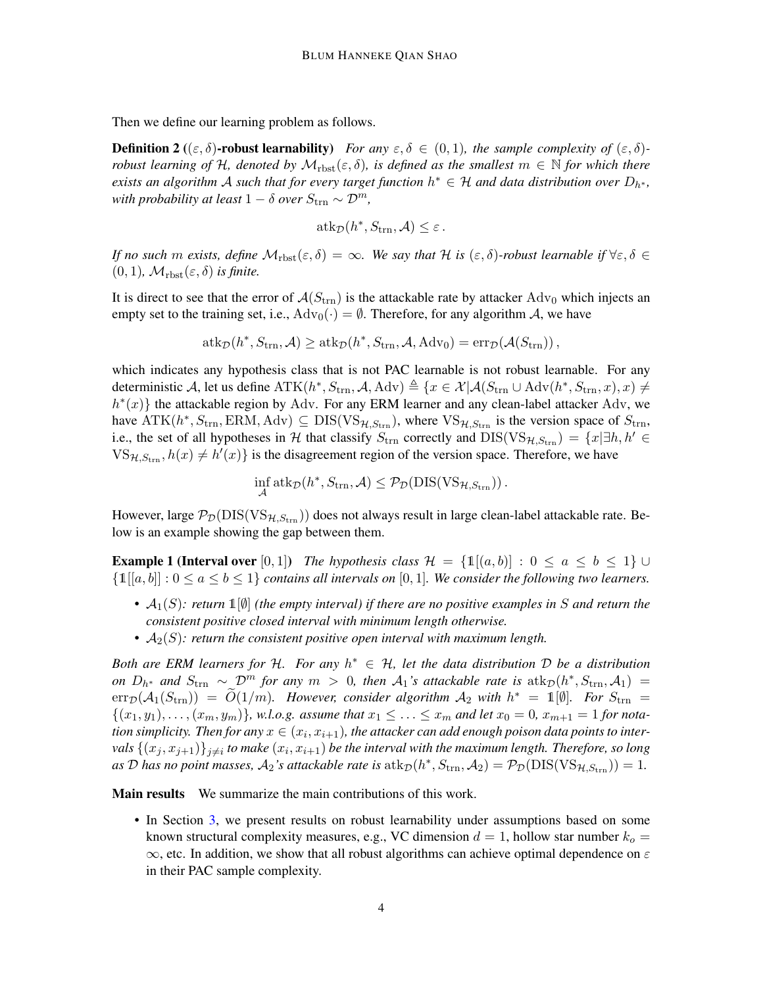Then we define our learning problem as follows.

**Definition 2** (( $\varepsilon$ ,  $\delta$ )-robust learnability) *For any*  $\varepsilon$ ,  $\delta \in (0,1)$ *, the sample complexity of*  $(\varepsilon, \delta)$ *robust learning of* H, denoted by  $\mathcal{M}_{\text{rbst}}(\varepsilon, \delta)$ , is defined as the smallest  $m \in \mathbb{N}$  for which there *exists an algorithm A such that for every target function*  $h^* \in H$  *and data distribution over*  $D_{h^*}$ , *with probability at least*  $1 - \delta$  *over*  $S_{\text{trn}} \sim \mathcal{D}^m$ ,

<span id="page-3-1"></span>
$$
\mathrm{atk}_{\mathcal{D}}(h^*, S_{\mathrm{trn}}, \mathcal{A}) \leq \varepsilon.
$$

*If no such* m *exists, define*  $\mathcal{M}_{\text{rbst}}(\varepsilon, \delta) = \infty$ *. We say that*  $\mathcal{H}$  *is*  $(\varepsilon, \delta)$ *-robust learnable if*  $\forall \varepsilon, \delta \in$  $(0, 1)$ *,*  $\mathcal{M}_{\text{rbst}}(\varepsilon, \delta)$  *is finite.* 

It is direct to see that the error of  $A(S_{trn})$  is the attackable rate by attacker  $Adv_0$  which injects an empty set to the training set, i.e.,  $\text{Adv}_0(\cdot) = \emptyset$ . Therefore, for any algorithm A, we have

$$
atk_{\mathcal{D}}(h^*, S_{\text{trn}}, \mathcal{A}) \geq atk_{\mathcal{D}}(h^*, S_{\text{trn}}, \mathcal{A}, \text{Adv}_0) = \text{err}_{\mathcal{D}}(\mathcal{A}(S_{\text{trn}})),
$$

which indicates any hypothesis class that is not PAC learnable is not robust learnable. For any deterministic A, let us define  $\text{ATK}(h^*, S_{\text{trn}}, \mathcal{A}, \text{Adv}) \triangleq \{x \in \mathcal{X} | \mathcal{A}(S_{\text{trn}} \cup \text{Adv}(h^*, S_{\text{trn}}, x), x) \neq 0\}$  $h^*(x)$ } the attackable region by Adv. For any ERM learner and any clean-label attacker Adv, we have  $ATK(h^*, S_{trn}, ERM, Adv) \subseteq DIS(VS_{H, S_{trn}})$ , where  $VS_{H, S_{trn}}$  is the version space of  $S_{trn}$ , i.e., the set of all hypotheses in H that classify  $S_{\text{trn}}$  correctly and  $DIS(VS_{H,S_{\text{trn}}}) = \{x | \exists h, h' \in$  $VS_{\mathcal{H},S_{\text{trn}}}, h(x) \neq h'(x)$  is the disagreement region of the version space. Therefore, we have

$$
\inf_{\mathcal{A}} \mathrm{atk}_{\mathcal{D}}(h^*, S_{\mathrm{trn}}, \mathcal{A}) \leq \mathcal{P}_{\mathcal{D}}(\mathrm{DIS}(\mathrm{VS}_{\mathcal{H}, S_{\mathrm{trn}}}))\,.
$$

However, large  $P_{\mathcal{D}}(\text{DIS}(VS_{\mathcal{H},S_{\text{trn}}}))$  does not always result in large clean-label attackable rate. Below is an example showing the gap between them.

<span id="page-3-0"></span>**Example 1 (Interval over** [0, 1]) *The hypothesis class*  $\mathcal{H} = \{1 | (a, b) | : 0 \le a \le b \le 1\} \cup$  $\{1[[a, b]] : 0 \le a \le b \le 1\}$  *contains all intervals on* [0, 1]*. We consider the following two learners.* 

- A1(S)*: return* 1[∅] *(the empty interval) if there are no positive examples in* S *and return the consistent positive closed interval with minimum length otherwise.*
- $A_2(S)$ : return the consistent positive open interval with maximum length.

*Both are ERM learners for H. For any*  $h^* \in H$ , let the data distribution D be a distribution *on*  $D_{h^*}$  and  $S_{trn}$  ∼  $\mathcal{D}^m$  *for any*  $m > 0$ , then  $\mathcal{A}_1$ 's attackable rate is  $atk_{\mathcal{D}}(h^*, S_{trn}, \mathcal{A}_1)$  =  $\text{err}_{\mathcal{D}}(\mathcal{A}_1(S_{\text{trn}})) = \widetilde{O}(1/m)$ *. However, consider algorithm*  $\mathcal{A}_2$  *with*  $h^* = \mathbb{1}[\emptyset]$ *. For*  $S_{\text{trn}} = \mathbb{1}$  $\{(x_1, y_1), \ldots, (x_m, y_m)\}\$ , w.l.o.g. assume that  $x_1 \leq \ldots \leq x_m$  and let  $x_0 = 0$ ,  $x_{m+1} = 1$  for notation simplicity. Then for any  $x \in (x_i, x_{i+1})$ , the attacker can add enough poison data points to inter- ${\rm vals}$   $\{(x_j, x_{j+1})\}_{j\neq i}$  to make  $(x_i, x_{i+1})$  be the interval with the maximum length. Therefore, so long as D has no point masses,  $A_2$ 's attackable rate is  $\text{atk}_\mathcal{D}(h^*, S_{\text{trn}}, A_2) = \mathcal{P}_\mathcal{D}(\text{DIS}(\text{VS}_{\mathcal{H}, S_{\text{trn}}})) = 1$ .

Main results We summarize the main contributions of this work.

• In Section [3,](#page-4-0) we present results on robust learnability under assumptions based on some known structural complexity measures, e.g., VC dimension  $d = 1$ , hollow star number  $k_o =$  $\infty$ , etc. In addition, we show that all robust algorithms can achieve optimal dependence on  $\varepsilon$ in their PAC sample complexity.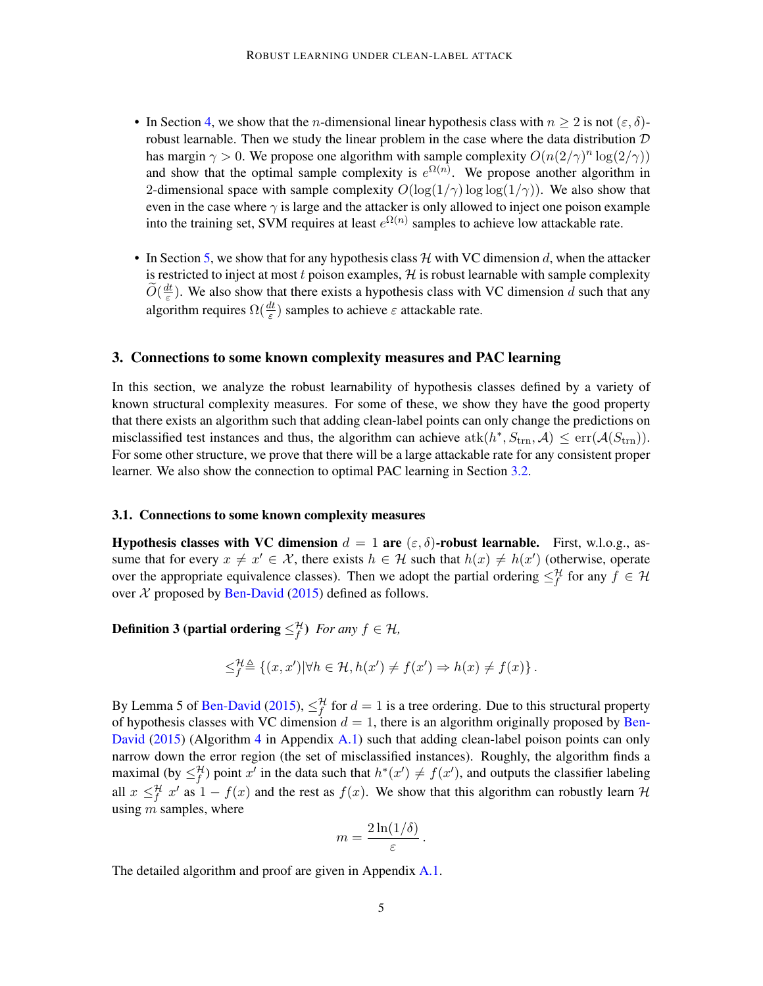- In Section [4,](#page-7-0) we show that the *n*-dimensional linear hypothesis class with  $n \geq 2$  is not  $(\varepsilon, \delta)$ robust learnable. Then we study the linear problem in the case where the data distribution  $D$ has margin  $\gamma > 0$ . We propose one algorithm with sample complexity  $O(n(2/\gamma)^n \log(2/\gamma))$ and show that the optimal sample complexity is  $e^{\Omega(n)}$ . We propose another algorithm in 2-dimensional space with sample complexity  $O(\log(1/\gamma) \log \log(1/\gamma))$ . We also show that even in the case where  $\gamma$  is large and the attacker is only allowed to inject one poison example into the training set, SVM requires at least  $e^{\Omega(n)}$  samples to achieve low attackable rate.
- In Section [5,](#page-10-0) we show that for any hypothesis class  $H$  with VC dimension d, when the attacker is restricted to inject at most t poison examples,  $H$  is robust learnable with sample complexity  $\widetilde{O}(\frac{dt}{\varepsilon}$  $\frac{dt}{\varepsilon}$ ). We also show that there exists a hypothesis class with VC dimension d such that any algorithm requires  $\Omega(\frac{dt}{\varepsilon})$  samples to achieve  $\varepsilon$  attackable rate.

# <span id="page-4-0"></span>3. Connections to some known complexity measures and PAC learning

In this section, we analyze the robust learnability of hypothesis classes defined by a variety of known structural complexity measures. For some of these, we show they have the good property that there exists an algorithm such that adding clean-label points can only change the predictions on misclassified test instances and thus, the algorithm can achieve  $atk(h^*, S_{trn}, \mathcal{A}) \leq err(\mathcal{A}(S_{trn})).$ For some other structure, we prove that there will be a large attackable rate for any consistent proper learner. We also show the connection to optimal PAC learning in Section [3.2.](#page-6-0)

#### 3.1. Connections to some known complexity measures

Hypothesis classes with VC dimension  $d = 1$  are  $(\varepsilon, \delta)$ -robust learnable. First, w.l.o.g., assume that for every  $x \neq x' \in \mathcal{X}$ , there exists  $h \in \mathcal{H}$  such that  $h(x) \neq h(x')$  (otherwise, operate over the appropriate equivalence classes). Then we adopt the partial ordering  $\leq_f^{\mathcal{H}}$  for any  $f \in \mathcal{H}$ over  $X$  proposed by [Ben-David](#page-14-7) [\(2015\)](#page-14-7) defined as follows.

**Definition 3 (partial ordering**  $\leq_f^{\mathcal{H}}$ ) *For any*  $f \in \mathcal{H}$ ,

$$
\leq^{\mathcal{H}}_{f} \triangleq \left\{ (x, x') | \forall h \in \mathcal{H}, h(x') \neq f(x') \Rightarrow h(x) \neq f(x) \right\}.
$$

By Lemma 5 of [Ben-David](#page-14-7) [\(2015\)](#page-14-7),  $\leq_f^{\mathcal{H}}$  for  $d=1$  is a tree ordering. Due to this structural property of hypothesis classes with VC dimension  $d = 1$ , there is an algorithm originally proposed by [Ben-](#page-14-7)[David](#page-14-7) [\(2015\)](#page-14-7) (Algorithm [4](#page-17-0) in Appendix [A.1\)](#page-17-1) such that adding clean-label poison points can only narrow down the error region (the set of misclassified instances). Roughly, the algorithm finds a maximal (by  $\leq_f^{\mathcal{H}}$ ) point x' in the data such that  $h^*(x') \neq f(x')$ , and outputs the classifier labeling all  $x \leq_f^{\mathcal{H}} x'$  as  $1 - f(x)$  and the rest as  $f(x)$ . We show that this algorithm can robustly learn  $\mathcal{H}$ using  $m$  samples, where

$$
m=\frac{2\ln(1/\delta)}{\varepsilon}.
$$

The detailed algorithm and proof are given in Appendix [A.1.](#page-17-1)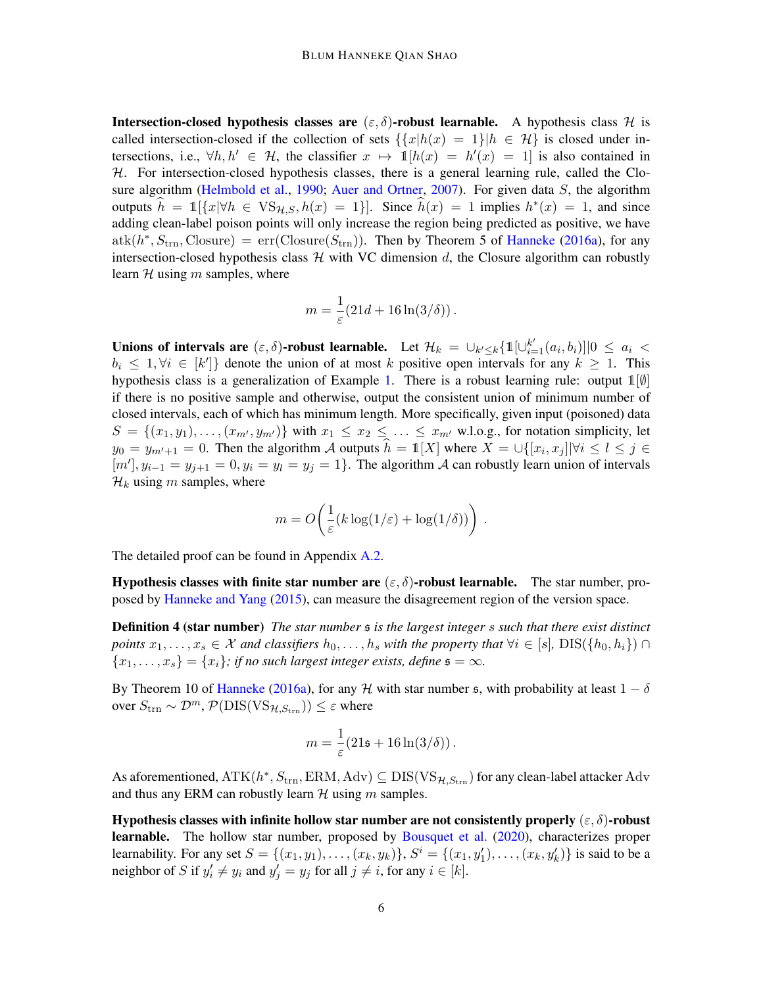**Intersection-closed hypothesis classes are**  $(\varepsilon, \delta)$ -**robust learnable.** A hypothesis class H is called intersection-closed if the collection of sets  $\{x|h(x) = 1\}$   $|h \in \mathcal{H}\}\)$  is closed under intersections, i.e.,  $\forall h, h' \in \mathcal{H}$ , the classifier  $x \mapsto \mathbb{1}[h(x) = h'(x) = 1]$  is also contained in  $H$ . For intersection-closed hypothesis classes, there is a general learning rule, called the Clo-sure algorithm [\(Helmbold et al.,](#page-15-11) [1990;](#page-15-11) [Auer and Ortner,](#page-14-8) [2007\)](#page-14-8). For given data  $S$ , the algorithm outputs  $\hat{h} = \mathbb{1}[\{x | \forall h \in \text{VS}_{\mathcal{H},S}, h(x) = 1\}]$ . Since  $\hat{h}(x) = 1$  implies  $h^*(x) = 1$ , and since adding clean-label poison points will only increase the region being predicted as positive, we have  $atk(h^*, S_{trn}, Closure) = err(Cllosure(S_{trn}))$ . Then by Theorem 5 of [Hanneke](#page-14-9) [\(2016a\)](#page-14-9), for any intersection-closed hypothesis class  $H$  with VC dimension d, the Closure algorithm can robustly learn  $H$  using  $m$  samples, where

$$
m = \frac{1}{\varepsilon} (21d + 16\ln(3/\delta)).
$$

Unions of intervals are  $(\varepsilon, \delta)$ -robust learnable. Let  $\mathcal{H}_k = \cup_{k' \leq k} \{ \mathbb{1}[\cup_{i=1}^{k'} (a_i, b_i)] | 0 \leq a_i <$  $b_i \leq 1, \forall i \in [k']$  denote the union of at most k positive open intervals for any  $k \geq 1$ . This hypothesis class is a generalization of Example [1.](#page-3-0) There is a robust learning rule: output  $\mathbb{1}[\emptyset]$ if there is no positive sample and otherwise, output the consistent union of minimum number of closed intervals, each of which has minimum length. More specifically, given input (poisoned) data  $S = \{(x_1, y_1), \ldots, (x_{m}, y_{m'})\}$  with  $x_1 \leq x_2 \leq \ldots \leq x_{m'}$  w.l.o.g., for notation simplicity, let  $y_0 = y_{m'+1} = 0$ . Then the algorithm A outputs  $\hat{h} = \mathbb{1}[X]$  where  $X = \bigcup \{ [x_i, x_j] | \forall i \leq l \leq j \in \mathbb{N} \}$  $[m']$ ,  $y_{i-1} = y_{j+1} = 0$ ,  $y_i = y_i = y_j = 1$ . The algorithm A can robustly learn union of intervals  $\mathcal{H}_k$  using m samples, where

$$
m = O\left(\frac{1}{\varepsilon}(k\log(1/\varepsilon) + \log(1/\delta))\right).
$$

The detailed proof can be found in Appendix [A.2.](#page-18-0)

Hypothesis classes with finite star number are  $(\varepsilon, \delta)$ -robust learnable. The star number, proposed by [Hanneke and Yang](#page-15-12) [\(2015\)](#page-15-12), can measure the disagreement region of the version space.

Definition 4 (star number) *The star number* s *is the largest integer* s *such that there exist distinct points*  $x_1, \ldots, x_s \in \mathcal{X}$  *and classifiers*  $h_0, \ldots, h_s$  *with the property that*  $\forall i \in [s], \text{DIS}(\{h_0, h_i\}) \cap$  ${x_1, \ldots, x_s} = {x_i}$ ; if no such largest integer exists, define  $s = \infty$ .

By Theorem 10 of [Hanneke](#page-14-9) [\(2016a\)](#page-14-9), for any H with star number s, with probability at least  $1 - \delta$ over  $S_{\text{trn}} \sim \mathcal{D}^m$ ,  $\mathcal{P}(\text{DIS}(\text{VS}_{\mathcal{H},S_{\text{trn}}})) \leq \varepsilon$  where

$$
m = \frac{1}{\varepsilon} (21\mathfrak{s} + 16\ln(3/\delta)).
$$

As aforementioned,  $ATK(h^*, S_{trn}, \text{ERM}, \text{Adv}) \subseteq DIS(VS_{H, S_{trn}})$  for any clean-label attacker Adv and thus any ERM can robustly learn  $H$  using  $m$  samples.

Hypothesis classes with infinite hollow star number are not consistently properly  $(\varepsilon, \delta)$ -robust learnable. The hollow star number, proposed by [Bousquet et al.](#page-14-10) [\(2020\)](#page-14-10), characterizes proper learnability. For any set  $S = \{(x_1, y_1), \ldots, (x_k, y_k)\}, S^i = \{(x_1, y'_1), \ldots, (x_k, y'_k)\}$  is said to be a neighbor of S if  $y'_i \neq y_i$  and  $y'_j = y_j$  for all  $j \neq i$ , for any  $i \in [k]$ .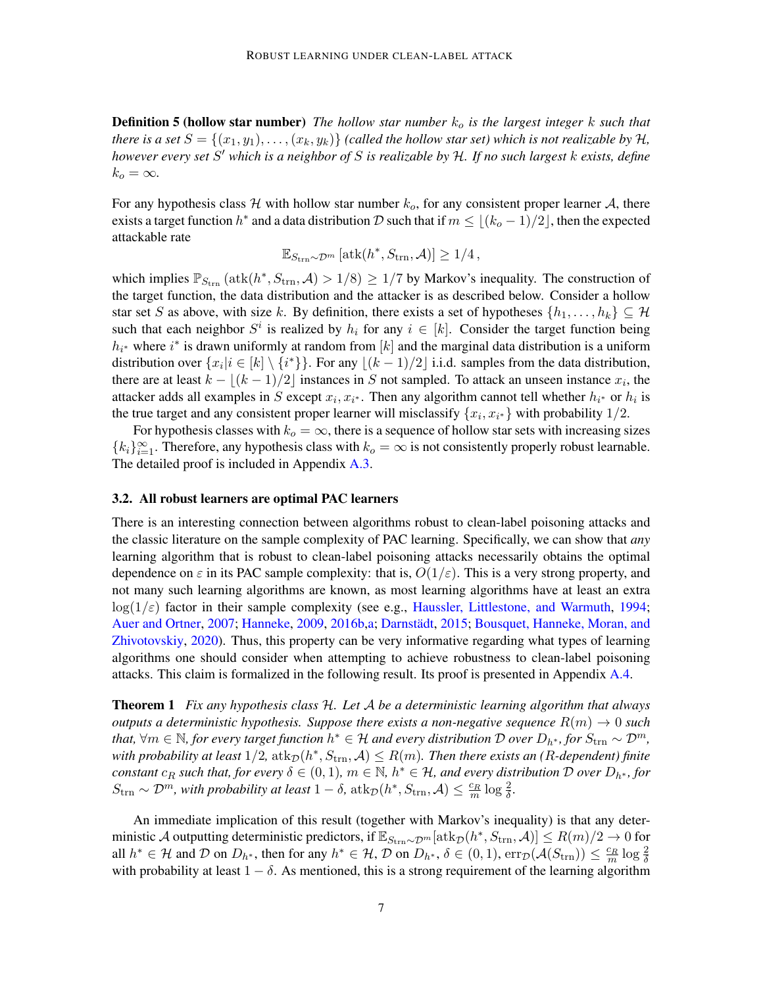**Definition 5 (hollow star number)** The hollow star number  $k_0$  is the largest integer k such that *there is a set*  $S = \{(x_1, y_1), \ldots, (x_k, y_k)\}$  *(called the hollow star set) which is not realizable by*  $H$ *, however every set* S <sup>0</sup> *which is a neighbor of* S *is realizable by* H*. If no such largest* k *exists, define*  $k_o = \infty$ .

For any hypothesis class H with hollow star number  $k_o$ , for any consistent proper learner A, there exists a target function  $h^*$  and a data distribution D such that if  $m \leq \lfloor (k_o - 1)/2 \rfloor$ , then the expected attackable rate

$$
\mathbb{E}_{S_{\text{trn}}\sim\mathcal{D}^m}\left[\text{atk}(h^*,S_{\text{trn}},\mathcal{A})\right] \ge 1/4,
$$

which implies  $\mathbb{P}_{S_{trn}}(\text{atk}(h^*, S_{trn}, \mathcal{A}) > 1/8) \ge 1/7$  by Markov's inequality. The construction of the target function, the data distribution and the attacker is as described below. Consider a hollow star set S as above, with size k. By definition, there exists a set of hypotheses  $\{h_1, \ldots, h_k\} \subseteq \mathcal{H}$ such that each neighbor  $S^i$  is realized by  $h_i$  for any  $i \in [k]$ . Consider the target function being  $h_{i^*}$  where  $i^*$  is drawn uniformly at random from [k] and the marginal data distribution is a uniform distribution over  $\{x_i | i \in [k] \setminus \{i^*\}\}\.$  For any  $\lfloor (k-1)/2 \rfloor$  i.i.d. samples from the data distribution, there are at least  $k - \lfloor (k-1)/2 \rfloor$  instances in S not sampled. To attack an unseen instance  $x_i$ , the attacker adds all examples in S except  $x_i, x_{i^*}$ . Then any algorithm cannot tell whether  $h_{i^*}$  or  $h_i$  is the true target and any consistent proper learner will misclassify  $\{x_i, x_{i^*}\}$  with probability  $1/2$ .

For hypothesis classes with  $k_o = \infty$ , there is a sequence of hollow star sets with increasing sizes  ${k_i}_{i=1}^{\infty}$ . Therefore, any hypothesis class with  $k_o = \infty$  is not consistently properly robust learnable. The detailed proof is included in Appendix [A.3.](#page-19-0)

### <span id="page-6-0"></span>3.2. All robust learners are optimal PAC learners

There is an interesting connection between algorithms robust to clean-label poisoning attacks and the classic literature on the sample complexity of PAC learning. Specifically, we can show that *any* learning algorithm that is robust to clean-label poisoning attacks necessarily obtains the optimal dependence on  $\varepsilon$  in its PAC sample complexity: that is,  $O(1/\varepsilon)$ . This is a very strong property, and not many such learning algorithms are known, as most learning algorithms have at least an extra  $log(1/\varepsilon)$  factor in their sample complexity (see e.g., [Haussler, Littlestone, and Warmuth,](#page-15-13) [1994;](#page-15-13) [Auer and Ortner,](#page-14-8) [2007;](#page-14-8) [Hanneke,](#page-14-11) [2009,](#page-14-11) [2016b](#page-15-14)[,a;](#page-14-9) Darnstädt, [2015;](#page-14-12) [Bousquet, Hanneke, Moran, and](#page-14-10) [Zhivotovskiy,](#page-14-10) [2020\)](#page-14-10). Thus, this property can be very informative regarding what types of learning algorithms one should consider when attempting to achieve robustness to clean-label poisoning attacks. This claim is formalized in the following result. Its proof is presented in Appendix [A.4.](#page-20-0)

<span id="page-6-1"></span>Theorem 1 *Fix any hypothesis class* H*. Let* A *be a deterministic learning algorithm that always outputs a deterministic hypothesis. Suppose there exists a non-negative sequence*  $R(m) \rightarrow 0$  *such that,*  $\forall m \in \mathbb{N}$ , for every target function  $h^* \in H$  and every distribution  $\mathcal D$  over  $D_{h^*}$ , for  $S_{\text{trn}} \sim \mathcal D^m$ , with probability at least  $1/2$ ,  $\mathrm{atk}_\mathcal{D}(h^*,S_\mathrm{trn},\mathcal{A})\leq R(m)$ . Then there exists an (R-dependent) finite  $constant\ c_R$  such that, for every  $\delta \in (0,1)$ ,  $m \in \mathbb{N}$ ,  $h^* \in \mathcal{H}$ , and every distribution  $\mathcal D$  over  $D_{h^*}$ , for  $S_{\text{trn}} \sim \mathcal{D}^m$ , with probability at least  $1 - \delta$ ,  $\text{atk}_{\mathcal{D}}(h^*, S_{\text{trn}}, \mathcal{A}) \leq \frac{c_R}{m} \log \frac{2}{\delta}$ .

An immediate implication of this result (together with Markov's inequality) is that any deterministic  ${\cal A}$  outputting deterministic predictors, if  $\mathbb{E}_{S_{\rm trn}\sim {\cal D}^m}[\text{atk}_{\cal D}(h^*,S_{\rm trn}, {\cal A})]\leq R(m)/2\to 0$  for all  $h^* \in \mathcal{H}$  and  $\mathcal{D}$  on  $D_{h^*}$ , then for any  $h^* \in \mathcal{H}$ ,  $\mathcal{D}$  on  $D_{h^*}$ ,  $\delta \in (0,1)$ ,  $\exp(\mathcal{A}(S_{trn})) \leq \frac{c_R}{m} \log \frac{2}{\delta}$ with probability at least  $1 - \delta$ . As mentioned, this is a strong requirement of the learning algorithm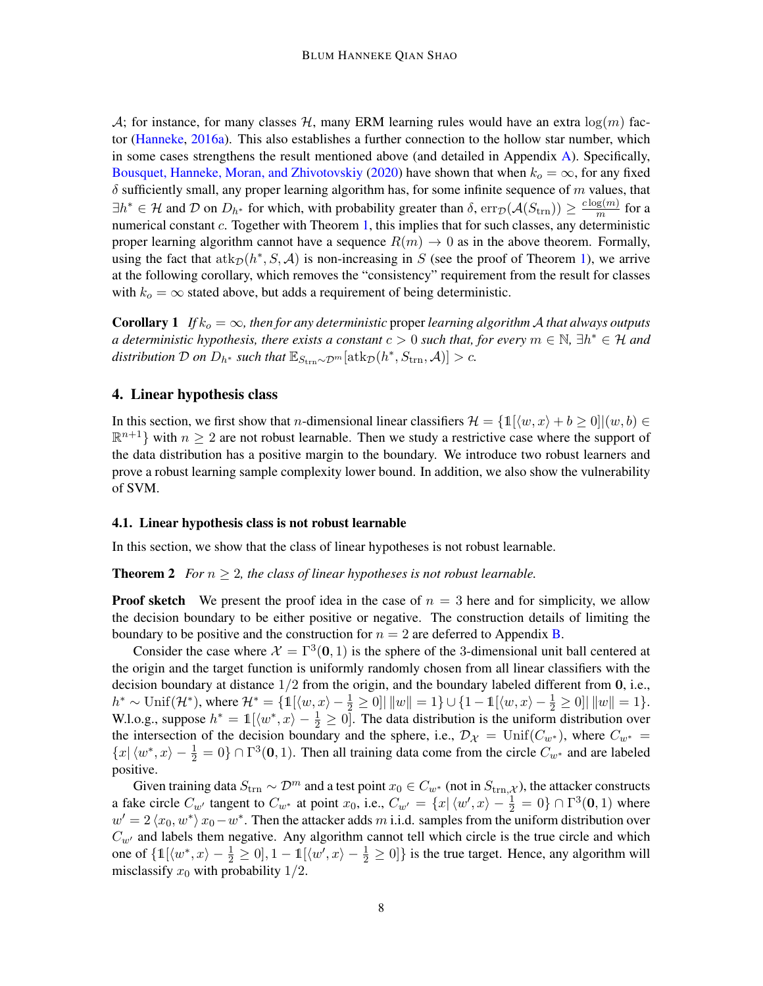A; for instance, for many classes H, many ERM learning rules would have an extra  $log(m)$  factor [\(Hanneke,](#page-14-9) [2016a\)](#page-14-9). This also establishes a further connection to the hollow star number, which in some cases strengthens the result mentioned above (and detailed in Appendix [A\)](#page-17-2). Specifically, [Bousquet, Hanneke, Moran, and Zhivotovskiy](#page-14-10) [\(2020\)](#page-14-10) have shown that when  $k_o = \infty$ , for any fixed  $\delta$  sufficiently small, any proper learning algorithm has, for some infinite sequence of  $m$  values, that  $\exists h^* \in \mathcal{H}$  and  $\mathcal{D}$  on  $D_{h^*}$  for which, with probability greater than  $\delta$ ,  $\text{err}_{\mathcal{D}}(\mathcal{A}(S_{trn})) \geq \frac{c \log(m)}{m}$  $\frac{g(m)}{m}$  for a numerical constant c. Together with Theorem [1,](#page-6-1) this implies that for such classes, any deterministic proper learning algorithm cannot have a sequence  $R(m) \to 0$  as in the above theorem. Formally, using the fact that  $\text{atk}_\mathcal{D}(h^*, S, \mathcal{A})$  is non-increasing in S (see the proof of Theorem [1\)](#page-6-1), we arrive at the following corollary, which removes the "consistency" requirement from the result for classes with  $k_o = \infty$  stated above, but adds a requirement of being deterministic.

**Corollary 1** *If*  $k_o = \infty$ , then for any deterministic proper learning algorithm A that always outputs a deterministic hypothesis, there exists a constant  $c > 0$  such that, for every  $m \in \mathbb{N}$ ,  $\exists h^* \in \mathcal{H}$  and  $distriolution \mathcal{D}$  *on*  $D_{h^*}$  *such that*  $\mathbb{E}_{S_{\text{trn}} \sim \mathcal{D}^m}[\text{atk}_{\mathcal{D}}(h^*, S_{\text{trn}}, \mathcal{A})] > c$ *.* 

# <span id="page-7-0"></span>4. Linear hypothesis class

In this section, we first show that *n*-dimensional linear classifiers  $\mathcal{H} = \{1, (w, x) + b \ge 0\}$  $(w, b) \in$  $\mathbb{R}^{n+1}$  with  $n \geq 2$  are not robust learnable. Then we study a restrictive case where the support of the data distribution has a positive margin to the boundary. We introduce two robust learners and prove a robust learning sample complexity lower bound. In addition, we also show the vulnerability of SVM.

#### 4.1. Linear hypothesis class is not robust learnable

<span id="page-7-1"></span>In this section, we show that the class of linear hypotheses is not robust learnable.

**Theorem 2** *For*  $n \geq 2$ *, the class of linear hypotheses is not robust learnable.* 

**Proof sketch** We present the proof idea in the case of  $n = 3$  here and for simplicity, we allow the decision boundary to be either positive or negative. The construction details of limiting the boundary to be positive and the construction for  $n = 2$  are deferred to Appendix [B.](#page-22-0)

Consider the case where  $\mathcal{X} = \Gamma^3(\mathbf{0}, 1)$  is the sphere of the 3-dimensional unit ball centered at the origin and the target function is uniformly randomly chosen from all linear classifiers with the decision boundary at distance  $1/2$  from the origin, and the boundary labeled different from  $0$ , i.e.,  $h^* \sim \text{Unif}(\mathcal{H}^*), \text{ where } \mathcal{H}^* = \{ \mathbb{1}[ \langle w, x \rangle - \frac{1}{2} \geq 0] | ||w|| = 1 \} \cup \{ 1 - \mathbb{1}[ \langle w, x \rangle - \frac{1}{2} \geq 0] | ||w|| = 1 \}.$ W.l.o.g., suppose  $h^* = \mathbb{1}[\langle w^*, x \rangle - \frac{1}{2} \ge 0]$ . The data distribution is the uniform distribution over the intersection of the decision boundary and the sphere, i.e.,  $\mathcal{D}_{\mathcal{X}} = \text{Unif}(C_{w^*})$ , where  $C_{w^*} =$  $\{x | \langle w^*, x \rangle - \frac{1}{2} = 0\} \cap \Gamma^3(0, 1)$ . Then all training data come from the circle  $C_{w^*}$  and are labeled positive.

Given training data  $S_{\text{trn}} \sim \mathcal{D}^m$  and a test point  $x_0 \in C_{w^*}$  (not in  $S_{\text{trn},\mathcal{X}}$ ), the attacker constructs a fake circle  $C_{w'}$  tangent to  $C_{w^*}$  at point  $x_0$ , i.e.,  $C_{w'} = \{x | \langle w', x \rangle - \frac{1}{2} = 0\} \cap \Gamma^3(\mathbf{0}, 1)$  where  $w' = 2 \langle x_0, w^* \rangle x_0 - w^*$ . Then the attacker adds m i.i.d. samples from the uniform distribution over  $C_{w'}$  and labels them negative. Any algorithm cannot tell which circle is the true circle and which one of  $\{\mathbb{1}[\langle w^*, x \rangle - \frac{1}{2} \ge 0], 1 - \mathbb{1}[\langle w', x \rangle - \frac{1}{2} \ge 0]\}$  is the true target. Hence, any algorithm will misclassify  $x_0$  with probability  $1/2$ .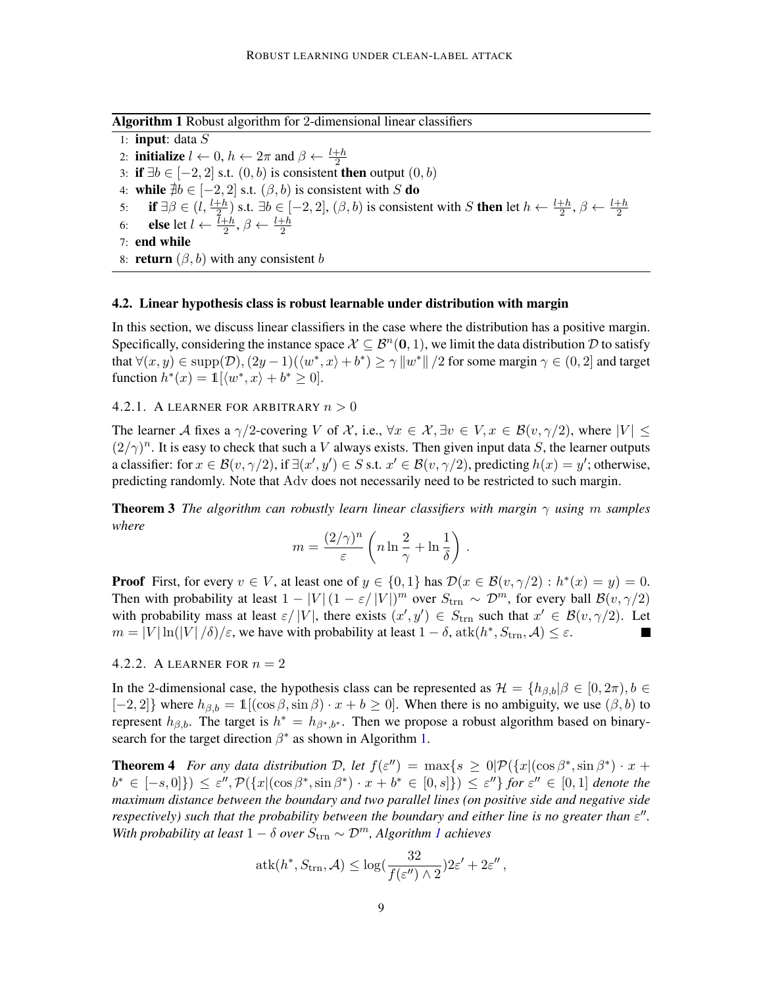Algorithm 1 Robust algorithm for 2-dimensional linear classifiers

<span id="page-8-0"></span>1: **input**: data  $S$ 2: **initialize**  $l \leftarrow 0$ ,  $h \leftarrow 2\pi$  and  $\beta \leftarrow \frac{l+h}{2}$ 3: if  $∃b ∈ [-2, 2]$  s.t.  $(0, b)$  is consistent then output  $(0, b)$ 4: while  $\exists b \in [-2, 2]$  s.t.  $(\beta, b)$  is consistent with S do 5: **if**  $\exists \beta \in (l, \frac{l+h}{2})$  s.t.  $\exists b \in [-2, 2]$ ,  $(\beta, b)$  is consistent with S **then** let  $h \leftarrow \frac{l+h}{2}$ ,  $\beta \leftarrow \frac{l+h}{2}$ 6: **else** let  $l \leftarrow \frac{l+h}{2}$ ,  $\beta \leftarrow \frac{l+h}{2}$ 7: end while 8: **return**  $(\beta, b)$  with any consistent b

# 4.2. Linear hypothesis class is robust learnable under distribution with margin

In this section, we discuss linear classifiers in the case where the distribution has a positive margin. Specifically, considering the instance space  $X \subseteq B^n(0, 1)$ , we limit the data distribution D to satisfy that  $\forall (x, y) \in \text{supp}(\mathcal{D}), (2y - 1)(\langle w^*, x \rangle + b^*) \ge \gamma ||w^*|| / 2$  for some margin  $\gamma \in (0, 2]$  and target function  $h^*(x) = \mathbb{1}[\langle w^*, x \rangle + b^* \geq 0].$ 

### 4.2.1. A LEARNER FOR ARBITRARY  $n > 0$

The learner A fixes a  $\gamma/2$ -covering V of X, i.e.,  $\forall x \in \mathcal{X}, \exists v \in V, x \in \mathcal{B}(v, \gamma/2)$ , where  $|V| \leq$  $(2/\gamma)^n$ . It is easy to check that such a V always exists. Then given input data S, the learner outputs a classifier: for  $x \in \mathcal{B}(v, \gamma/2)$ , if  $\exists (x', y') \in S$  s.t.  $x' \in \mathcal{B}(v, \gamma/2)$ , predicting  $h(x) = y'$ ; otherwise, predicting randomly. Note that Adv does not necessarily need to be restricted to such margin.

**Theorem 3** *The algorithm can robustly learn linear classifiers with margin*  $\gamma$  *using* m *samples where*

$$
m = \frac{(2/\gamma)^n}{\varepsilon} \left( n \ln \frac{2}{\gamma} + \ln \frac{1}{\delta} \right) .
$$

**Proof** First, for every  $v \in V$ , at least one of  $y \in \{0, 1\}$  has  $\mathcal{D}(x \in \mathcal{B}(v, \gamma/2) : h^*(x) = y) = 0$ . Then with probability at least  $1 - |V|(1 - \varepsilon/|V|)^m$  over  $S_{\text{trn}} \sim \mathcal{D}^m$ , for every ball  $\mathcal{B}(v, \gamma/2)$ with probability mass at least  $\varepsilon/|V|$ , there exists  $(x', y') \in S_{trn}$  such that  $x' \in \mathcal{B}(v, \gamma/2)$ . Let  $m = |V| \ln(|V|/\delta)/\varepsilon$ , we have with probability at least  $1 - \delta$ ,  $\text{atk}(h^*, S_{trn}, \mathcal{A}) \leq \varepsilon$ .

## 4.2.2. A LEARNER FOR  $n = 2$

In the 2-dimensional case, the hypothesis class can be represented as  $\mathcal{H} = \{h_{\beta,b} | \beta \in [0, 2\pi), b \in$  $[-2, 2]$ } where  $h_{\beta,b} = \mathbb{1}[(\cos \beta, \sin \beta) \cdot x + b \ge 0]$ . When there is no ambiguity, we use  $(\beta, b)$  to represent  $h_{\beta,b}$ . The target is  $h^* = h_{\beta^*,b^*}$ . Then we propose a robust algorithm based on binarysearch for the target direction  $\beta^*$  as shown in Algorithm [1.](#page-8-0)

<span id="page-8-1"></span>**Theorem 4** For any data distribution D, let  $f(\varepsilon'') = \max\{s \geq 0 | \mathcal{P}(\{x | (\cos \beta^*, \sin \beta^*) \cdot x + \beta^*)\})$  $b^* \in [-s,0]\}\) \leq \varepsilon'',\mathcal{P}(\{x \vert (\cos \beta^*, \sin \beta^*) \cdot x + b^* \in [0,s]\}) \leq \varepsilon''\}$  for  $\varepsilon'' \in [0,1]$  denote the *maximum distance between the boundary and two parallel lines (on positive side and negative side respectively) such that the probability between the boundary and either line is no greater than*  $\varepsilon$ *"*. *With probability at least*  $1 - \delta$  $1 - \delta$  *over*  $S_{\text{trn}} \sim \mathcal{D}^m$ , *Algorithm 1 achieves* 

$$
atk(h^*, S_{trn}, \mathcal{A}) \le \log(\frac{32}{f(\varepsilon'') \wedge 2})2\varepsilon' + 2\varepsilon'',
$$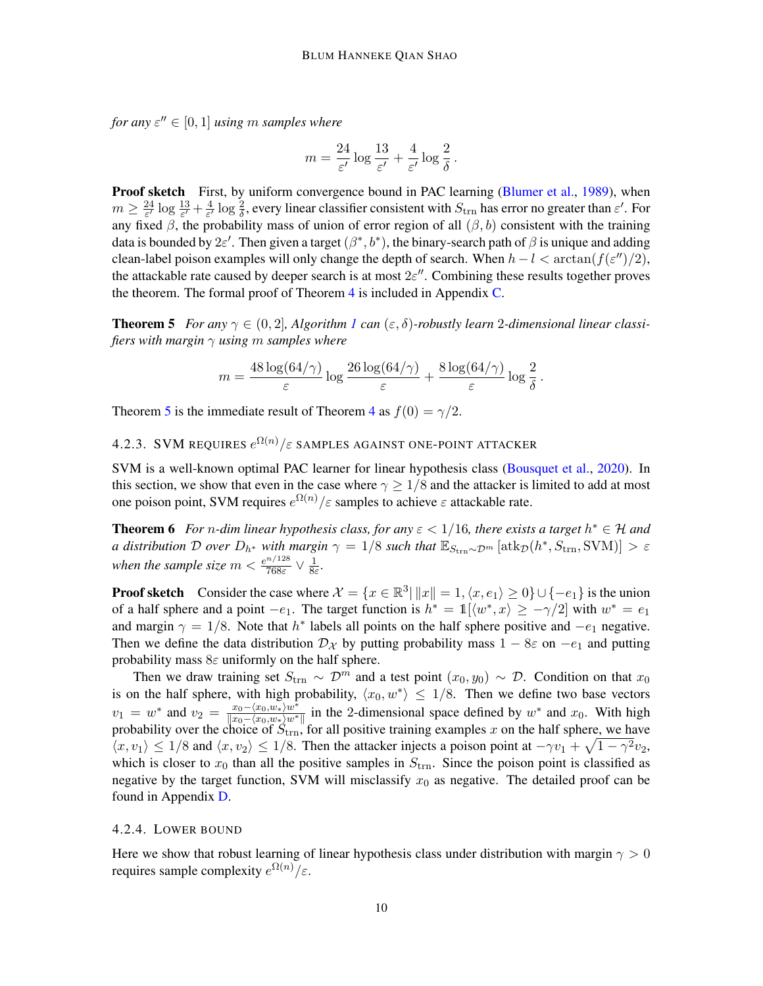*for any*  $\varepsilon'' \in [0, 1]$  *using* m *samples where* 

$$
m = \frac{24}{\varepsilon'} \log \frac{13}{\varepsilon'} + \frac{4}{\varepsilon'} \log \frac{2}{\delta}.
$$

Proof sketch First, by uniform convergence bound in PAC learning [\(Blumer et al.,](#page-14-13) [1989\)](#page-14-13), when  $m \geq \frac{24}{\epsilon'}$  $\frac{24}{\varepsilon'}\log\frac{13}{\varepsilon'}+\frac{4}{\varepsilon'}$  $\frac{4}{\epsilon'}\log\frac{2}{\delta}$ , every linear classifier consistent with  $S_{\text{trn}}$  has error no greater than  $\epsilon'$ . For any fixed  $\beta$ , the probability mass of union of error region of all  $(\beta, b)$  consistent with the training data is bounded by  $2\varepsilon'$ . Then given a target  $(\beta^*, b^*)$ , the binary-search path of  $\beta$  is unique and adding clean-label poison examples will only change the depth of search. When  $h - l < \arctan(f(\varepsilon'')/2)$ , the attackable rate caused by deeper search is at most  $2\varepsilon$ ". Combining these results together proves the theorem. The formal proof of Theorem  $4$  is included in Appendix  $C$ .

<span id="page-9-0"></span>**Theorem 5** For any  $\gamma \in (0, 2]$ , Algorithm [1](#page-8-0) can  $(\varepsilon, \delta)$ -robustly learn 2-dimensional linear classi*fiers with margin* γ *using* m *samples where*

<span id="page-9-1"></span>
$$
m = \frac{48 \log(64/\gamma)}{\varepsilon} \log \frac{26 \log(64/\gamma)}{\varepsilon} + \frac{8 \log(64/\gamma)}{\varepsilon} \log \frac{2}{\delta}.
$$

Theorem [5](#page-9-0) is the immediate result of Theorem [4](#page-8-1) as  $f(0) = \gamma/2$ .

4.2.3. SVM requires  $e^{\Omega(n)}/\varepsilon$  samples against one-point attacker

SVM is a well-known optimal PAC learner for linear hypothesis class [\(Bousquet et al.,](#page-14-10) [2020\)](#page-14-10). In this section, we show that even in the case where  $\gamma \geq 1/8$  and the attacker is limited to add at most one poison point, SVM requires  $e^{\Omega(n)} / \varepsilon$  samples to achieve  $\varepsilon$  attackable rate.

**Theorem 6** For *n*-dim linear hypothesis class, for any  $\varepsilon < 1/16$ , there exists a target  $h^* \in H$  and *a distribution* D *over*  $D_{h^*}$  *with margin*  $\gamma = 1/8$  *such that*  $\mathbb{E}_{S_{\text{trn}} \sim \mathcal{D}^m} [\text{atk}_{\mathcal{D}}(h^*, S_{\text{trn}}, \text{SVM})] > \varepsilon$ when the sample size  $m < \frac{e^{n/128}}{7685}$  $\frac{n/128}{768\varepsilon}$   $\vee$   $\frac{1}{8\varepsilon}$ 8ε *.*

**Proof sketch** Consider the case where  $\mathcal{X} = \{x \in \mathbb{R}^3 | ||x|| = 1, \langle x, e_1 \rangle \ge 0\} \cup \{-e_1\}$  is the union of a half sphere and a point  $-e_1$ . The target function is  $h^* = \mathbb{1}[\langle w^*, x \rangle \ge -\gamma/2]$  with  $w^* = e_1$ and margin  $\gamma = 1/8$ . Note that  $h^*$  labels all points on the half sphere positive and  $-e_1$  negative. Then we define the data distribution  $\mathcal{D}_{\mathcal{X}}$  by putting probability mass  $1 - 8\varepsilon$  on  $-e_1$  and putting probability mass  $8\varepsilon$  uniformly on the half sphere.

Then we draw training set  $S_{\text{trn}} \sim \mathcal{D}^m$  and a test point  $(x_0, y_0) \sim \mathcal{D}$ . Condition on that  $x_0$ is on the half sphere, with high probability,  $\langle x_0, w^* \rangle \leq 1/8$ . Then we define two base vectors  $v_1 = w^*$  and  $v_2 = \frac{x_0 - \langle x_0, w_* \rangle w^*}{\sqrt{\langle x_0 - \langle x_0, w_* \rangle w^* \rangle}}$  $\frac{x_0 - \langle x_0, w_* \rangle w^*}{||x_0 - \langle x_0, w_* \rangle w^*||}$  in the 2-dimensional space defined by  $w^*$  and  $x_0$ . With high probability over the choice of  $S_{\text{trn}}$ , for all positive training examples x on the half sphere, we have  $\langle x, v_1 \rangle \leq 1/8$  and  $\langle x, v_2 \rangle \leq 1/8$ . Then the attacker injects a poison point at  $-\gamma v_1 + \sqrt{1 - \gamma^2} v_2$ , which is closer to  $x_0$  than all the positive samples in  $S_{\text{trn}}$ . Since the poison point is classified as negative by the target function, SVM will misclassify  $x_0$  as negative. The detailed proof can be found in Appendix [D.](#page-31-0)

# 4.2.4. LOWER BOUND

<span id="page-9-2"></span>Here we show that robust learning of linear hypothesis class under distribution with margin  $\gamma > 0$ requires sample complexity  $e^{\Omega(n)}/\varepsilon$ .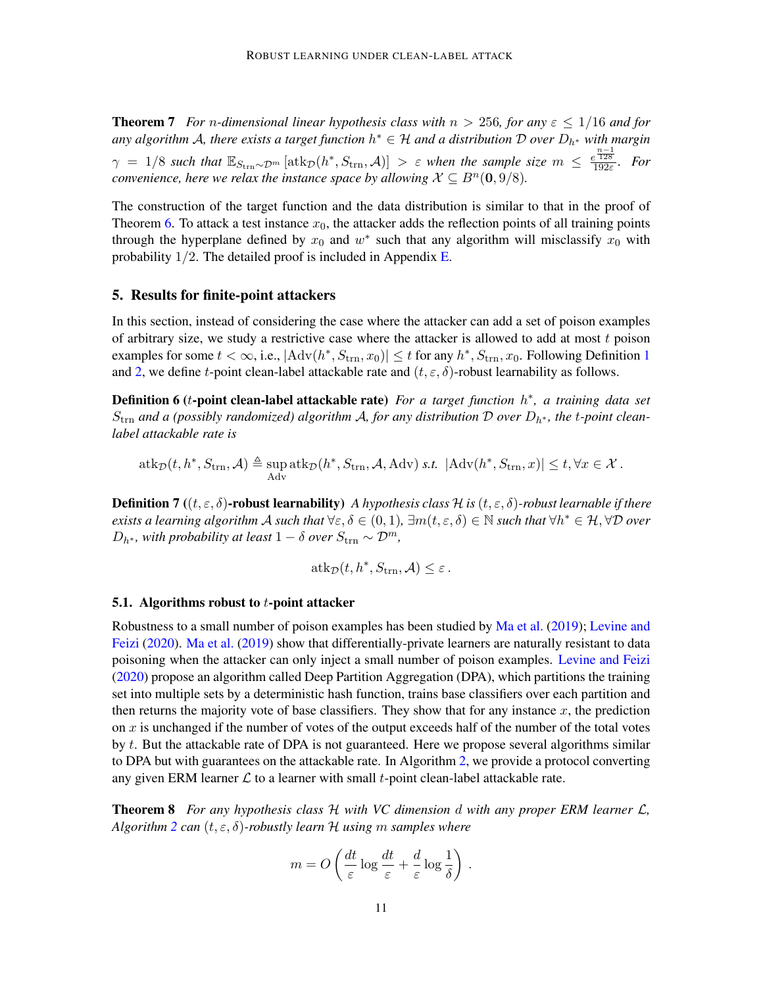**Theorem 7** *For n-dimensional linear hypothesis class with*  $n > 256$ *, for any*  $\varepsilon \leq 1/16$  *and for* any algorithm A, there exists a target function  $h^* \in \mathcal{H}$  and a distribution  $\mathcal D$  over  $D_{h^*}$  with margin  $\gamma = 1/8$  such that  $\mathbb{E}_{S_{\text{trn}} \sim \mathcal{D}^m} [\text{atk}_{\mathcal{D}}(h^*, S_{\text{trn}}, \mathcal{A})] > \varepsilon$  when the sample size  $m \leq \frac{e^{\frac{n-1}{128}}}{192\varepsilon}$ . For *convenience, here we relax the instance space by allowing*  $\mathcal{X} \subseteq B^n(\mathbf{0},9/8)$ *.* 

The construction of the target function and the data distribution is similar to that in the proof of Theorem [6.](#page-9-1) To attack a test instance  $x_0$ , the attacker adds the reflection points of all training points through the hyperplane defined by  $x_0$  and  $w^*$  such that any algorithm will misclassify  $x_0$  with probability  $1/2$ . The detailed proof is included in Appendix [E.](#page-32-0)

# <span id="page-10-0"></span>5. Results for finite-point attackers

In this section, instead of considering the case where the attacker can add a set of poison examples of arbitrary size, we study a restrictive case where the attacker is allowed to add at most  $t$  poison examples for some  $t < \infty$ , i.e.,  $|\text{Adv}(h^*, S_{\text{trn}}, x_0)| \le t$  for any  $h^*, S_{\text{trn}}, x_0$ . Following Definition [1](#page-2-0) and [2,](#page-3-1) we define t-point clean-label attackable rate and  $(t, \varepsilon, \delta)$ -robust learnability as follows.

**Definition 6 (t-point clean-label attackable rate)** For a target function  $h^*$ , a training data set  $S_{\text{trn}}$  and a (possibly randomized) algorithm A, for any distribution D over  $D_{h^*}$ , the t-point clean*label attackable rate is*

$$
\mathrm{atk}_\mathcal{D}(t, h^*, S_{\mathrm{trn}}, \mathcal{A}) \triangleq \sup_{\mathrm{Adv}} \mathrm{atk}_\mathcal{D}(h^*, S_{\mathrm{trn}}, \mathcal{A}, \mathrm{Adv}) \text{ s.t. } |\mathrm{Adv}(h^*, S_{\mathrm{trn}}, x)| \leq t, \forall x \in \mathcal{X}.
$$

**Definition 7** (( $t, \varepsilon, \delta$ )-robust learnability) *A hypothesis class*  $H$  *is* ( $t, \varepsilon, \delta$ )-robust learnable if there *exists a learning algorithm A such that*  $\forall \varepsilon, \delta \in (0,1)$ ,  $\exists m(t, \varepsilon, \delta) \in \mathbb{N}$  *such that*  $\forall h^* \in \mathcal{H}, \forall \mathcal{D}$  *over*  $D_{h^*}$ *, with probability at least*  $1 - \delta$  *over*  $S_{\text{trn}} \sim \mathcal{D}^m$ *,* 

$$
\mathrm{atk}_\mathcal{D}(t, h^*, S_{\mathrm{trn}}, \mathcal{A}) \leq \varepsilon.
$$

#### 5.1. Algorithms robust to  $t$ -point attacker

Robustness to a small number of poison examples has been studied by [Ma et al.](#page-15-6) [\(2019\)](#page-15-6); [Levine and](#page-15-7) [Feizi](#page-15-7) [\(2020\)](#page-15-7). [Ma et al.](#page-15-6) [\(2019\)](#page-15-6) show that differentially-private learners are naturally resistant to data poisoning when the attacker can only inject a small number of poison examples. [Levine and Feizi](#page-15-7) [\(2020\)](#page-15-7) propose an algorithm called Deep Partition Aggregation (DPA), which partitions the training set into multiple sets by a deterministic hash function, trains base classifiers over each partition and then returns the majority vote of base classifiers. They show that for any instance  $x$ , the prediction on x is unchanged if the number of votes of the output exceeds half of the number of the total votes by  $t$ . But the attackable rate of DPA is not guaranteed. Here we propose several algorithms similar to DPA but with guarantees on the attackable rate. In Algorithm [2,](#page-11-0) we provide a protocol converting any given ERM learner  $\mathcal L$  to a learner with small t-point clean-label attackable rate.

<span id="page-10-1"></span>Theorem 8 *For any hypothesis class* H *with VC dimension* d *with any proper ERM learner* L*, Algorithm* [2](#page-11-0) *can*  $(t, \varepsilon, \delta)$ *-robustly learn*  $H$  *using* m *samples where* 

$$
m = O\left(\frac{dt}{\varepsilon}\log\frac{dt}{\varepsilon} + \frac{d}{\varepsilon}\log\frac{1}{\delta}\right).
$$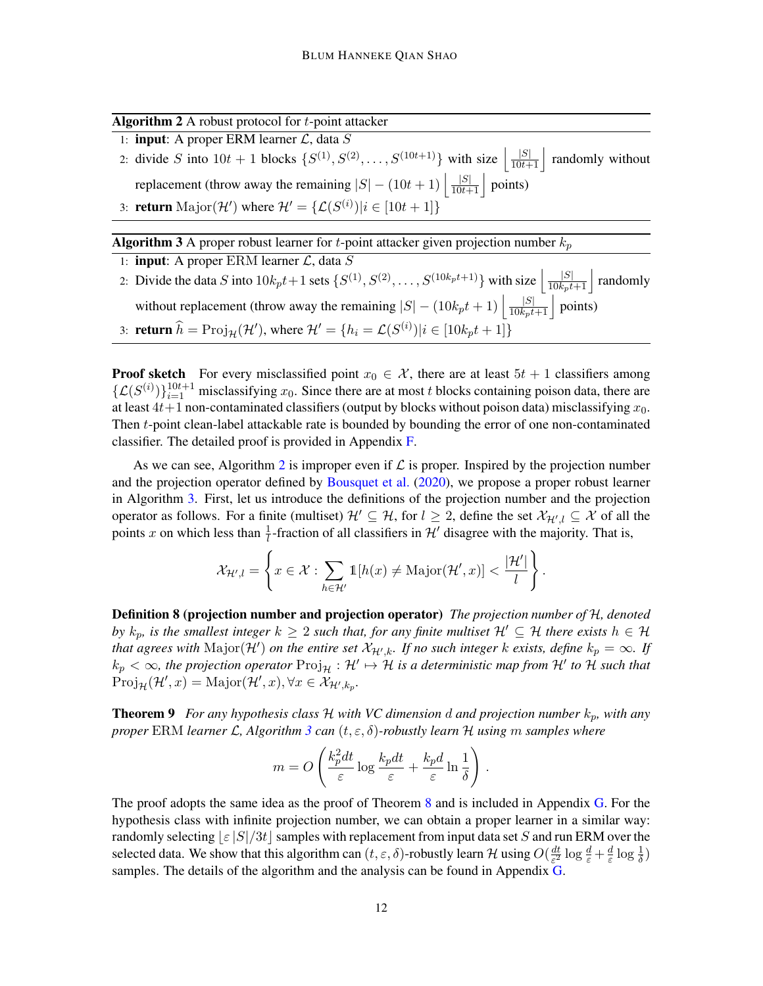Algorithm 2 A robust protocol for  $t$ -point attacker

<span id="page-11-0"></span>1: **input:** A proper ERM learner  $\mathcal{L}$ , data  $S$ 

2: divide S into  $10t + 1$  blocks  $\{S^{(1)}, S^{(2)}, \ldots, S^{(10t+1)}\}$  with size  $\left| \frac{|S|}{10t+1} \right|$  randomly without replacement (throw away the remaining  $|S| - (10t + 1) \left| \frac{|S|}{10t + 1} \right|$  points) 3: **return** Major( $\mathcal{H}'$ ) where  $\mathcal{H}' = {\mathcal{L}(S^{(i)}) | i \in [10t + 1]}$ 

**Algorithm 3** A proper robust learner for *t*-point attacker given projection number  $k_p$ 

<span id="page-11-1"></span>1: **input**: A proper ERM learner  $\mathcal{L}$ , data  $S$ 2: Divide the data S into  $10k_pt+1$  sets  $\{S^{(1)}, S^{(2)}, \ldots, S^{(10k_pt+1)}\}$  with size  $\left| \frac{|S|}{10k_pt+1} \right|$  randomly without replacement (throw away the remaining  $|S| - (10k_pt + 1) \left| \frac{|S|}{10k_pt + 1} \right|$  points) 3: **return**  $\widehat{h} = \text{Proj}_{\mathcal{H}}(\mathcal{H}')$ , where  $\mathcal{H}' = \{h_i = \mathcal{L}(S^{(i)}) | i \in [10k_pt + 1]\}$ 

**Proof sketch** For every misclassified point  $x_0 \in \mathcal{X}$ , there are at least  $5t + 1$  classifiers among  $\{\mathcal{L}(S^{(i)})\}_{i=1}^{10t+1}$  misclassifying  $x_0$ . Since there are at most t blocks containing poison data, there are at least  $4t+1$  non-contaminated classifiers (output by blocks without poison data) misclassifying  $x_0$ . Then t-point clean-label attackable rate is bounded by bounding the error of one non-contaminated classifier. The detailed proof is provided in Appendix [F.](#page-37-0)

As we can see, Algorithm [2](#page-11-0) is improper even if  $\mathcal L$  is proper. Inspired by the projection number and the projection operator defined by [Bousquet et al.](#page-14-10) [\(2020\)](#page-14-10), we propose a proper robust learner in Algorithm [3.](#page-11-1) First, let us introduce the definitions of the projection number and the projection operator as follows. For a finite (multiset)  $\mathcal{H}' \subseteq \mathcal{H}$ , for  $l \geq 2$ , define the set  $\mathcal{X}_{\mathcal{H}',l} \subseteq \mathcal{X}$  of all the points x on which less than  $\frac{1}{l}$ -fraction of all classifiers in H' disagree with the majority. That is,

$$
\mathcal{X}_{\mathcal{H}',l} = \left\{ x \in \mathcal{X} : \sum_{h \in \mathcal{H}'} \mathbb{1}[h(x) \neq \mathrm{Major}(\mathcal{H}', x)] < \frac{|\mathcal{H}'|}{l} \right\}.
$$

Definition 8 (projection number and projection operator) *The projection number of* H*, denoted by*  $k_p$ , is the smallest integer  $k \geq 2$  such that, for any finite multiset  $\mathcal{H}' \subseteq \mathcal{H}$  there exists  $h \in \mathcal{H}$ *that agrees with*  $\text{Major}(\mathcal{H}')$  *on the entire set*  $\mathcal{X}_{\mathcal{H}',k}$ *. If no such integer k exists, define*  $k_p = \infty$ *. If*  $k_p < \infty$ , the projection operator  $\text{Proj}_{\mathcal{H}} : \mathcal{H}' \mapsto \mathcal{H}$  is a deterministic map from  $\mathcal{H}'$  to  $\mathcal{H}$  such that  $\text{Proj}_{\mathcal{H}}(\mathcal{H}', x) = \text{Major}(\mathcal{H}', x), \forall x \in \mathcal{X}_{\mathcal{H}', k_p}.$ 

<span id="page-11-2"></span>**Theorem 9** *For any hypothesis class*  $H$  *with VC dimension d and projection number*  $k_p$ *, with any proper* ERM *learner* L*, Algorithm [3](#page-11-1) can* (t, ε, δ)*-robustly learn* H *using* m *samples where*

$$
m = O\left(\frac{k_p^2 dt}{\varepsilon} \log \frac{k_p dt}{\varepsilon} + \frac{k_p d}{\varepsilon} \ln \frac{1}{\delta}\right).
$$

The proof adopts the same idea as the proof of Theorem [8](#page-10-1) and is included in Appendix [G.](#page-39-0) For the hypothesis class with infinite projection number, we can obtain a proper learner in a similar way: randomly selecting  $|\varepsilon|S|/3t$  samples with replacement from input data set S and run ERM over the selected data. We show that this algorithm can  $(t, \varepsilon, \delta)$ -robustly learn H using  $O(\frac{dt}{\varepsilon^2})$  $rac{dt}{\varepsilon^2} \log \frac{d}{\varepsilon} + \frac{d}{\varepsilon}$  $\frac{d}{\varepsilon} \log \frac{1}{\delta}$ samples. The details of the algorithm and the analysis can be found in Appendix [G.](#page-39-0)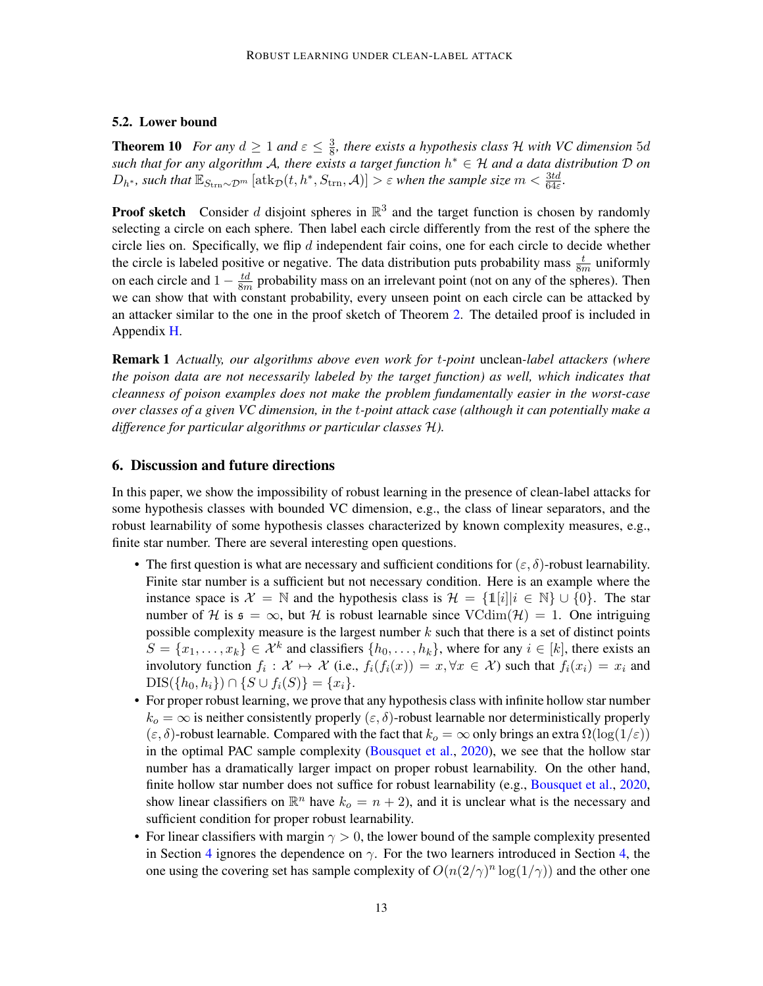# 5.2. Lower bound

<span id="page-12-0"></span>**Theorem 10** *For any*  $d \geq 1$  *and*  $\varepsilon \leq \frac{3}{8}$  $\frac{3}{8}$ , there exists a hypothesis class H with VC dimension 5d *such that for any algorithm* A*, there exists a target function* h <sup>∗</sup> ∈ H *and a data distribution* D *on*  $D_{h^*}$ , such that  $\mathbb{E}_{S_{\text{trn}}\sim\mathcal{D}^m}\left[\text{atk}_{\mathcal{D}}(t,h^*,S_{\text{trn}},\mathcal{A})\right] > \varepsilon$  when the sample size  $m < \frac{3td}{64\varepsilon}$ .

**Proof sketch** Consider d disjoint spheres in  $\mathbb{R}^3$  and the target function is chosen by randomly selecting a circle on each sphere. Then label each circle differently from the rest of the sphere the circle lies on. Specifically, we flip  $d$  independent fair coins, one for each circle to decide whether the circle is labeled positive or negative. The data distribution puts probability mass  $\frac{t}{8m}$  uniformly on each circle and  $1 - \frac{td}{8n}$  $\frac{td}{8m}$  probability mass on an irrelevant point (not on any of the spheres). Then we can show that with constant probability, every unseen point on each circle can be attacked by an attacker similar to the one in the proof sketch of Theorem [2.](#page-7-1) The detailed proof is included in Appendix [H.](#page-41-0)

Remark 1 *Actually, our algorithms above even work for* t*-point* unclean*-label attackers (where the poison data are not necessarily labeled by the target function) as well, which indicates that cleanness of poison examples does not make the problem fundamentally easier in the worst-case over classes of a given VC dimension, in the* t*-point attack case (although it can potentially make a difference for particular algorithms or particular classes* H*).*

### 6. Discussion and future directions

In this paper, we show the impossibility of robust learning in the presence of clean-label attacks for some hypothesis classes with bounded VC dimension, e.g., the class of linear separators, and the robust learnability of some hypothesis classes characterized by known complexity measures, e.g., finite star number. There are several interesting open questions.

- The first question is what are necessary and sufficient conditions for  $(\varepsilon, \delta)$ -robust learnability. Finite star number is a sufficient but not necessary condition. Here is an example where the instance space is  $\mathcal{X} = \mathbb{N}$  and the hypothesis class is  $\mathcal{H} = \{1[i]|i \in \mathbb{N}\} \cup \{0\}$ . The star number of H is  $\mathfrak{s} = \infty$ , but H is robust learnable since  $\text{VCdim}(\mathcal{H}) = 1$ . One intriguing possible complexity measure is the largest number  $k$  such that there is a set of distinct points  $S = \{x_1, \ldots, x_k\} \in \mathcal{X}^k$  and classifiers  $\{h_0, \ldots, h_k\}$ , where for any  $i \in [k]$ , there exists an involutory function  $f_i: \mathcal{X} \mapsto \mathcal{X}$  (i.e.,  $f_i(f_i(x)) = x, \forall x \in \mathcal{X}$ ) such that  $f_i(x_i) = x_i$  and  $DIS({h_0, h_i}) \cap {S \cup f_i(S)} = {x_i}.$
- For proper robust learning, we prove that any hypothesis class with infinite hollow star number  $k_o = \infty$  is neither consistently properly  $(\varepsilon, \delta)$ -robust learnable nor deterministically properly  $(\varepsilon, \delta)$ -robust learnable. Compared with the fact that  $k_o = \infty$  only brings an extra  $\Omega(\log(1/\varepsilon))$ in the optimal PAC sample complexity [\(Bousquet et al.,](#page-14-10) [2020\)](#page-14-10), we see that the hollow star number has a dramatically larger impact on proper robust learnability. On the other hand, finite hollow star number does not suffice for robust learnability (e.g., [Bousquet et al.,](#page-14-10) [2020,](#page-14-10) show linear classifiers on  $\mathbb{R}^n$  have  $k_o = n + 2$ ), and it is unclear what is the necessary and sufficient condition for proper robust learnability.
- For linear classifiers with margin  $\gamma > 0$ , the lower bound of the sample complexity presented in Section [4](#page-7-0) ignores the dependence on  $\gamma$ . For the two learners introduced in Section [4,](#page-7-0) the one using the covering set has sample complexity of  $O(n(2/\gamma)^n \log(1/\gamma))$  and the other one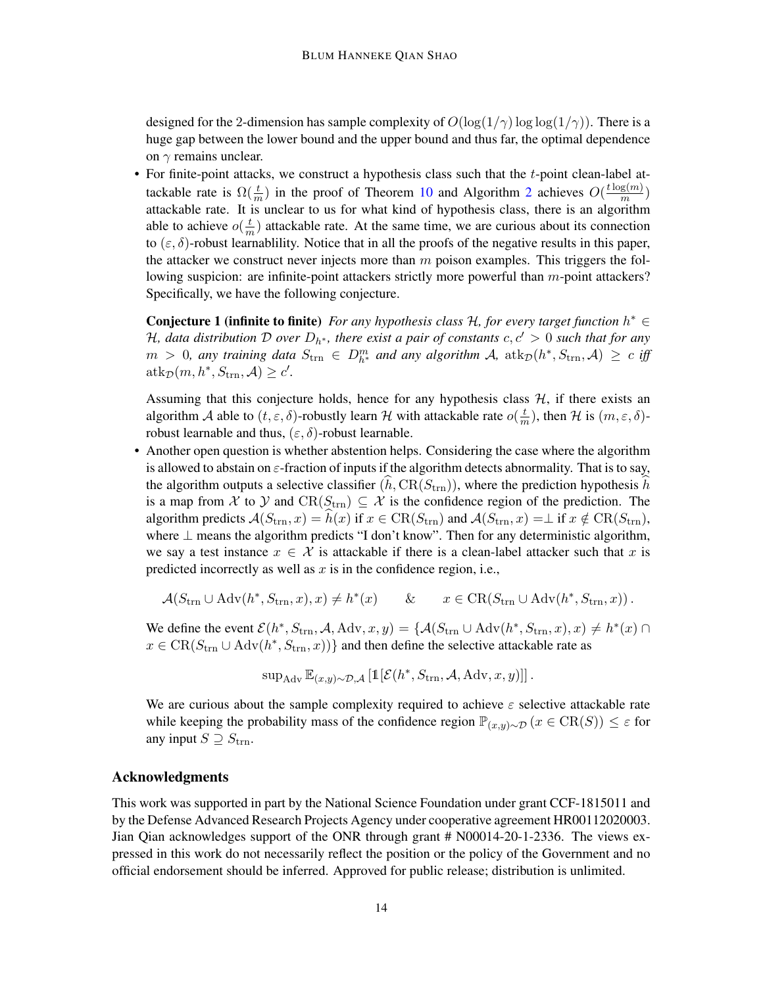designed for the 2-dimension has sample complexity of  $O(\log(1/\gamma) \log \log(1/\gamma))$ . There is a huge gap between the lower bound and the upper bound and thus far, the optimal dependence on  $\gamma$  remains unclear.

• For finite-point attacks, we construct a hypothesis class such that the *t*-point clean-label attackable rate is  $\Omega(\frac{t}{m})$  in the proof of Theorem [10](#page-12-0) and Algorithm [2](#page-11-0) achieves  $O(\frac{t \log(m)}{m})$  $\frac{\mathbf{g}(m)}{m}$ ) attackable rate. It is unclear to us for what kind of hypothesis class, there is an algorithm able to achieve  $o(\frac{t}{n})$  $\frac{t}{m}$ ) attackable rate. At the same time, we are curious about its connection to  $(\varepsilon, \delta)$ -robust learnablility. Notice that in all the proofs of the negative results in this paper, the attacker we construct never injects more than  $m$  poison examples. This triggers the following suspicion: are infinite-point attackers strictly more powerful than  $m$ -point attackers? Specifically, we have the following conjecture.

Conjecture 1 (infinite to finite) *For any hypothesis class H, for every target function*  $h^* \in$ H, data distribution D over  $D_{h^*}$ , there exist a pair of constants  $c, c' > 0$  such that for any  $m > 0$ , any training data  $S_{\text{trn}} \in D_{h^*}^m$  and any algorithm A,  $\text{atk}_{\mathcal{D}}(h^*, S_{\text{trn}}, \mathcal{A}) \geq c$  iff  $\mathrm{atk}_{\mathcal{D}}(m, h^*, S_{\mathrm{trn}}, \mathcal{A}) \geq c'.$ 

Assuming that this conjecture holds, hence for any hypothesis class  $H$ , if there exists an algorithm A able to  $(t, \varepsilon, \delta)$ -robustly learn H with attackable rate  $o(\frac{t}{n})$  $\frac{t}{m}$ ), then H is  $(m, \varepsilon, \delta)$ robust learnable and thus,  $(\varepsilon, \delta)$ -robust learnable.

• Another open question is whether abstention helps. Considering the case where the algorithm is allowed to abstain on  $\varepsilon$ -fraction of inputs if the algorithm detects abnormality. That is to say, the algorithm outputs a selective classifier  $(h, CR(S_{trn}))$ , where the prediction hypothesis h is a map from X to Y and  $CR(S_{trn}) \subseteq \mathcal{X}$  is the confidence region of the prediction. The algorithm predicts  $\mathcal{A}(S_{\text{trn}}, x) = h(x)$  if  $x \in \text{CR}(S_{\text{trn}})$  and  $\mathcal{A}(S_{\text{trn}}, x) = \perp$  if  $x \notin \text{CR}(S_{\text{trn}})$ , where  $\perp$  means the algorithm predicts "I don't know". Then for any deterministic algorithm, we say a test instance  $x \in \mathcal{X}$  is attackable if there is a clean-label attacker such that x is predicted incorrectly as well as  $x$  is in the confidence region, i.e.,

$$
\mathcal{A}(S_{\text{trn}} \cup \text{Adv}(h^*, S_{\text{trn}}, x), x) \neq h^*(x) \qquad \& \qquad x \in \text{CR}(S_{\text{trn}} \cup \text{Adv}(h^*, S_{\text{trn}}, x)).
$$

We define the event  $\mathcal{E}(h^*, S_{\text{trn}}, \mathcal{A}, \text{Adv}, x, y) = \{ \mathcal{A}(S_{\text{trn}} \cup \text{Adv}(h^*, S_{\text{trn}}, x), x) \neq h^*(x) \cap$  $x \in \text{CR}(S_{\text{trn}} \cup \text{Adv}(h^*, S_{\text{trn}}, x))$  and then define the selective attackable rate as

$$
\sup_{\text{Adv}} \mathbb{E}_{(x,y)\sim\mathcal{D},\mathcal{A}}\left[\mathbb{1}[\mathcal{E}(h^*, S_{\text{trn}}, \mathcal{A}, \text{Adv}, x, y)]\right].
$$

We are curious about the sample complexity required to achieve  $\varepsilon$  selective attackable rate while keeping the probability mass of the confidence region  $\mathbb{P}_{(x,y)\sim\mathcal{D}}(x \in \text{CR}(S)) \leq \varepsilon$  for any input  $S \supseteq S_{\text{trn}}$ .

# Acknowledgments

This work was supported in part by the National Science Foundation under grant CCF-1815011 and by the Defense Advanced Research Projects Agency under cooperative agreement HR00112020003. Jian Qian acknowledges support of the ONR through grant # N00014-20-1-2336. The views expressed in this work do not necessarily reflect the position or the policy of the Government and no official endorsement should be inferred. Approved for public release; distribution is unlimited.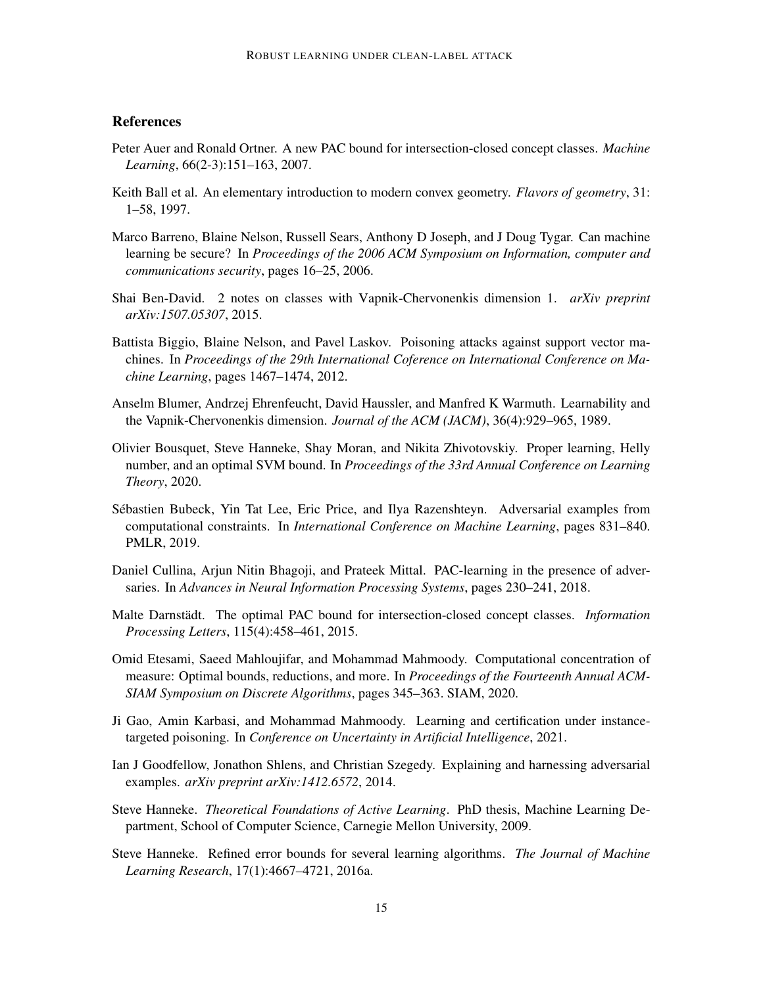# **References**

- <span id="page-14-8"></span>Peter Auer and Ronald Ortner. A new PAC bound for intersection-closed concept classes. *Machine Learning*, 66(2-3):151–163, 2007.
- <span id="page-14-14"></span>Keith Ball et al. An elementary introduction to modern convex geometry. *Flavors of geometry*, 31: 1–58, 1997.
- <span id="page-14-2"></span>Marco Barreno, Blaine Nelson, Russell Sears, Anthony D Joseph, and J Doug Tygar. Can machine learning be secure? In *Proceedings of the 2006 ACM Symposium on Information, computer and communications security*, pages 16–25, 2006.
- <span id="page-14-7"></span>Shai Ben-David. 2 notes on classes with Vapnik-Chervonenkis dimension 1. *arXiv preprint arXiv:1507.05307*, 2015.
- <span id="page-14-1"></span>Battista Biggio, Blaine Nelson, and Pavel Laskov. Poisoning attacks against support vector machines. In *Proceedings of the 29th International Coference on International Conference on Machine Learning*, pages 1467–1474, 2012.
- <span id="page-14-13"></span>Anselm Blumer, Andrzej Ehrenfeucht, David Haussler, and Manfred K Warmuth. Learnability and the Vapnik-Chervonenkis dimension. *Journal of the ACM (JACM)*, 36(4):929–965, 1989.
- <span id="page-14-10"></span>Olivier Bousquet, Steve Hanneke, Shay Moran, and Nikita Zhivotovskiy. Proper learning, Helly number, and an optimal SVM bound. In *Proceedings of the 33rd Annual Conference on Learning Theory*, 2020.
- <span id="page-14-5"></span>Sebastien Bubeck, Yin Tat Lee, Eric Price, and Ilya Razenshteyn. Adversarial examples from ´ computational constraints. In *International Conference on Machine Learning*, pages 831–840. PMLR, 2019.
- <span id="page-14-6"></span>Daniel Cullina, Arjun Nitin Bhagoji, and Prateek Mittal. PAC-learning in the presence of adversaries. In *Advances in Neural Information Processing Systems*, pages 230–241, 2018.
- <span id="page-14-12"></span>Malte Darnstädt. The optimal PAC bound for intersection-closed concept classes. *Information Processing Letters*, 115(4):458–461, 2015.
- <span id="page-14-0"></span>Omid Etesami, Saeed Mahloujifar, and Mohammad Mahmoody. Computational concentration of measure: Optimal bounds, reductions, and more. In *Proceedings of the Fourteenth Annual ACM-SIAM Symposium on Discrete Algorithms*, pages 345–363. SIAM, 2020.
- <span id="page-14-3"></span>Ji Gao, Amin Karbasi, and Mohammad Mahmoody. Learning and certification under instancetargeted poisoning. In *Conference on Uncertainty in Artificial Intelligence*, 2021.
- <span id="page-14-4"></span>Ian J Goodfellow, Jonathon Shlens, and Christian Szegedy. Explaining and harnessing adversarial examples. *arXiv preprint arXiv:1412.6572*, 2014.
- <span id="page-14-11"></span>Steve Hanneke. *Theoretical Foundations of Active Learning*. PhD thesis, Machine Learning Department, School of Computer Science, Carnegie Mellon University, 2009.
- <span id="page-14-9"></span>Steve Hanneke. Refined error bounds for several learning algorithms. *The Journal of Machine Learning Research*, 17(1):4667–4721, 2016a.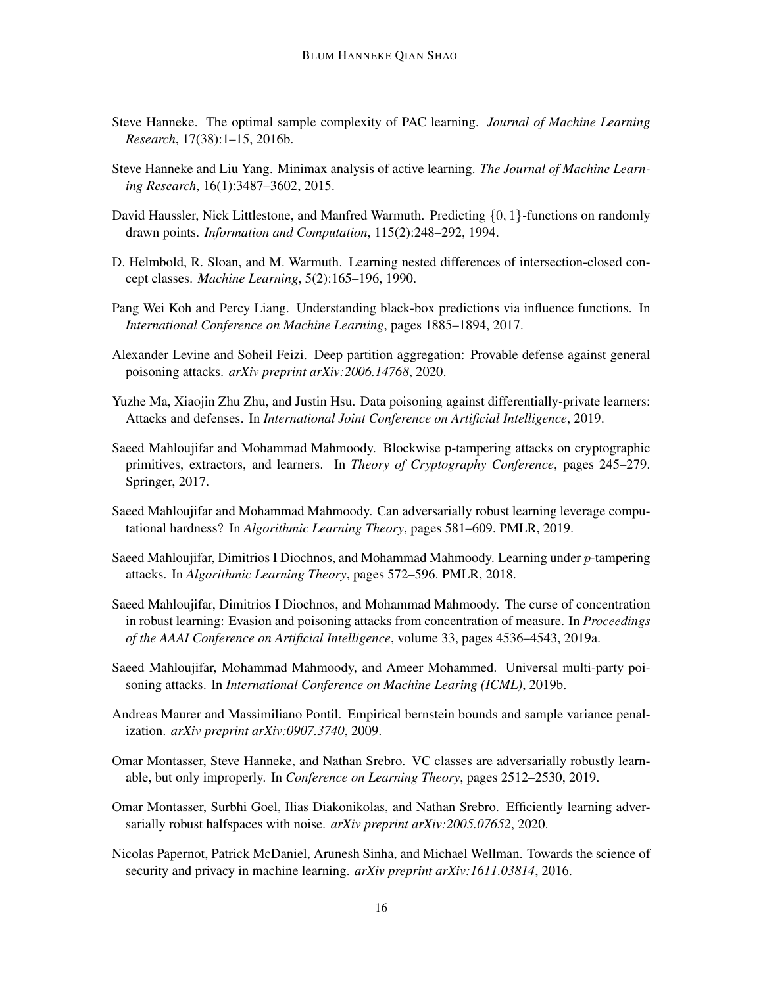- <span id="page-15-14"></span>Steve Hanneke. The optimal sample complexity of PAC learning. *Journal of Machine Learning Research*, 17(38):1–15, 2016b.
- <span id="page-15-12"></span>Steve Hanneke and Liu Yang. Minimax analysis of active learning. *The Journal of Machine Learning Research*, 16(1):3487–3602, 2015.
- <span id="page-15-13"></span>David Haussler, Nick Littlestone, and Manfred Warmuth. Predicting  $\{0, 1\}$ -functions on randomly drawn points. *Information and Computation*, 115(2):248–292, 1994.
- <span id="page-15-11"></span>D. Helmbold, R. Sloan, and M. Warmuth. Learning nested differences of intersection-closed concept classes. *Machine Learning*, 5(2):165–196, 1990.
- <span id="page-15-8"></span>Pang Wei Koh and Percy Liang. Understanding black-box predictions via influence functions. In *International Conference on Machine Learning*, pages 1885–1894, 2017.
- <span id="page-15-7"></span>Alexander Levine and Soheil Feizi. Deep partition aggregation: Provable defense against general poisoning attacks. *arXiv preprint arXiv:2006.14768*, 2020.
- <span id="page-15-6"></span>Yuzhe Ma, Xiaojin Zhu Zhu, and Justin Hsu. Data poisoning against differentially-private learners: Attacks and defenses. In *International Joint Conference on Artificial Intelligence*, 2019.
- <span id="page-15-0"></span>Saeed Mahloujifar and Mohammad Mahmoody. Blockwise p-tampering attacks on cryptographic primitives, extractors, and learners. In *Theory of Cryptography Conference*, pages 245–279. Springer, 2017.
- <span id="page-15-3"></span>Saeed Mahloujifar and Mohammad Mahmoody. Can adversarially robust learning leverage computational hardness? In *Algorithmic Learning Theory*, pages 581–609. PMLR, 2019.
- <span id="page-15-1"></span>Saeed Mahloujifar, Dimitrios I Diochnos, and Mohammad Mahmoody. Learning under p-tampering attacks. In *Algorithmic Learning Theory*, pages 572–596. PMLR, 2018.
- <span id="page-15-4"></span>Saeed Mahloujifar, Dimitrios I Diochnos, and Mohammad Mahmoody. The curse of concentration in robust learning: Evasion and poisoning attacks from concentration of measure. In *Proceedings of the AAAI Conference on Artificial Intelligence*, volume 33, pages 4536–4543, 2019a.
- <span id="page-15-2"></span>Saeed Mahloujifar, Mohammad Mahmoody, and Ameer Mohammed. Universal multi-party poisoning attacks. In *International Conference on Machine Learing (ICML)*, 2019b.
- <span id="page-15-15"></span>Andreas Maurer and Massimiliano Pontil. Empirical bernstein bounds and sample variance penalization. *arXiv preprint arXiv:0907.3740*, 2009.
- <span id="page-15-9"></span>Omar Montasser, Steve Hanneke, and Nathan Srebro. VC classes are adversarially robustly learnable, but only improperly. In *Conference on Learning Theory*, pages 2512–2530, 2019.
- <span id="page-15-10"></span>Omar Montasser, Surbhi Goel, Ilias Diakonikolas, and Nathan Srebro. Efficiently learning adversarially robust halfspaces with noise. *arXiv preprint arXiv:2005.07652*, 2020.
- <span id="page-15-5"></span>Nicolas Papernot, Patrick McDaniel, Arunesh Sinha, and Michael Wellman. Towards the science of security and privacy in machine learning. *arXiv preprint arXiv:1611.03814*, 2016.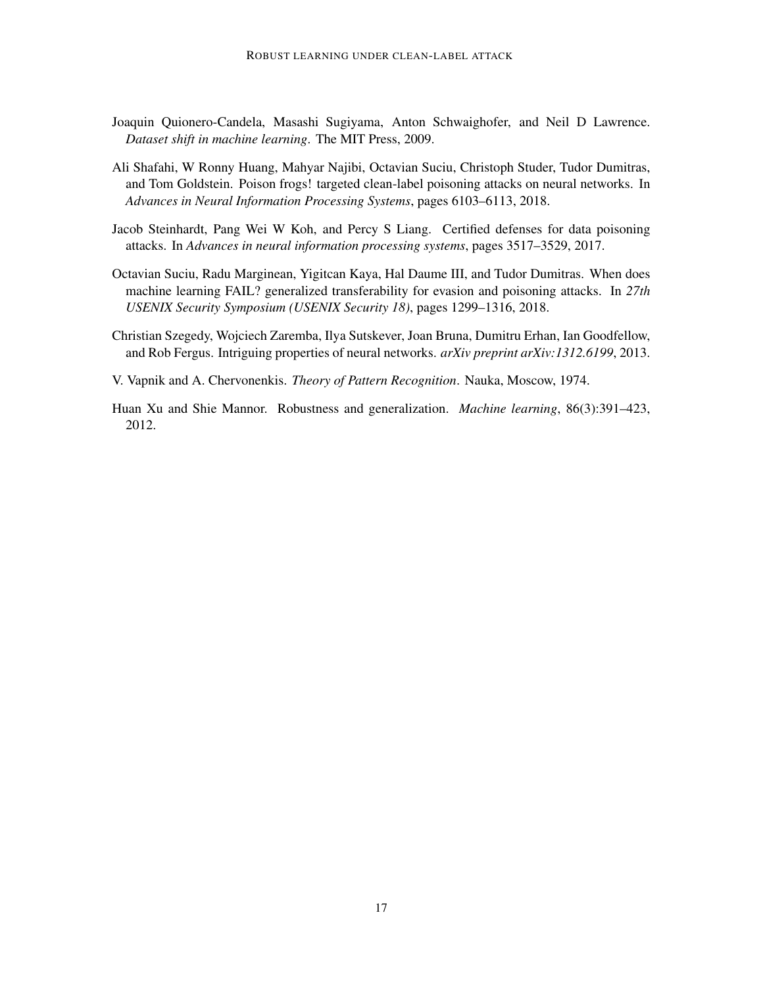- <span id="page-16-5"></span>Joaquin Quionero-Candela, Masashi Sugiyama, Anton Schwaighofer, and Neil D Lawrence. *Dataset shift in machine learning*. The MIT Press, 2009.
- <span id="page-16-0"></span>Ali Shafahi, W Ronny Huang, Mahyar Najibi, Octavian Suciu, Christoph Studer, Tudor Dumitras, and Tom Goldstein. Poison frogs! targeted clean-label poisoning attacks on neural networks. In *Advances in Neural Information Processing Systems*, pages 6103–6113, 2018.
- <span id="page-16-2"></span>Jacob Steinhardt, Pang Wei W Koh, and Percy S Liang. Certified defenses for data poisoning attacks. In *Advances in neural information processing systems*, pages 3517–3529, 2017.
- <span id="page-16-1"></span>Octavian Suciu, Radu Marginean, Yigitcan Kaya, Hal Daume III, and Tudor Dumitras. When does machine learning FAIL? generalized transferability for evasion and poisoning attacks. In *27th USENIX Security Symposium (USENIX Security 18)*, pages 1299–1316, 2018.
- <span id="page-16-3"></span>Christian Szegedy, Wojciech Zaremba, Ilya Sutskever, Joan Bruna, Dumitru Erhan, Ian Goodfellow, and Rob Fergus. Intriguing properties of neural networks. *arXiv preprint arXiv:1312.6199*, 2013.
- <span id="page-16-6"></span>V. Vapnik and A. Chervonenkis. *Theory of Pattern Recognition*. Nauka, Moscow, 1974.
- <span id="page-16-4"></span>Huan Xu and Shie Mannor. Robustness and generalization. *Machine learning*, 86(3):391–423, 2012.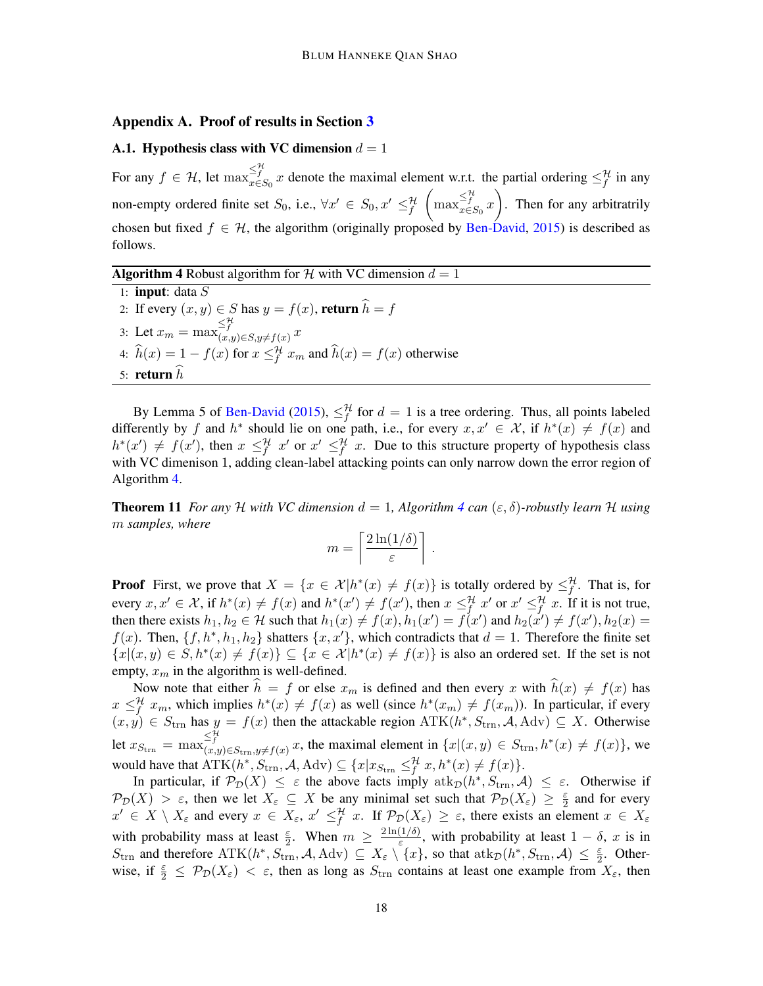### <span id="page-17-2"></span>Appendix A. Proof of results in Section [3](#page-4-0)

### <span id="page-17-1"></span>A.1. Hypothesis class with VC dimension  $d = 1$

For any  $f \in \mathcal{H}$ , let  $\max_{x \in S_0}^{\leq \frac{H}{f}} x$  denote the maximal element w.r.t. the partial ordering  $\leq_f^{\mathcal{H}}$  in any non-empty ordered finite set  $S_0$ , i.e.,  $\forall x' \in S_0, x' \leq^{\mathcal{H}}_f$  $\left(\max_{x \in S_0} \frac{\leq t}{x}\right)$ . Then for any arbitratrily chosen but fixed  $f \in \mathcal{H}$ , the algorithm (originally proposed by [Ben-David,](#page-14-7) [2015\)](#page-14-7) is described as follows.

**Algorithm 4** Robust algorithm for  $\mathcal{H}$  with VC dimension  $d = 1$ 

<span id="page-17-0"></span>1: **input**: data  $S$ 2: If every  $(x, y) \in S$  has  $y = f(x)$ , return  $h = f$ 3: Let  $x_m = \max_{(x,y)\in S, y\neq f(x)}^{\leq \mathcal{H}} x$ 4:  $\hat{h}(x) = 1 - f(x)$  for  $x \leq f^{\mathcal{H}} x_m$  and  $\hat{h}(x) = f(x)$  otherwise 5: return  $h$ 

By Lemma 5 of [Ben-David](#page-14-7) [\(2015\)](#page-14-7),  $\leq_f^{\mathcal{H}}$  for  $d=1$  is a tree ordering. Thus, all points labeled differently by f and  $h^*$  should lie on one path, i.e., for every  $x, x' \in \mathcal{X}$ , if  $h^*(x) \neq f(x)$  and  $h^*(x') \neq f(x')$ , then  $x \leq^{\mathcal{H}}_f x'$  or  $x' \leq^{\mathcal{H}}_f x$ . Due to this structure property of hypothesis class with VC dimenison 1, adding clean-label attacking points can only narrow down the error region of Algorithm [4.](#page-17-0)

**Theorem 11** *For any* H *with VC dimension*  $d = 1$ *, Algorithm* [4](#page-17-0) *can*  $(\varepsilon, \delta)$ *-robustly learn* H *using* m *samples, where*

$$
m = \left\lceil \frac{2\ln(1/\delta)}{\varepsilon} \right\rceil.
$$

**Proof** First, we prove that  $X = \{x \in \mathcal{X} | h^*(x) \neq f(x) \}$  is totally ordered by  $\leq_f^{\mathcal{H}}$ . That is, for every  $x, x' \in \mathcal{X}$ , if  $h^*(x) \neq f(x)$  and  $h^*(x') \neq f(x')$ , then  $x \leq_f^{\mathcal{H}} x'$  or  $x' \leq_f^{\mathcal{H}} x$ . If it is not true, then there exists  $h_1, h_2 \in \mathcal{H}$  such that  $h_1(x) \neq f(x), h_1(x') = f(x')$  and  $h_2(x') \neq f(x'), h_2(x) =$  $f(x)$ . Then,  $\{f, h^*, h_1, h_2\}$  shatters  $\{x, x'\}$ , which contradicts that  $d = 1$ . Therefore the finite set  ${x|(x,y) \in S, h^*(x) \neq f(x)} \subseteq {x \in \mathcal{X}|h^*(x) \neq f(x)}$  is also an ordered set. If the set is not empty,  $x_m$  in the algorithm is well-defined.

Now note that either  $\hat{h} = f$  or else  $x_m$  is defined and then every x with  $\hat{h}(x) \neq f(x)$  has  $x \leq_f^{\mathcal{H}} x_m$ , which implies  $h^*(x) \neq f(x)$  as well (since  $h^*(x_m) \neq f(x_m)$ ). In particular, if every  $(x, y) \in S_{trn}$  has  $y = f(x)$  then the attackable region  $\text{ATK}(h^*, S_{trn}, \mathcal{A}, \text{Adv}) \subseteq X$ . Otherwise let  $x_{S_{\text{trn}}} = \max_{(x,y)\in S_{\text{trn}}, y\neq f(x)}^{\leq^{\mathcal{H}} x} x$ , the maximal element in  $\{x | (x, y) \in S_{\text{trn}}, h^*(x) \neq f(x)\}$ , we would have that  $\text{ATK}(h^*, S_{\text{trn}}, \mathcal{A}, \text{Adv}) \subseteq \{x | x_{S_{\text{trn}}}\leq^{\mathcal{H}}_{f} x, h^*(x) \neq f(x)\}.$ 

In particular, if  $\mathcal{P}_\mathcal{D}(X) \leq \varepsilon$  the above facts imply  $\text{atk}_{\mathcal{D}}(h^*, S_{\text{trn}}, \mathcal{A}) \leq \varepsilon$ . Otherwise if  $\mathcal{P}_{\mathcal{D}}(X) > \varepsilon$ , then we let  $X_{\varepsilon} \subseteq X$  be any minimal set such that  $\mathcal{P}_{\mathcal{D}}(X_{\varepsilon}) \geq \frac{\varepsilon}{2}$  $\frac{\varepsilon}{2}$  and for every  $x' \in X \setminus X_{\varepsilon}$  and every  $x \in X_{\varepsilon}$ ,  $x' \leq^{\mathcal{H}}_{f} x$ . If  $\mathcal{P}_{\mathcal{D}}(X_{\varepsilon}) \geq \varepsilon$ , there exists an element  $x \in X_{\varepsilon}$ with probability mass at least  $\frac{\varepsilon}{2}$ . When  $m \geq \frac{2\ln(1/\delta)}{\varepsilon}$  $\frac{(1/\delta)}{\varepsilon}$ , with probability at least  $1 - \delta$ , x is in  $S_{\text{trn}}$  and therefore  $\text{ATK}(h^*, S_{\text{trn}}^*, \mathcal{A}, \text{Adv}) \subseteq X_\varepsilon \setminus \{x\}$ , so that  $\text{atk}_{\mathcal{D}}(h^*, S_{\text{trn}}, \mathcal{A}) \leq \frac{\varepsilon}{2}$  $\frac{\varepsilon}{2}$ . Otherwise, if  $\frac{\varepsilon}{2} \leq \mathcal{P}_{\mathcal{D}}(X_{\varepsilon}) < \varepsilon$ , then as long as  $S_{\text{trn}}$  contains at least one example from  $X_{\varepsilon}$ , then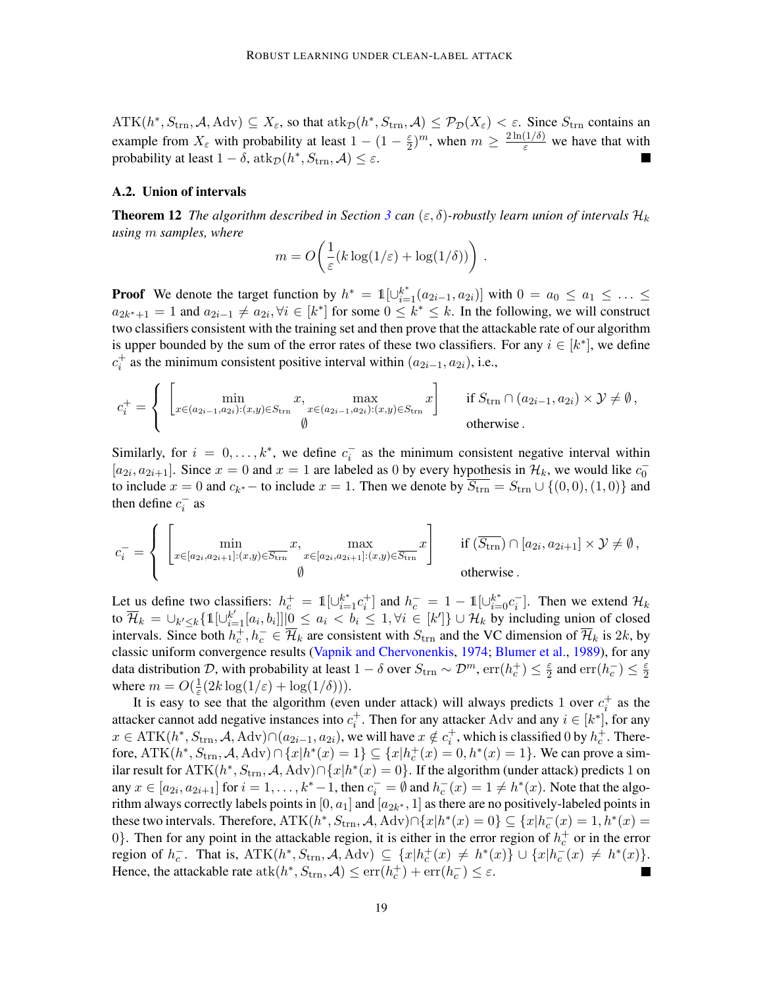$\text{ATK}(h^*, S_{\text{trn}}, \mathcal{A}, \text{Adv}) \subseteq X_{\varepsilon}$ , so that  $\text{atk}_{\mathcal{D}}(h^*, S_{\text{trn}}, \mathcal{A}) \leq \mathcal{P}_{\mathcal{D}}(X_{\varepsilon}) < \varepsilon$ . Since  $S_{\text{trn}}$  contains an example from  $X_{\varepsilon}$  with probability at least  $1 - (1 - \frac{\varepsilon}{2})$  $\frac{\varepsilon}{2}$ )<sup>*m*</sup>, when  $m \ge \frac{2 \ln(1/\delta)}{\varepsilon}$  we have that with probability at least  $1 - \delta$ ,  $\mathrm{atk}_{\mathcal{D}}(h^*, S_{\mathrm{trn}}, \mathcal{A}) \leq \varepsilon$ .

## <span id="page-18-0"></span>A.2. Union of intervals

**Theorem 12** *The algorithm described in Section [3](#page-4-0) can* ( $\varepsilon$ ,  $\delta$ )*-robustly learn union of intervals*  $\mathcal{H}_k$ *using* m *samples, where*

$$
m = O\left(\frac{1}{\varepsilon}(k\log(1/\varepsilon) + \log(1/\delta))\right).
$$

**Proof** We denote the target function by  $h^* = \mathbb{1}[\cup_{i=1}^{k^*} (a_{2i-1}, a_{2i})]$  with  $0 = a_0 \le a_1 \le ... \le a_n$  $a_{2k^*+1} = 1$  and  $a_{2i-1} \neq a_{2i}, \forall i \in [k^*]$  for some  $0 \leq k^* \leq k$ . In the following, we will construct two classifiers consistent with the training set and then prove that the attackable rate of our algorithm is upper bounded by the sum of the error rates of these two classifiers. For any  $i \in [k^*]$ , we define  $c_i^+$  as the minimum consistent positive interval within  $(a_{2i-1}, a_{2i})$ , i.e.,

$$
c_i^+ = \begin{cases} \begin{bmatrix} \min & x, \\ x \in (a_{2i-1}, a_{2i}): (x, y) \in S_{\text{trn}} & x \in (a_{2i-1}, a_{2i}): (x, y) \in S_{\text{trn}} & x \end{bmatrix} & \text{if } S_{\text{trn}} \cap (a_{2i-1}, a_{2i}) \times \mathcal{Y} \neq \emptyset, \\ \emptyset & \text{otherwise.} \end{bmatrix}
$$

Similarly, for  $i = 0, \ldots, k^*$ , we define  $c_i^-$  as the minimum consistent negative interval within  $[a_{2i}, a_{2i+1}]$ . Since  $x = 0$  and  $x = 1$  are labeled as 0 by every hypothesis in  $\mathcal{H}_k$ , we would like  $c_0^$ to include  $x = 0$  and  $c_{k^*}$  – to include  $x = 1$ . Then we denote by  $S_{\text{trn}} = S_{\text{trn}} \cup \{(0,0), (1,0)\}$  and then define  $c_i^-$  as

$$
c_i^- = \begin{cases} \begin{bmatrix} \min_{x \in [a_{2i}, a_{2i+1}]: (x,y) \in \overline{S_{\text{trn}}}} x, & \max_{x \in [a_{2i}, a_{2i+1}]: (x,y) \in \overline{S_{\text{trn}}}} x \end{bmatrix} & \text{if } (\overline{S_{\text{trn}}}) \cap [a_{2i}, a_{2i+1}] \times \mathcal{Y} \neq \emptyset, \\ \emptyset & \text{otherwise.} \end{bmatrix} \end{cases}
$$

Let us define two classifiers:  $h_c^+ = 1 \left[\cup_{i=1}^{k^*} c_i^+\right]$  and  $h_c^- = 1 - 1 \left[\cup_{i=0}^{k^*} c_i^-\right]$ . Then we extend  $\mathcal{H}_k$ to  $\overline{\mathcal{H}}_k = \bigcup_{k' \leq k} {\{\mathbb{1}[\bigcup_{i=1}^{k'} [a_i, b_i]]\big| 0 \leq a_i < b_i \leq 1, \forall i \in [k']\}} \cup \mathcal{H}_k$  by including union of closed intervals. Since both  $h_c^+, h_c^- \in \overline{\mathcal{H}}_k$  are consistent with  $S_{\text{trn}}$  and the VC dimension of  $\overline{\mathcal{H}}_k$  is 2k, by classic uniform convergence results [\(Vapnik and Chervonenkis,](#page-16-6) [1974;](#page-16-6) [Blumer et al.,](#page-14-13) [1989\)](#page-14-13), for any data distribution D, with probability at least  $1-\delta$  over  $S_{\text{trn}} \sim \mathcal{D}^m$ ,  $\text{err}(h_c^+) \leq \frac{\varepsilon}{2}$  $\frac{\varepsilon}{2}$  and  $\text{err}(h_c^-) \leq \frac{\varepsilon}{2}$ 2 where  $m = O(\frac{1}{\varepsilon})$  $\frac{1}{\varepsilon}(2k\log(1/\varepsilon)+\log(1/\delta))).$ 

It is easy to see that the algorithm (even under attack) will always predicts 1 over  $c_i^+$  as the attacker cannot add negative instances into  $c_i^+$ . Then for any attacker Adv and any  $i \in [k^*]$ , for any  $x \in \mathrm{ATK}(h^*, S_{\mathrm{trn}}, \mathcal{A}, \mathrm{Adv}) \cap (a_{2i-1}, a_{2i}),$  we will have  $x \notin c_i^+$ , which is classified 0 by  $h_c^+$ . Therefore,  $\text{ATK}(h^*, S_{\text{trn}}, \mathcal{A}, \text{Adv}) \cap \{x | h^*(x) = 1\} \subseteq \{x | h_c^+(x) = 0, h^*(x) = 1\}.$  We can prove a similar result for  $ATK(h^*, S_{trn}, A, Adv) \cap \{x|h^*(x) = 0\}$ . If the algorithm (under attack) predicts 1 on any  $x \in [a_{2i}, a_{2i+1}]$  for  $i = 1, \ldots, k^* - 1$ , then  $c_i^- = \emptyset$  and  $h_c^-(x) = 1 \neq h^*(x)$ . Note that the algorithm always correctly labels points in  $[0,a_1]$  and  $[a_{2k^\ast},1]$  as there are no positively-labeled points in these two intervals. Therefore,  $ATK(h^*, S_{trn}, A, Adv) \cap \{x | h^*(x) = 0\} \subseteq \{x | h_c^-(x) = 1, h^*(x) = 0\}$ 0}. Then for any point in the attackable region, it is either in the error region of  $h_c^+$  or in the error region of  $h_c^-$ . That is,  $ATK(h^*, S_{trn}, A, Adv) \subseteq \{x|h_c^+(x) \neq h^*(x)\} \cup \{x|h_c^-(x) \neq h^*(x)\}.$ Hence, the attackable rate  $\text{atk}(h^*, S_{\text{trn}}, \mathcal{A}) \le \text{err}(h_c^+) + \text{err}(h_c^-) \le \varepsilon$ .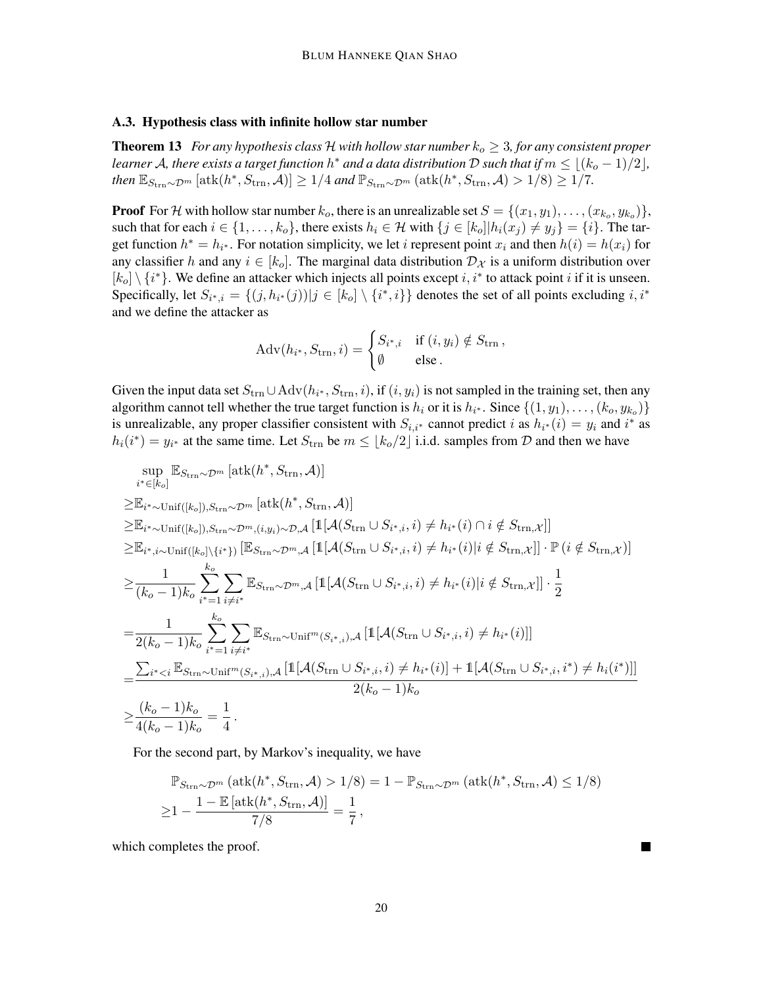### <span id="page-19-0"></span>A.3. Hypothesis class with infinite hollow star number

<span id="page-19-1"></span>**Theorem 13** *For any hypothesis class* H *with hollow star number*  $k_o \geq 3$ *, for any consistent proper learner A, there exists a target function*  $h^*$  *and a data distribution*  $\mathcal D$  *such that if*  $m \leq \lfloor (k_o - 1)/2 \rfloor$ *, then*  $\mathbb{E}_{S_{\text{trn}} \sim \mathcal{D}^m} [\text{atk}(h^*, S_{\text{trn}}, \mathcal{A})] \geq 1/4$  *and*  $\mathbb{P}_{S_{\text{trn}} \sim \mathcal{D}^m} (\text{atk}(h^*, S_{\text{trn}}, \mathcal{A}) > 1/8) \geq 1/7$ .

**Proof** For H with hollow star number  $k_o$ , there is an unrealizable set  $S = \{(x_1, y_1), \ldots, (x_{k_o}, y_{k_o})\},$ such that for each  $i \in \{1, \ldots, k_o\}$ , there exists  $h_i \in \mathcal{H}$  with  $\{j \in [k_o] | h_i(x_j) \neq y_j\} = \{i\}$ . The target function  $h^* = h_{i^*}$ . For notation simplicity, we let *i* represent point  $x_i$  and then  $h(i) = h(x_i)$  for any classifier h and any  $i \in [k_0]$ . The marginal data distribution  $\mathcal{D}_{\mathcal{X}}$  is a uniform distribution over  $[k_0] \setminus \{i^*\}$ . We define an attacker which injects all points except i, i<sup>\*</sup> to attack point i if it is unseen. Specifically, let  $S_{i^*,i} = \{(j, h_{i^*}(j)) | j \in [k_0] \setminus \{i^*, i\}\}\$ denotes the set of all points excluding  $i, i^*$ and we define the attacker as

$$
Adv(h_{i^*}, S_{trn}, i) = \begin{cases} S_{i^*, i} & \text{if } (i, y_i) \notin S_{trn}, \\ \emptyset & \text{else.} \end{cases}
$$

Given the input data set  $S_{trn} \cup Adv(h_{i^*}, S_{trn}, i)$ , if  $(i, y_i)$  is not sampled in the training set, then any algorithm cannot tell whether the true target function is  $h_i$  or it is  $h_{i^*}$ . Since  $\{(1, y_1), \ldots, (k_o, y_{k_o})\}$ is unrealizable, any proper classifier consistent with  $S_{i,i^*}$  cannot predict i as  $h_{i^*}(i) = y_i$  and i<sup>\*</sup> as  $h_i(i^*) = y_{i^*}$  at the same time. Let  $S_{\text{trn}}$  be  $m \leq \lfloor k_o/2 \rfloor$  i.i.d. samples from  $D$  and then we have

$$
\sup_{i^* \in [k_o]} \mathbb{E}_{S_{\text{trn}} \sim \mathcal{D}^m} [\text{atk}(h^*, S_{\text{trn}}, \mathcal{A})]
$$
\n
$$
\geq \mathbb{E}_{i^* \sim \text{Unif}([k_o]), S_{\text{trn}} \sim \mathcal{D}^m} [\text{atk}(h^*, S_{\text{trn}}, \mathcal{A})]
$$
\n
$$
\geq \mathbb{E}_{i^* \sim \text{Unif}([k_o]), S_{\text{trn}} \sim \mathcal{D}^m, (i, y_i) \sim \mathcal{D}, \mathcal{A}} [\mathbb{1}[A(S_{\text{trn}} \cup S_{i^*, i}, i) \neq h_{i^*}(i) \cap i \notin S_{\text{trn}, \mathcal{X}}]]
$$
\n
$$
\geq \mathbb{E}_{i^*, i \sim \text{Unif}([k_o] \setminus \{i^*\})} [\mathbb{E}_{S_{\text{trn}} \sim \mathcal{D}^m, \mathcal{A}} [\mathbb{1}[A(S_{\text{trn}} \cup S_{i^*, i}, i) \neq h_{i^*}(i)| i \notin S_{\text{trn}, \mathcal{X}}]] \cdot \mathbb{P} (i \notin S_{\text{trn}, \mathcal{X}}]]
$$
\n
$$
\geq \frac{1}{(k_o - 1)k_o} \sum_{i^* = 1}^{k_o} \sum_{i \neq i^*} \mathbb{E}_{S_{\text{trn}} \sim \mathcal{D}^m, \mathcal{A}} [\mathbb{1}[A(S_{\text{trn}} \cup S_{i^*, i}, i) \neq h_{i^*}(i)| i \notin S_{\text{trn}, \mathcal{X}}]] \cdot \frac{1}{2}
$$
\n
$$
= \frac{1}{2(k_o - 1)k_o} \sum_{i^* = 1}^{k_o} \sum_{i \neq i^*} \mathbb{E}_{S_{\text{trn}} \sim \text{Unif}^m(S_{i^*, i}), \mathcal{A}} [\mathbb{1}[A(S_{\text{trn}} \cup S_{i^*, i}, i) \neq h_{i^*}(i)]]
$$
\n
$$
= \frac{\sum_{i^* < i} \mathbb{E}_{S_{\text{trn}} \sim \text{Unif}^m(S_{i^*, i}), \mathcal{A}} [\mathbb{1}[A(S
$$

For the second part, by Markov's inequality, we have

$$
\mathbb{P}_{S_{\text{trn}}\sim\mathcal{D}^m}(\text{atk}(h^*, S_{\text{trn}}, \mathcal{A}) > 1/8) = 1 - \mathbb{P}_{S_{\text{trn}}\sim\mathcal{D}^m}(\text{atk}(h^*, S_{\text{trn}}, \mathcal{A}) \le 1/8)
$$
  
\n
$$
\ge 1 - \frac{1 - \mathbb{E}[\text{atk}(h^*, S_{\text{trn}}, \mathcal{A})]}{7/8} = \frac{1}{7},
$$

which completes the proof.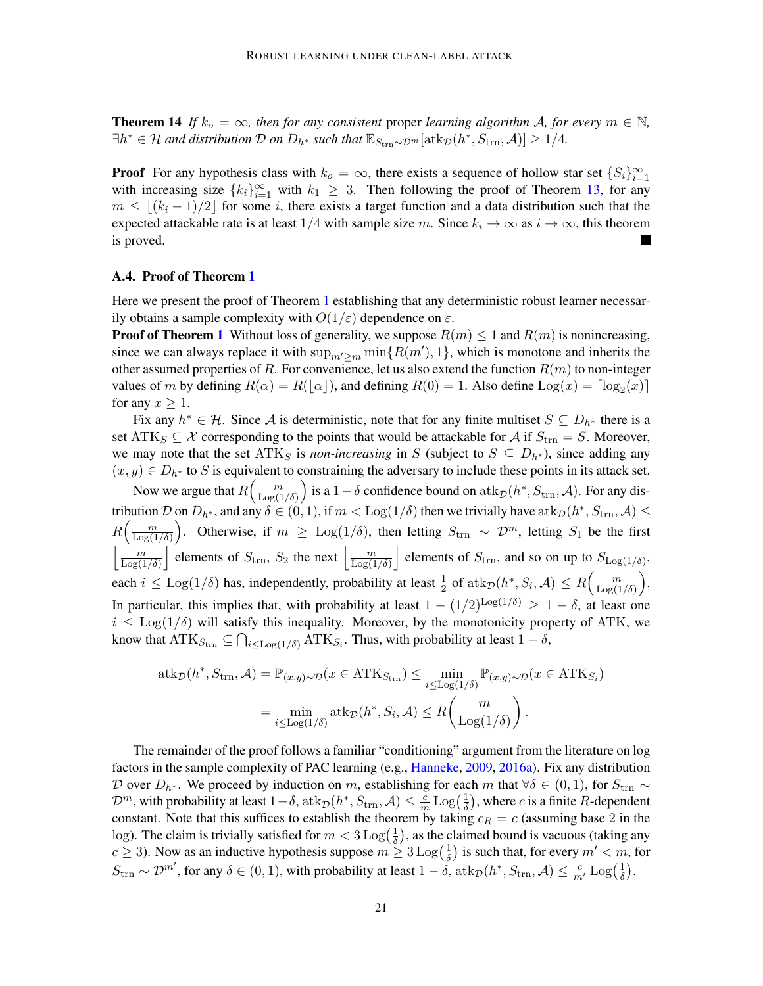**Theorem 14** If  $k_o = \infty$ , then for any consistent proper learning algorithm A, for every  $m \in \mathbb{N}$ ,  $\exists h^* \in \mathcal{H}$  and distribution  $\mathcal{D}$  on  $D_{h^*}$  such that  $\mathbb{E}_{S_{\text{trn}} \sim \mathcal{D}^m}[\text{atk}_{\mathcal{D}}(h^*, S_{\text{trn}}, \mathcal{A})] \geq 1/4$ .

**Proof** For any hypothesis class with  $k_o = \infty$ , there exists a sequence of hollow star set  $\{S_i\}_{i=1}^{\infty}$ with increasing size  $\{k_i\}_{i=1}^{\infty}$  with  $k_1 \geq 3$ . Then following the proof of Theorem [13,](#page-19-1) for any  $m \leq (k_i - 1)/2$  for some i, there exists a target function and a data distribution such that the expected attackable rate is at least 1/4 with sample size m. Since  $k_i \to \infty$  as  $i \to \infty$ , this theorem is proved.

## <span id="page-20-0"></span>A.4. Proof of Theorem [1](#page-6-1)

Here we present the proof of Theorem [1](#page-6-1) establishing that any deterministic robust learner necessarily obtains a sample complexity with  $O(1/\varepsilon)$  dependence on  $\varepsilon$ .

**Proof of Theorem [1](#page-6-1)** Without loss of generality, we suppose  $R(m) \le 1$  and  $R(m)$  is nonincreasing, since we can always replace it with  $\sup_{m'\geq m} \min\{R(m'), 1\}$ , which is monotone and inherits the other assumed properties of R. For convenience, let us also extend the function  $R(m)$  to non-integer values of m by defining  $R(\alpha) = R(\lfloor \alpha \rfloor)$ , and defining  $R(0) = 1$ . Also define  $\text{Log}(x) = \lceil \log_2(x) \rceil$ for any  $x \geq 1$ .

Fix any  $h^* \in \mathcal{H}$ . Since A is deterministic, note that for any finite multiset  $S \subseteq D_{h^*}$  there is a set ATK<sub>S</sub>  $\subseteq \mathcal{X}$  corresponding to the points that would be attackable for A if  $S_{\text{trn}} = S$ . Moreover, we may note that the set  $\text{ATK}_S$  is *non-increasing* in S (subject to  $S \subseteq D_{h^*}$ ), since adding any  $(x, y) \in D_{h^*}$  to S is equivalent to constraining the adversary to include these points in its attack set.

Now we argue that  $R\left(\frac{m}{\log(1)}\right)$  $\frac{m}{\text{Log}(1/\delta)}$  is a 1 –  $\delta$  confidence bound on  $\text{atk}_{\mathcal{D}}(h^*, S_{\text{trn}}, \mathcal{A})$ . For any distribution  $\mathcal D$  on  $D_{h^*},$  and any  $\delta\in(0,1),$  if  $m<\mathrm{Log}(1/\delta)$  then we trivially have  $\mathrm{atk}_\mathcal D(h^*,S_\mathrm{trn},\mathcal A)\leq$  $R\left(\frac{m}{\log(1)}\right)$  $\frac{m}{\text{Log}(1/\delta)}$ . Otherwise, if  $m \geq \text{Log}(1/\delta)$ , then letting  $S_{\text{trn}} \sim \mathcal{D}^m$ , letting  $S_1$  be the first  $\vert \underline{\hspace{2cm}}\vert m$  $\frac{m}{\text{Log}(1/\delta)}$  elements of  $S_{\text{trn}}$ ,  $S_2$  the next  $\frac{m}{\text{Log}(1/\delta)}$  $\frac{m}{\text{Log}(1/\delta)}$  elements of  $S_{\text{trn}}$ , and so on up to  $S_{\text{Log}(1/\delta)}$ , each  $i \leq \text{Log}(1/\delta)$  has, independently, probability at least  $\frac{1}{2}$  of  $\text{atk}_{\mathcal{D}}(h^*, S_i, \mathcal{A}) \leq R\left(\frac{m}{\text{Log}(1/\delta)}\right)$  $\frac{m}{\text{Log}(1/\delta)}\bigg).$ In particular, this implies that, with probability at least  $1 - (1/2)^{\text{Log}(1/\delta)} \ge 1 - \delta$ , at least one  $i \leq \text{Log}(1/\delta)$  will satisfy this inequality. Moreover, by the monotonicity property of ATK, we know that  $\text{ATK}_{S_{\text{trn}}} \subseteq \bigcap_{i \leq \text{Log}(1/\delta)} \text{ATK}_{S_i}$ . Thus, with probability at least  $1 - \delta$ ,

$$
atk_{\mathcal{D}}(h^*, S_{\text{trn}}, \mathcal{A}) = \mathbb{P}_{(x,y)\sim\mathcal{D}}(x \in \text{ATK}_{S_{\text{trn}}}) \le \min_{i \le \text{Log}(1/\delta)} \mathbb{P}_{(x,y)\sim\mathcal{D}}(x \in \text{ATK}_{S_i})
$$

$$
= \min_{i \le \text{Log}(1/\delta)} \text{atk}_{\mathcal{D}}(h^*, S_i, \mathcal{A}) \le R\left(\frac{m}{\text{Log}(1/\delta)}\right).
$$

The remainder of the proof follows a familiar "conditioning" argument from the literature on log factors in the sample complexity of PAC learning (e.g., [Hanneke,](#page-14-11) [2009,](#page-14-11) [2016a\)](#page-14-9). Fix any distribution D over  $D_{h^*}$ . We proceed by induction on m, establishing for each m that  $\forall \delta \in (0,1)$ , for  $S_{trn} \sim$  $\mathcal{D}^m$ , with probability at least  $1-\delta$ , at $k_{\mathcal{D}}(h^*, S_{\text{trn}}, \mathcal{A}) \leq \frac{c}{m}$  $\frac{c}{m}$  Log $\left(\frac{1}{\delta}\right)$  $\frac{1}{\delta}$ ), where *c* is a finite *R*-dependent constant. Note that this suffices to establish the theorem by taking  $c_R = c$  (assuming base 2 in the log). The claim is trivially satisfied for  $m < 3 \log(\frac{1}{\delta})$  $(\frac{1}{\delta})$ , as the claimed bound is vacuous (taking any  $c \geq 3$ ). Now as an inductive hypothesis suppose  $m \geq 3 \log(\frac{1}{\delta})$  $\frac{1}{\delta}$ ) is such that, for every  $m' < m$ , for  $S_{\text{trn}} \sim \mathcal{D}^{m'}$ , for any  $\delta \in (0, 1)$ , with probability at least  $1 - \delta$ , at  $k_{\mathcal{D}}(h^*, S_{\text{trn}}, \mathcal{A}) \leq \frac{c}{m'} \log\left(\frac{1}{\delta}\right)$  $\frac{1}{\delta}$ ).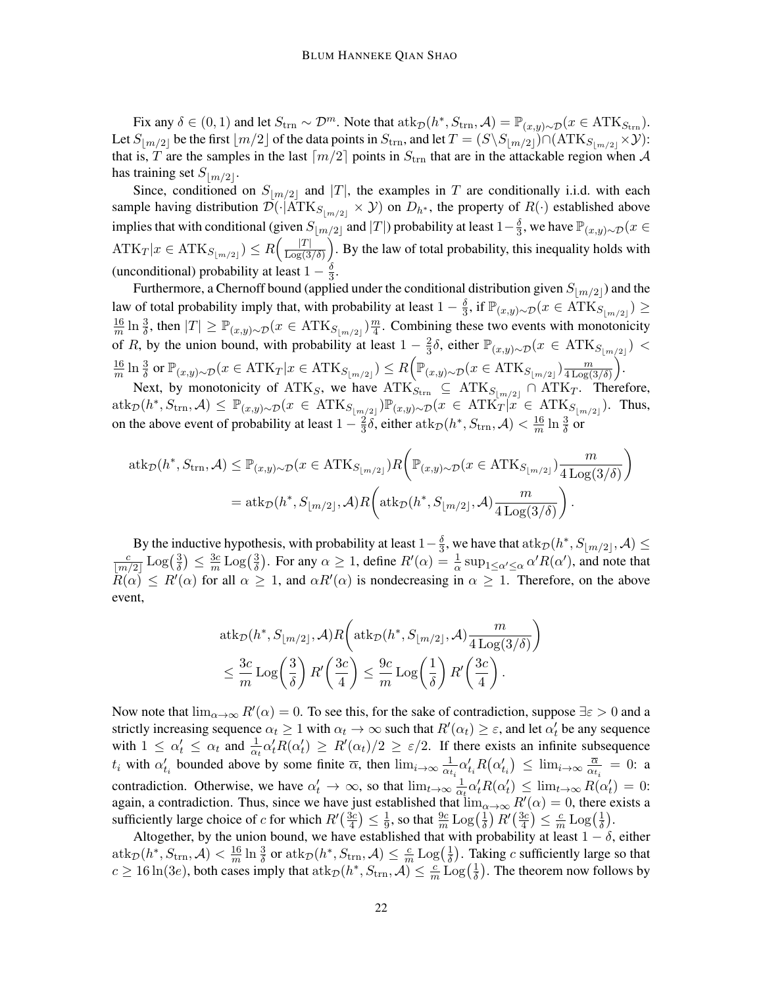Fix any  $\delta \in (0, 1)$  and let  $S_{\text{trn}} \sim \mathcal{D}^m$ . Note that  $\text{atk}_{\mathcal{D}}(h^*, S_{\text{trn}}, \mathcal{A}) = \mathbb{P}_{(x, y) \sim \mathcal{D}}(x \in \text{ATK}_{S_{\text{trn}}})$ . Let  $S_{\lfloor m/2\rfloor}$  be the first  $\lfloor m/2\rfloor$  of the data points in  $S_{\text{trn}}$ , and let  $T = (S \setminus S_{\lfloor m/2\rfloor}) \cap (ATK_{S_{\lfloor m/2\rfloor}} \times \mathcal{Y})$ : that is, T are the samples in the last  $\lceil m/2 \rceil$  points in  $S_{\text{trn}}$  that are in the attackable region when A has training set  $S_{\lfloor m/2 \rfloor}$ .

Since, conditioned on  $S_{m/2}$  and  $|T|$ , the examples in T are conditionally i.i.d. with each sample having distribution  $\mathcal{D}(\cdot|\text{ATK}_{S_{m/2}} \times \mathcal{Y})$  on  $D_{h^*}$ , the property of  $R(\cdot)$  established above implies that with conditional (given  $S_{\lfloor m/2\rfloor}$  and  $|T|$ ) probability at least  $1-\frac{\delta}{3}$  $\frac{\delta}{3}$ , we have  $\mathbb{P}_{(x,y)\sim\mathcal{D}}(x\in$  $\text{ATK}_T | x \in \text{ATK}_{S_{\lfloor m/2 \rfloor}}) \leq R \left( \frac{|T|}{\text{Log}(3)} \right)$  $\frac{|T|}{\text{Log}(3/\delta)}$ . By the law of total probability, this inequality holds with (unconditional) probability at least  $1-\frac{\delta}{3}$  $\frac{0}{3}$ .

Furthermore, a Chernoff bound (applied under the conditional distribution given  $S_{\lfloor m/2\rfloor}$ ) and the law of total probability imply that, with probability at least  $1-\frac{\delta}{3}$  $\frac{\delta}{3}$ , if  $\mathbb{P}_{(x,y)\sim\mathcal{D}}(x\in\hat{\text{ATK}}_{S_{\lfloor m/2 \rfloor}})\geq$ 16  $\frac{16}{m}\ln\frac{3}{\delta}$ , then  $|T|\geq \mathbb{P}_{(x,y)\sim\mathcal{D}}(x\in \text{ATK}_{S_{\lfloor m/2\rfloor}})\frac{m}{4}$  $\frac{m}{4}$ . Combining these two events with monotonicity of R, by the union bound, with probability at least  $1 - \frac{2}{3}$  $\frac{2}{3}$ δ, either  $\mathbb{P}_{(x,y)\sim\mathcal{D}}(x \in \text{ATK}_{S_{\lfloor m/2 \rfloor}})$  < 16  $\frac{16}{m}\ln\frac{3}{\delta}$  or  $\mathbb{P}_{(x,y)\sim\mathcal{D}}(x\in\text{ATK}_{T}|x\in\text{ATK}_{S_{\lfloor m/2\rfloor}})\leq R\Big(\mathbb{P}_{(x,y)\sim\mathcal{D}}(x\in\text{ATK}_{S_{\lfloor m/2\rfloor}})\frac{m}{4\text{Log}(x)}\Big)$  $\frac{m}{4 \operatorname{Log}(3/\delta)}\bigg).$ 

Next, by monotonicity of  $ATK_S$ , we have  $ATK_{S_{trn}} \subseteq ATK_{S_{\lfloor m/2 \rfloor}} \cap ATK_T$ . Therefore,  $\text{atk}_{\mathcal{D}}(h^*, S_{\text{trn}}, \mathcal{A}) \leq \mathbb{P}_{(x,y)\sim\mathcal{D}}(x \in \text{ATK}_{S_{\lfloor m/2 \rfloor}}) \mathbb{P}_{(x,y)\sim\mathcal{D}}(x \in \text{ATK}_{T}|x \in \text{ATK}_{S_{\lfloor m/2 \rfloor}}).$  Thus, on the above event of probability at least  $1-\frac{2}{3}$  $\frac{2}{3} \delta$ , either atk $_{\mathcal{D}}(h^*, S_{\text{trn}}, \mathcal{A}) < \frac{16}{m}$  $\frac{16}{m} \ln \frac{3}{\delta}$  or

$$
atk_{\mathcal{D}}(h^*, S_{\text{trn}}, \mathcal{A}) \leq \mathbb{P}_{(x,y)\sim\mathcal{D}}(x \in \text{ATK}_{S_{\lfloor m/2 \rfloor}})R\left(\mathbb{P}_{(x,y)\sim\mathcal{D}}(x \in \text{ATK}_{S_{\lfloor m/2 \rfloor}})\frac{m}{4\log(3/\delta)}\right)
$$
  
=  $atk_{\mathcal{D}}(h^*, S_{\lfloor m/2 \rfloor}, \mathcal{A})R\left(\text{atk}_{\mathcal{D}}(h^*, S_{\lfloor m/2 \rfloor}, \mathcal{A})\frac{m}{4\log(3/\delta)}\right).$ 

By the inductive hypothesis, with probability at least  $1-\frac{\delta}{3}$  $\frac{\delta}{3},$  we have that  $\operatorname{atk}_{\mathcal{D}}(h^*, S_{\lfloor m/2 \rfloor},\mathcal{A}) \leq$ c  $\frac{c}{\lfloor m/2 \rfloor} \operatorname{Log}(\frac{3}{\delta})$  $\frac{3}{\delta}$ )  $\leq \frac{3c}{m}$  $\frac{3c}{m} \mathop{\rm Log}\nolimits(\frac{3}{\delta})$  $\frac{3}{\delta}$ ). For any  $\alpha \ge 1$ , define  $R'(\alpha) = \frac{1}{\alpha} \sup_{1 \le \alpha' \le \alpha} \alpha' R(\alpha')$ , and note that  $R(\alpha) \le R'(\alpha)$  for all  $\alpha \ge 1$ , and  $\alpha R'(\alpha)$  is nondecreasing in  $\alpha \ge 1$ . Therefore, on the above event,

$$
atk_{\mathcal{D}}(h^*, S_{\lfloor m/2 \rfloor}, \mathcal{A})R\left(atk_{\mathcal{D}}(h^*, S_{\lfloor m/2 \rfloor}, \mathcal{A})\frac{m}{4\log(3/\delta)}\right)
$$
  

$$
\leq \frac{3c}{m}\log\left(\frac{3}{\delta}\right)R'\left(\frac{3c}{4}\right) \leq \frac{9c}{m}\log\left(\frac{1}{\delta}\right)R'\left(\frac{3c}{4}\right).
$$

Now note that  $\lim_{\alpha\to\infty} R'(\alpha) = 0$ . To see this, for the sake of contradiction, suppose  $\exists \varepsilon > 0$  and a strictly increasing sequence  $\alpha_t \ge 1$  with  $\alpha_t \to \infty$  such that  $R'(\alpha_t) \ge \varepsilon$ , and let  $\alpha'_t$  be any sequence with  $1 \leq \alpha'_t \leq \alpha_t$  and  $\frac{1}{\alpha_t} \alpha'_t R(\alpha'_t) \geq R'(\alpha_t)/2 \geq \varepsilon/2$ . If there exists an infinite subsequence  $t_i$  with  $\alpha'_{t_i}$  bounded above by some finite  $\overline{\alpha}$ , then  $\lim_{i\to\infty} \frac{1}{\alpha_t}$  $\frac{1}{\alpha_{t_i}} \alpha'_{t_i} R(\alpha'_{t_i}) \leq \lim_{i \to \infty} \frac{\overline{\alpha}}{\alpha_t}$  $\frac{\alpha}{\alpha_{t_i}} = 0$ : a contradiction. Otherwise, we have  $\alpha'_t \to \infty$ , so that  $\lim_{t\to\infty} \frac{1}{\alpha}$  $\frac{1}{\alpha_t} \alpha'_t R(\alpha'_t) \leq \lim_{t \to \infty} R(\alpha'_t) = 0:$ again, a contradiction. Thus, since we have just established that  $\lim_{\alpha\to\infty} R'(\alpha) = 0$ , there exists a sufficiently large choice of c for which  $R'(\frac{3c}{4})$  $\frac{3c}{4}$ )  $\leq \frac{1}{9}$  $\frac{1}{9}$ , so that  $\frac{9c}{m}\operatorname{Log}(\frac{1}{\delta}$  $\frac{1}{\delta}$ )  $R'(\frac{3c}{4}$  $\frac{3c}{4}$ )  $\leq \frac{c}{n}$  $\frac{c}{m} \mathop{\rm Log}\nolimits(\frac{1}{\delta}$  $\frac{1}{\delta}$ ).

Altogether, by the union bound, we have established that with probability at least  $1 - \delta$ , either  $\mathrm{atk}_\mathcal{D}(h^*,S_\mathrm{trn},\mathcal{A}) < \frac{16}{m}$  $\frac{16}{m}\ln \frac{3}{\delta} \text{ or } \mathrm{atk}_\mathcal{D}(h^*, S_{\mathrm{trn}}, \mathcal{A}) \leq \frac{c}{m}$  $\frac{c}{m} \mathop{\rm Log}\nolimits(\frac{1}{\delta}$  $\frac{1}{\delta}$ ). Taking c sufficiently large so that  $c \ge 16 \ln(3e)$ , both cases imply that  $\frac{\text{atk}}{D}$  $(h^*, S_{\text{trn}}, \mathcal{A}) \le \frac{c}{m}$  $\frac{c}{m} \text{Log}(\frac{1}{\delta})$  $\frac{1}{\delta}$ ). The theorem now follows by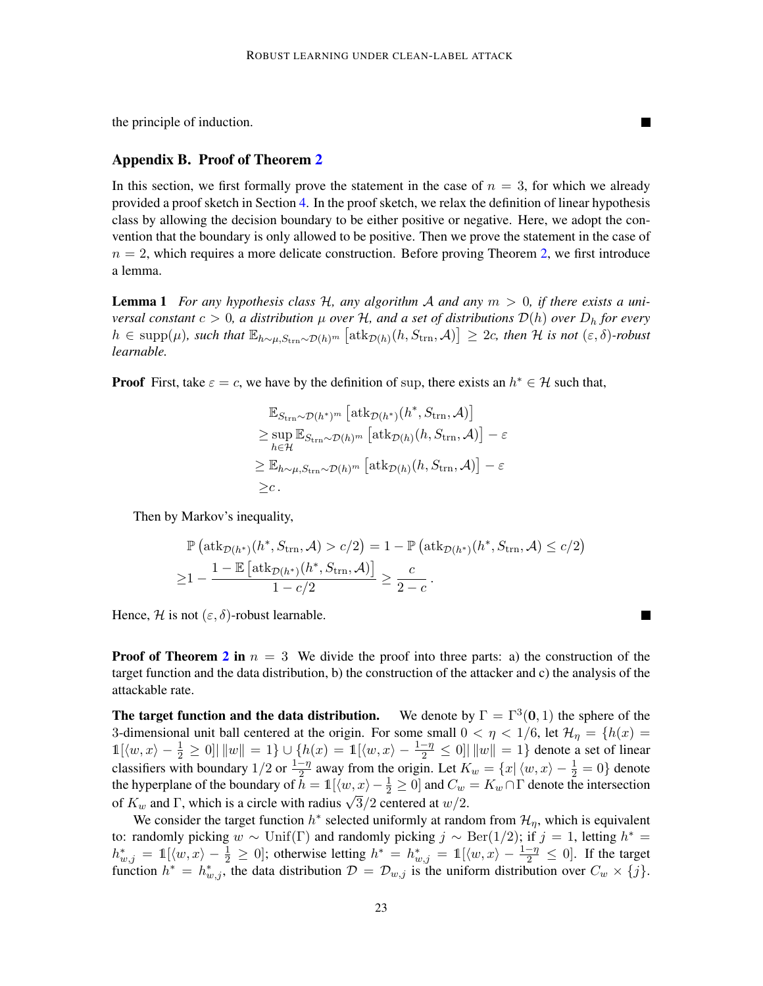**The Second Second** 

**The Second Second** 

the principle of induction.

# <span id="page-22-0"></span>Appendix B. Proof of Theorem [2](#page-7-1)

In this section, we first formally prove the statement in the case of  $n = 3$ , for which we already provided a proof sketch in Section [4.](#page-7-0) In the proof sketch, we relax the definition of linear hypothesis class by allowing the decision boundary to be either positive or negative. Here, we adopt the convention that the boundary is only allowed to be positive. Then we prove the statement in the case of  $n = 2$ , which requires a more delicate construction. Before proving Theorem [2,](#page-7-1) we first introduce a lemma.

<span id="page-22-1"></span>Lemma 1 *For any hypothesis class* H*, any algorithm* A *and any* m > 0*, if there exists a universal constant*  $c > 0$ , a distribution  $\mu$  *over* H, and a set of distributions  $\mathcal{D}(h)$  *over*  $D_h$  *for every*  $h \in \text{supp}(\mu)$ , such that  $\mathbb{E}_{h \sim \mu, S_{\text{trn}} \sim \mathcal{D}(h)^m} [\text{atk}_{\mathcal{D}(h)}(h, S_{\text{trn}}, \mathcal{A})] \geq 2c$ , then H is not  $(\varepsilon, \delta)$ -robust *learnable.*

**Proof** First, take  $\varepsilon = c$ , we have by the definition of sup, there exists an  $h^* \in \mathcal{H}$  such that,

$$
\mathbb{E}_{S_{\text{trn}}\sim\mathcal{D}(h^*)^m} [\text{atk}_{\mathcal{D}(h^*)}(h^*, S_{\text{trn}}, \mathcal{A})]
$$
\n
$$
\geq \sup_{h\in\mathcal{H}} \mathbb{E}_{S_{\text{trn}}\sim\mathcal{D}(h)^m} [\text{atk}_{\mathcal{D}(h)}(h, S_{\text{trn}}, \mathcal{A})] - \varepsilon
$$
\n
$$
\geq \mathbb{E}_{h\sim\mu, S_{\text{trn}}\sim\mathcal{D}(h)^m} [\text{atk}_{\mathcal{D}(h)}(h, S_{\text{trn}}, \mathcal{A})] - \varepsilon
$$
\n
$$
\geq c.
$$

Then by Markov's inequality,

$$
\mathbb{P}\left(\operatorname{atk}_{\mathcal{D}(h^*)}(h^*, S_{\text{trn}}, \mathcal{A}) > c/2\right) = 1 - \mathbb{P}\left(\operatorname{atk}_{\mathcal{D}(h^*)}(h^*, S_{\text{trn}}, \mathcal{A}) \le c/2\right)
$$

$$
\ge 1 - \frac{1 - \mathbb{E}\left[\operatorname{atk}_{\mathcal{D}(h^*)}(h^*, S_{\text{trn}}, \mathcal{A})\right]}{1 - c/2} \ge \frac{c}{2 - c}.
$$

Hence, H is not  $(\varepsilon, \delta)$ -robust learnable.

**Proof of Theorem [2](#page-7-1) in**  $n = 3$  We divide the proof into three parts: a) the construction of the target function and the data distribution, b) the construction of the attacker and c) the analysis of the attackable rate.

The target function and the data distribution. We denote by  $\Gamma = \Gamma^3(0, 1)$  the sphere of the 3-dimensional unit ball centered at the origin. For some small  $0 < \eta < 1/6$ , let  $\mathcal{H}_{\eta} = \{h(x) =$  $1[(w, x) - \frac{1}{2} \ge 0] | ||w|| = 1$   $\cup$   $\{h(x) = 1 | (w, x) - \frac{1-\eta}{2} \le 0] | ||w|| = 1\}$  denote a set of linear classifiers with boundary 1/2 or  $\frac{1-\eta}{2}$  away from the origin. Let  $K_w = \{x | \langle w, x \rangle - \frac{1}{2} = 0\}$  denote the hyperplane of the boundary of  $h = 1$  [ $\langle w, x \rangle - \frac{1}{2} \ge 0$ ] and  $C_w = K_w \cap \Gamma$  denote the intersection The hyperplane of the boundary of  $h = \ln(w, x) - \frac{1}{2} \ge 0$  and  $C_w$ <br>of  $K_w$  and  $\Gamma$ , which is a circle with radius  $\sqrt{3}/2$  centered at  $w/2$ .

We consider the target function  $h^*$  selected uniformly at random from  $\mathcal{H}_{\eta}$ , which is equivalent to: randomly picking  $w \sim \text{Unif}(\Gamma)$  and randomly picking  $j \sim \text{Ber}(1/2)$ ; if  $j = 1$ , letting  $h^* =$  $h_{w,j}^* = \mathbb{1}[\langle w, x \rangle - \frac{1}{2} \geq 0]$ ; otherwise letting  $h^* = h_{w,j}^* = \mathbb{1}[\langle w, x \rangle - \frac{1-\eta}{2} \leq 0]$ . If the target function  $h^* = h^*_{w,j}$ , the data distribution  $\mathcal{D} = \mathcal{D}_{w,j}$  is the uniform distribution over  $C_w \times \{j\}$ .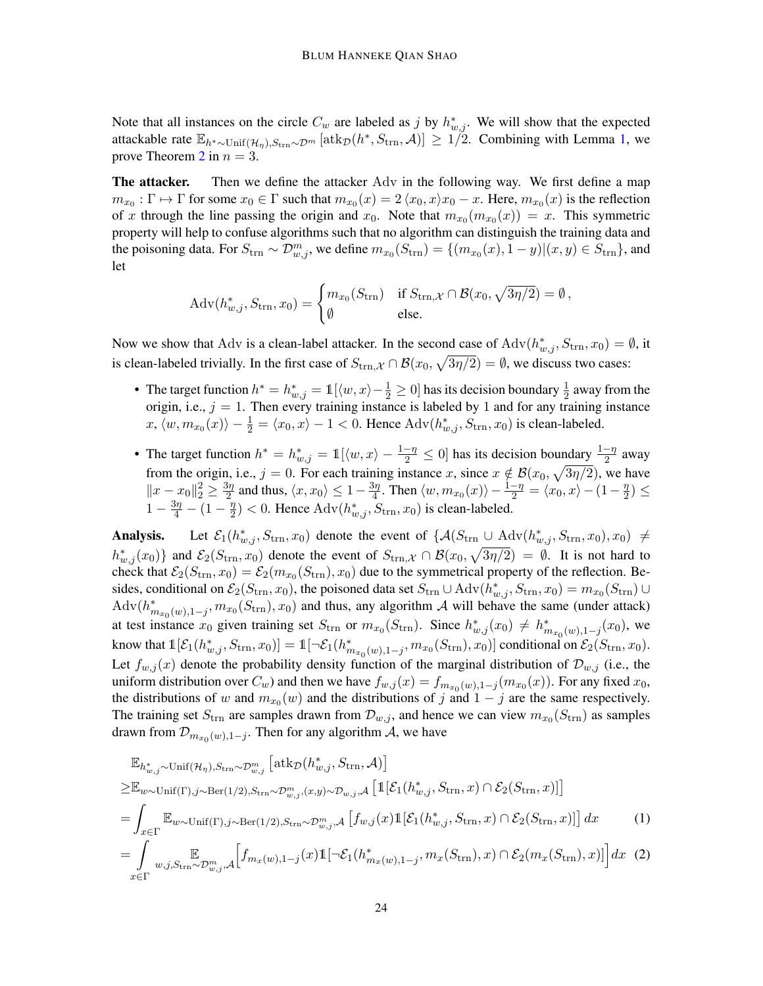Note that all instances on the circle  $C_w$  are labeled as j by  $h^*_{w,j}$ . We will show that the expected attackable rate  $\mathbb{E}_{h^*\sim\text{Unif}(\mathcal{H}_\eta),S_\text{trn}\sim\mathcal{D}^m}\left[\text{atk}_{\mathcal{D}}(h^*,S_\text{trn},\mathcal{A})\right] \geq 1/2$ . Combining with Lemma [1,](#page-22-1) we prove Theorem [2](#page-7-1) in  $n = 3$ .

The attacker. Then we define the attacker Adv in the following way. We first define a map  $m_{x_0} : \Gamma \mapsto \Gamma$  for some  $x_0 \in \Gamma$  such that  $m_{x_0}(x) = 2 \langle x_0, x \rangle x_0 - x$ . Here,  $m_{x_0}(x)$  is the reflection of x through the line passing the origin and  $x_0$ . Note that  $m_{x_0}(m_{x_0}(x)) = x$ . This symmetric property will help to confuse algorithms such that no algorithm can distinguish the training data and the poisoning data. For  $S_{trn} \sim \mathcal{D}_{w,j}^m$ , we define  $m_{x_0}(S_{trn}) = \{(m_{x_0}(x), 1-y) | (x, y) \in S_{trn}\}$ , and let

$$
Adv(h_{w,j}^*, S_{\text{trn}}, x_0) = \begin{cases} m_{x_0}(S_{\text{trn}}) & \text{if } S_{\text{trn}, \mathcal{X}} \cap \mathcal{B}(x_0, \sqrt{3\eta/2}) = \emptyset, \\ \emptyset & \text{else.} \end{cases}
$$

Now we show that Adv is a clean-label attacker. In the second case of  $Adv(h_{w,j}^*, S_{trn}, x_0) = \emptyset$ , it is clean-labeled trivially. In the first case of  $S_{\text{trn},\mathcal{X}} \cap \mathcal{B}(x_0,\sqrt{3\eta/2}) = \emptyset$ , we discuss two cases:

- The target function  $h^* = h^*_{w,j} = \mathbb{1}[\langle w, x \rangle \frac{1}{2} \ge 0]$  has its decision boundary  $\frac{1}{2}$  away from the origin, i.e.,  $j = 1$ . Then every training instance is labeled by 1 and for any training instance  $x, \langle w, m_{x_0}(x) \rangle - \frac{1}{2} = \langle x_0, x \rangle - 1 < 0$ . Hence  $\text{Adv}(h_{w,j}^*, S_{trn}, x_0)$  is clean-labeled.
- The target function  $h^* = h^*_{w,j} = \mathbb{1}[\langle w, x \rangle \frac{1-\eta}{2} \le 0]$  has its decision boundary  $\frac{1-\eta}{2}$  away from the origin, i.e.,  $j = 0$ . For each training instance x, since  $x \notin \mathcal{B}(x_0, \sqrt{3\eta/2})$ , we have  $||x - x_0||_2^2 \ge \frac{3\eta}{2}$  $\frac{3\eta}{2}$  and thus,  $\langle x, x_0 \rangle \leq 1-\frac{3\eta}{4}$  $\frac{3\eta}{4}$ . Then  $\langle w, m_{x_0}(x)\rangle - \frac{1-\eta}{2} = \langle x_0, x\rangle - (1-\frac{\eta}{2})$  $\frac{\eta}{2}) \leq$  $1 - \frac{3\eta}{4} - (1 - \frac{\eta}{2})$  $\frac{n}{2}$ ) < 0. Hence Adv $(h_{w,j}^*, S_{\text{trn}}, x_0)$  is clean-labeled.

Analysis. Let  $\mathcal{E}_1(h_{w,j}^*, S_{trn}, x_0)$  denote the event of  $\{A(S_{trn} \cup \text{Adv}(h_{w,j}^*, S_{trn}, x_0), x_0) \neq$  $h_{w,j}^*(x_0)$  and  $\mathcal{E}_2(S_{trn}, x_0)$  denote the event of  $S_{trn, \mathcal{X}} \cap \mathcal{B}(x_0, \sqrt{3\eta/2}) = \emptyset$ . It is not hard to check that  $\mathcal{E}_2(S_{trn}, x_0) = \mathcal{E}_2(m_{x_0}(S_{trn}), x_0)$  due to the symmetrical property of the reflection. Besides, conditional on  $\mathcal{E}_2(S_{\text{trn}}, x_0)$ , the poisoned data set  $S_{\text{trn}} \cup \text{Adv}(h_{w,j}^*, S_{\text{trn}}, x_0) = m_{x_0}(S_{\text{trn}}) \cup$  $\text{Adv}(h_{m_{x_0}(w),1-j}^*, m_{x_0}(S_{trn}), x_0)$  and thus, any algorithm A will behave the same (under attack) at test instance  $x_0$  given training set  $S_{trn}$  or  $m_{x_0}(S_{trn})$ . Since  $h^*_{w,j}(x_0) \neq h^*_{m_{x_0}(w),1-j}(x_0)$ , we know that  $\mathbb{1}[{\mathcal{E}}_1(h^*_{w,j}, S_{\text{trn}}, x_0)] = \mathbb{1}[ \neg {\mathcal{E}}_1(h^*_{m_{x_0}(w), 1-j}, m_{x_0}(S_{\text{trn}}), x_0)]$  conditional on  ${\mathcal{E}}_2(S_{\text{trn}}, x_0)$ . Let  $f_{w,j}(x)$  denote the probability density function of the marginal distribution of  $\mathcal{D}_{w,j}$  (i.e., the uniform distribution over  $C_w$ ) and then we have  $f_{w,j}(x) = f_{m_{x_0}(w),1-j}(m_{x_0}(x))$ . For any fixed  $x_0$ , the distributions of w and  $m_{x_0}(w)$  and the distributions of j and  $1 - j$  are the same respectively. The training set  $S_{trn}$  are samples drawn from  $\mathcal{D}_{w,j}$ , and hence we can view  $m_{x_0}(S_{trn})$  as samples drawn from  $\mathcal{D}_{m_{x_0}(w),1-j}$ . Then for any algorithm A, we have

<span id="page-23-1"></span><span id="page-23-0"></span>
$$
\mathbb{E}_{h_{w,j}^* \sim \text{Unif}(\mathcal{H}_{\eta}), S_{\text{trn}} \sim \mathcal{D}_{w,j}^m} \left[\text{atk}_{\mathcal{D}}(h_{w,j}^*, S_{\text{trn}}, \mathcal{A})\right]
$$
\n
$$
\geq \mathbb{E}_{w \sim \text{Unif}(\Gamma), j \sim \text{Ber}(1/2), S_{\text{trn}} \sim \mathcal{D}_{w,j}^m, (x, y) \sim \mathcal{D}_{w,j}, \mathcal{A}} \left[\mathbb{1}[\mathcal{E}_1(h_{w,j}^*, S_{\text{trn}}, x) \cap \mathcal{E}_2(S_{\text{trn}}, x)]\right]
$$
\n
$$
= \int_{x \in \Gamma} \mathbb{E}_{w \sim \text{Unif}(\Gamma), j \sim \text{Ber}(1/2), S_{\text{trn}} \sim \mathcal{D}_{w,j}^m, \mathcal{A}} \left[f_{w,j}(x) \mathbb{1}[\mathcal{E}_1(h_{w,j}^*, S_{\text{trn}}, x) \cap \mathcal{E}_2(S_{\text{trn}}, x)]\right] dx \qquad (1)
$$
\n
$$
= \int_{x \in \Gamma} \mathbb{E}_{w,j, S_{\text{trn}} \sim \mathcal{D}_{w,j}^m, \mathcal{A}} \left[f_{m_x(w), 1-j}(x) \mathbb{1}[\neg \mathcal{E}_1(h_{m_x(w), 1-j}^*, m_x(S_{\text{trn}}), x) \cap \mathcal{E}_2(m_x(S_{\text{trn}}), x)]\right] dx \qquad (2)
$$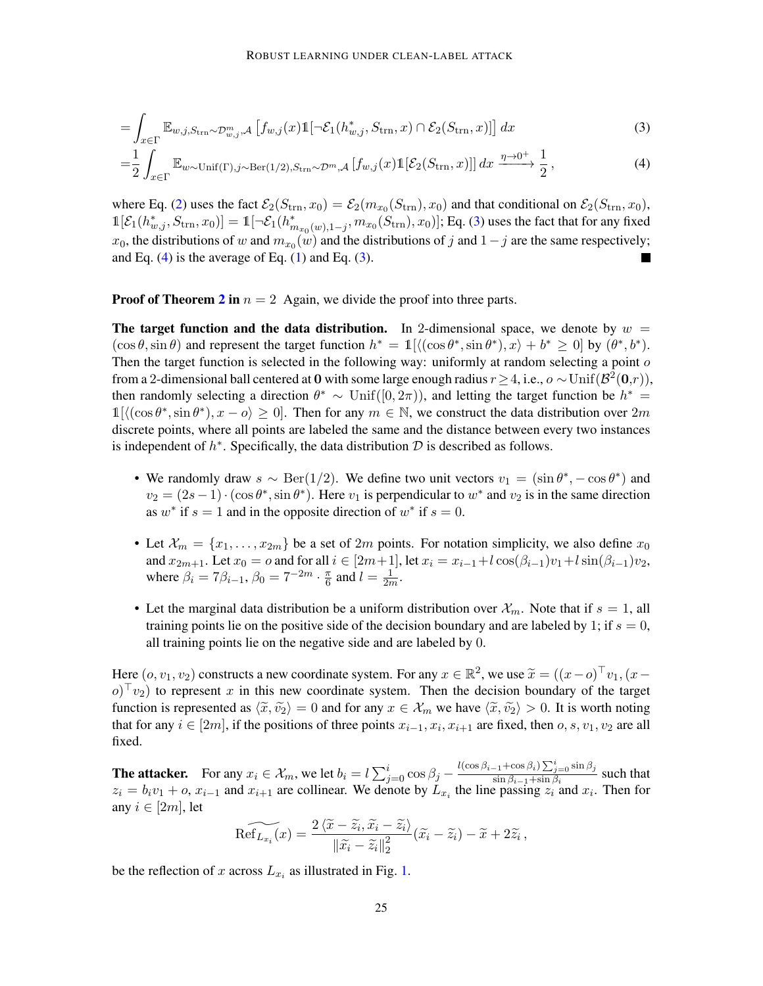<span id="page-24-0"></span>
$$
= \int_{x \in \Gamma} \mathbb{E}_{w,j,S_{\text{trn}} \sim \mathcal{D}_{w,j}^m, \mathcal{A}} \left[ f_{w,j}(x) \mathbb{1}[\neg \mathcal{E}_1(h_{w,j}^*, S_{\text{trn}}, x) \cap \mathcal{E}_2(S_{\text{trn}}, x)] \right] dx \tag{3}
$$

<span id="page-24-1"></span>
$$
=\frac{1}{2}\int_{x\in\Gamma} \mathbb{E}_{w\sim\text{Unif}(\Gamma),j\sim\text{Ber}(1/2),S_{\text{trn}}\sim\mathcal{D}^m,\mathcal{A}}\left[f_{w,j}(x)\mathbb{1}[\mathcal{E}_2(S_{\text{trn}},x)]\right]dx \xrightarrow{\eta\to 0^+} \frac{1}{2},\tag{4}
$$

where Eq. [\(2\)](#page-23-0) uses the fact  $\mathcal{E}_2(S_{\text{trn}}, x_0) = \mathcal{E}_2(m_{x_0}(S_{\text{trn}}), x_0)$  and that conditional on  $\mathcal{E}_2(S_{\text{trn}}, x_0)$ ,  $\mathbb{1}[\mathcal{E}_1(h^*_{w,j}, S_{\text{trn}}, x_0)] = \mathbb{1}[\neg \mathcal{E}_1(h^*_{m_{x_0}(w), 1-j}, m_{x_0}(S_{\text{trn}}), x_0)];$  Eq. [\(3\)](#page-24-0) uses the fact that for any fixed  $x_0$ , the distributions of w and  $m_{x_0}(w)$  and the distributions of j and  $1-j$  are the same respectively; and Eq.  $(4)$  is the average of Eq.  $(1)$  and Eq.  $(3)$ . ٠

**Proof of Theorem [2](#page-7-1) in**  $n = 2$  Again, we divide the proof into three parts.

The target function and the data distribution. In 2-dimensional space, we denote by  $w =$  $(\cos \theta, \sin \theta)$  and represent the target function  $h^* = \mathbb{1}[\langle (\cos \theta^*, \sin \theta^*), x \rangle + b^* \ge 0]$  by  $(\theta^*, b^*)$ . Then the target function is selected in the following way: uniformly at random selecting a point  $o$ from a 2-dimensional ball centered at 0 with some large enough radius  $r \ge 4$ , i.e.,  $o \sim \text{Unif}(\mathcal{B}^2(\mathbf{0},r))$ , then randomly selecting a direction  $\theta^* \sim \text{Unif}([0, 2\pi))$ , and letting the target function be  $h^* =$  $1[\langle(\cos \theta^*, \sin \theta^*), x - \theta \rangle \ge 0]$ . Then for any  $m \in \mathbb{N}$ , we construct the data distribution over  $2m$ discrete points, where all points are labeled the same and the distance between every two instances is independent of  $h^*$ . Specifically, the data distribution  $\mathcal D$  is described as follows.

- We randomly draw  $s \sim \text{Ber}(1/2)$ . We define two unit vectors  $v_1 = (\sin \theta^*, -\cos \theta^*)$  and  $v_2 = (2s-1) \cdot (\cos \theta^*, \sin \theta^*)$ . Here  $v_1$  is perpendicular to  $w^*$  and  $v_2$  is in the same direction as  $w^*$  if  $s = 1$  and in the opposite direction of  $w^*$  if  $s = 0$ .
- Let  $\mathcal{X}_m = \{x_1, \ldots, x_{2m}\}$  be a set of  $2m$  points. For notation simplicity, we also define  $x_0$ and  $x_{2m+1}$ . Let  $x_0 = o$  and for all  $i \in [2m+1]$ , let  $x_i = x_{i-1} + l \cos(\beta_{i-1})v_1 + l \sin(\beta_{i-1})v_2$ , where  $\beta_i = 7\beta_{i-1}, \beta_0 = 7^{-2m} \cdot \frac{\pi}{6}$  $\frac{\pi}{6}$  and  $l = \frac{1}{2n}$  $\frac{1}{2m}$ .
- Let the marginal data distribution be a uniform distribution over  $\mathcal{X}_m$ . Note that if  $s = 1$ , all training points lie on the positive side of the decision boundary and are labeled by 1; if  $s = 0$ , all training points lie on the negative side and are labeled by 0.

Here  $(o, v_1, v_2)$  constructs a new coordinate system. For any  $x \in \mathbb{R}^2$ , we use  $\tilde{x} = ((x - o)^{\top}v_1, (x - o)^{\top}v_2)$  $(o)^\top v_2$ ) to represent x in this new coordinate system. Then the decision boundary of the target function is represented as  $\langle \tilde{x}, \tilde{v_2} \rangle = 0$  and for any  $x \in \mathcal{X}_m$  we have  $\langle \tilde{x}, \tilde{v_2} \rangle > 0$ . It is worth noting that for any  $i \in [2m]$ , if the positions of three points  $x_{i-1}, x_i, x_{i+1}$  are fixed, then  $o, s, v_1, v_2$  are all fixed.

**The attacker.** For any  $x_i \in \mathcal{X}_m$ , we let  $b_i = l \sum_{j=0}^i \cos \beta_j - \frac{l(\cos \beta_{i-1} + \cos \beta_i) \sum_{j=0}^i \sin \beta_j}{\sin \beta_{i-1} + \sin \beta_i}$  $\frac{\sum_{j=0}^{n} \sin \beta_j}{\sin \beta_{i-1} + \sin \beta_i}$  such that  $z_i = b_i v_1 + o$ ,  $x_{i-1}$  and  $x_{i+1}$  are collinear. We denote by  $L_{x_i}$  the line passing  $z_i$  and  $x_i$ . Then for any  $i \in [2m]$ , let

$$
\widetilde{\text{Ref}_{L_{x_i}}}(x) = \frac{2\left\langle \widetilde{x} - \widetilde{z}_i, \widetilde{x}_i - \widetilde{z}_i \right\rangle}{\|\widetilde{x}_i - \widetilde{z}_i\|_2^2} (\widetilde{x}_i - \widetilde{z}_i) - \widetilde{x} + 2\widetilde{z}_i,
$$

be the reflection of x across  $L_{x_i}$  as illustrated in Fig. [1.](#page-25-0)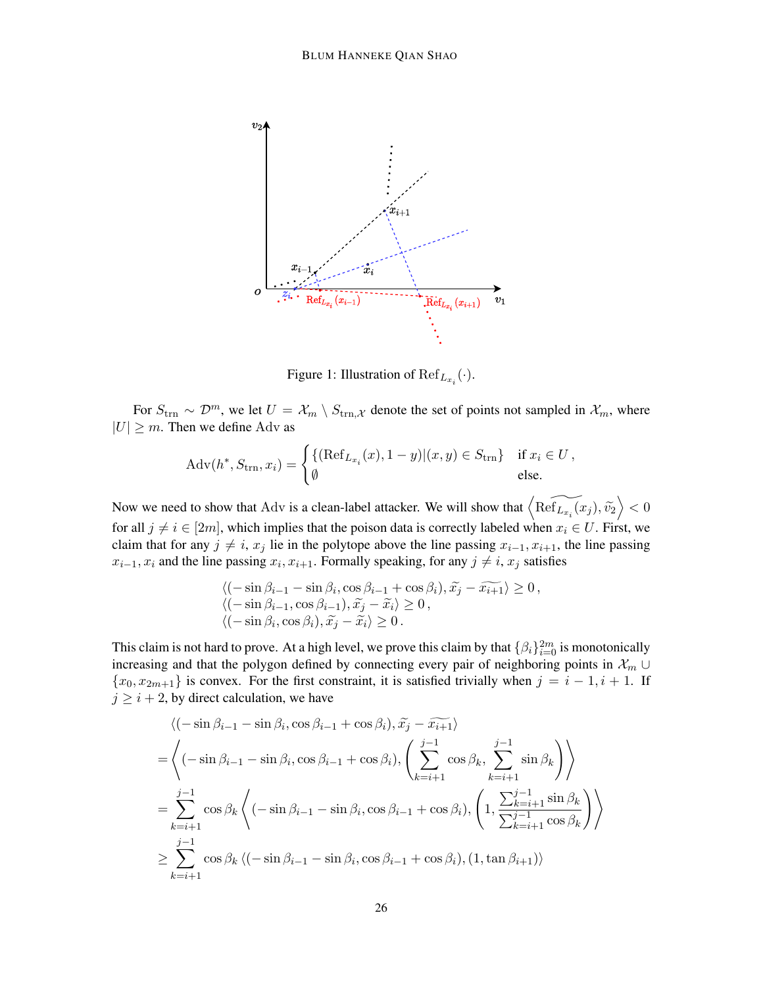

<span id="page-25-0"></span>Figure 1: Illustration of  $\mathrm{Ref}_{L_{x_i}}(\cdot)$ .

For  $S_{\text{trn}} \sim \mathcal{D}^m$ , we let  $U = \mathcal{X}_m \setminus S_{\text{trn},\mathcal{X}}$  denote the set of points not sampled in  $\mathcal{X}_m$ , where  $|U| \geq m$ . Then we define Adv as

$$
Adv(h^*, S_{trn}, x_i) = \begin{cases} \{ (\mathrm{Ref}_{L_{x_i}}(x), 1-y) | (x, y) \in S_{trn} \} & \text{if } x_i \in U, \\ \emptyset & \text{else.} \end{cases}
$$

Now we need to show that Adv is a clean-label attacker. We will show that  $\left\langle \widehat{\text{Ref}_{L_{x_i}}(x_j)}, \widetilde{v_2} \right\rangle < 0$ for all  $j \neq i \in [2m]$ , which implies that the poison data is correctly labeled when  $x_i \in U$ . First, we claim that for any  $j \neq i$ ,  $x_j$  lie in the polytope above the line passing  $x_{i-1}, x_{i+1}$ , the line passing  $x_{i-1}, x_i$  and the line passing  $x_i, x_{i+1}$ . Formally speaking, for any  $j \neq i$ ,  $x_j$  satisfies

$$
\langle (-\sin \beta_{i-1} - \sin \beta_i, \cos \beta_{i-1} + \cos \beta_i), \tilde{x}_j - \tilde{x}_{i+1} \rangle \ge 0, \langle (-\sin \beta_{i-1}, \cos \beta_{i-1}), \tilde{x}_j - \tilde{x}_i \rangle \ge 0, \langle (-\sin \beta_i, \cos \beta_i), \tilde{x}_j - \tilde{x}_i \rangle \ge 0.
$$

This claim is not hard to prove. At a high level, we prove this claim by that  $\{\beta_i\}_{i=0}^{2m}$  is monotonically increasing and that the polygon defined by connecting every pair of neighboring points in  $\mathcal{X}_m$  ∪  ${x_0, x_{2m+1}}$  is convex. For the first constraint, it is satisfied trivially when  $j = i - 1, i + 1$ . If  $j \geq i + 2$ , by direct calculation, we have

$$
\langle (-\sin \beta_{i-1} - \sin \beta_i, \cos \beta_{i-1} + \cos \beta_i), \tilde{x}_j - \tilde{x}_{i+1} \rangle
$$
  
\n=
$$
\langle (-\sin \beta_{i-1} - \sin \beta_i, \cos \beta_{i-1} + \cos \beta_i), \left( \sum_{k=i+1}^{j-1} \cos \beta_k, \sum_{k=i+1}^{j-1} \sin \beta_k \right) \rangle
$$
  
\n=
$$
\sum_{k=i+1}^{j-1} \cos \beta_k \langle (-\sin \beta_{i-1} - \sin \beta_i, \cos \beta_{i-1} + \cos \beta_i), \left( 1, \frac{\sum_{k=i+1}^{j-1} \sin \beta_k}{\sum_{k=i+1}^{j-1} \cos \beta_k} \right) \rangle
$$
  
\n
$$
\geq \sum_{k=i+1}^{j-1} \cos \beta_k \langle (-\sin \beta_{i-1} - \sin \beta_i, \cos \beta_{i-1} + \cos \beta_i), (1, \tan \beta_{i+1}) \rangle
$$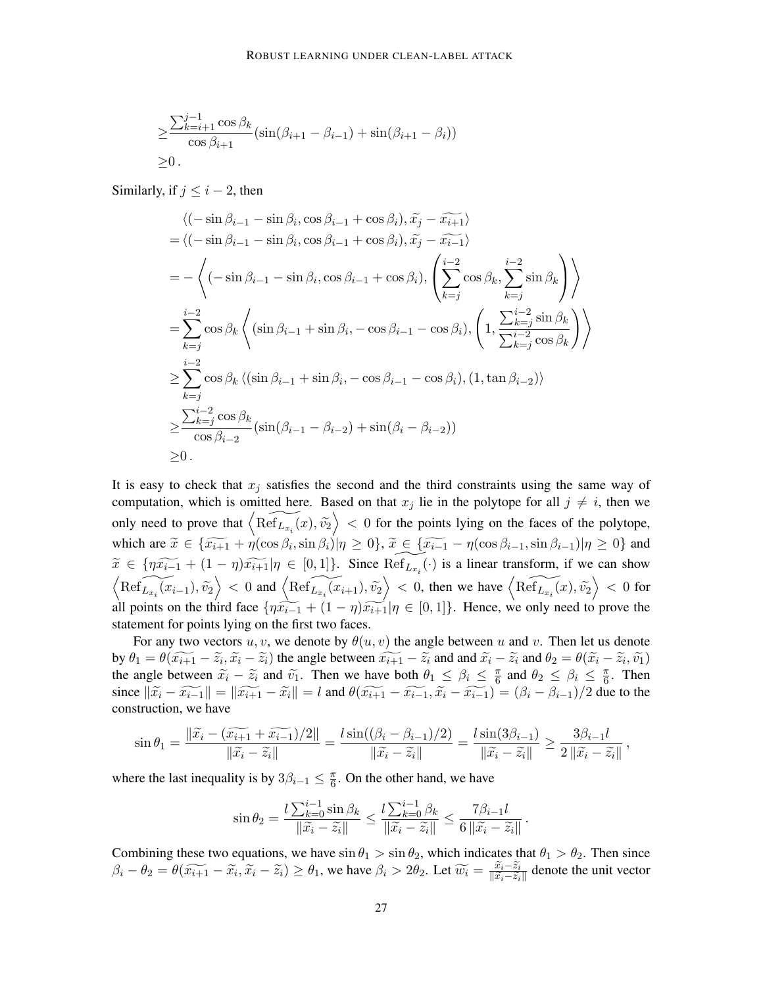$$
\geq \frac{\sum_{k=i+1}^{j-1} \cos \beta_k}{\cos \beta_{i+1}} (\sin(\beta_{i+1} - \beta_{i-1}) + \sin(\beta_{i+1} - \beta_i))
$$
  
 
$$
\geq 0.
$$

Similarly, if  $j \leq i - 2$ , then

$$
\langle (-\sin \beta_{i-1} - \sin \beta_i, \cos \beta_{i-1} + \cos \beta_i), \tilde{x}_j - \tilde{x}_{i+1} \rangle
$$
  
\n=  $\langle (-\sin \beta_{i-1} - \sin \beta_i, \cos \beta_{i-1} + \cos \beta_i), \tilde{x}_j - \tilde{x}_{i-1} \rangle$   
\n=  $-\langle (-\sin \beta_{i-1} - \sin \beta_i, \cos \beta_{i-1} + \cos \beta_i), \left( \sum_{k=j}^{i-2} \cos \beta_k, \sum_{k=j}^{i-2} \sin \beta_k \right) \rangle$   
\n=  $\sum_{k=j}^{i-2} \cos \beta_k \langle (\sin \beta_{i-1} + \sin \beta_i, -\cos \beta_{i-1} - \cos \beta_i), \left( 1, \frac{\sum_{k=j}^{i-2} \sin \beta_k}{\sum_{k=j}^{i-2} \cos \beta_k} \right) \rangle$   
\n $\ge \sum_{k=j}^{i-2} \cos \beta_k \langle (\sin \beta_{i-1} + \sin \beta_i, -\cos \beta_{i-1} - \cos \beta_i), (1, \tan \beta_{i-2}) \rangle$   
\n $\ge \frac{\sum_{k=j}^{i-2} \cos \beta_k}{\cos \beta_{i-2}} (\sin(\beta_{i-1} - \beta_{i-2}) + \sin(\beta_i - \beta_{i-2}))$   
\n $\ge 0$ .

It is easy to check that  $x_j$  satisfies the second and the third constraints using the same way of computation, which is omitted here. Based on that  $x_j$  lie in the polytope for all  $j \neq i$ , then we only need to prove that  $\langle \widetilde{\text{Ref}_{L_{x_i}}(x)}, \widetilde{v_2} \rangle < 0$  for the points lying on the faces of the polytope, which are  $\tilde{x} \in {\{\tilde{x}_{i+1} + \eta(\cos\beta_i, \sin\beta_i)|\eta \ge 0\}}, \tilde{x} \in {\{\tilde{x}_{i-1} - \eta(\cos\beta_{i-1}, \sin\beta_{i-1})|\eta \ge 0\}}$  and  $\widetilde{x} \in \{\eta \widetilde{x_{i-1}} + (1-\eta)\widetilde{x_{i+1}} | \eta \in [0,1]\}.$  Since  $\widetilde{\text{Ref}_{L_{x_i}}}(\cdot)$  is a linear transform, if we can show  $\left\langle \widehat{\text{Ref}_{L_{x_i}}(x_{i-1})}, \widetilde{v_2} \right\rangle < 0$  and  $\left\langle \widehat{\text{Ref}_{L_{x_i}}(x_{i+1})}, \widetilde{v_2} \right\rangle < 0$ , then we have  $\left\langle \widehat{\text{Ref}_{L_{x_i}}(x)}, \widetilde{v_2} \right\rangle < 0$  for all points on the third face  $\{\eta \widetilde{x_{i-1}} + (1 - \eta) \widetilde{x_{i+1}} | \eta \in [0,1]\}\)$ . Hence, we only need to prove the statement for points lying on the first two faces.

For any two vectors  $u, v$ , we denote by  $\theta(u, v)$  the angle between u and v. Then let us denote by  $\theta_1 = \theta(\widetilde{x_{i+1}} - \widetilde{z_i}, \widetilde{x_i} - \widetilde{z_i})$  the angle between  $\widetilde{x_{i+1}} - \widetilde{z_i}$  and and  $\widetilde{x_i} - \widetilde{z_i}$  and  $\theta_2 = \theta(\widetilde{x_i} - \widetilde{z_i}, \widetilde{v_1})$ <br>the angle between  $\widetilde{x_i}$ ,  $\widetilde{z_i}$  and  $\widetilde{w_i}$ . Then we hav the angle between  $\tilde{x}_i - \tilde{z}_i$  and  $\tilde{v}_1$ . Then we have both  $\theta_1 \le \beta_i \le \frac{\pi}{6}$  $\frac{\pi}{6}$  and  $\theta_2 \leq \beta_i \leq \frac{\pi}{6}$  $\frac{\pi}{6}$ . Then since  $\|\widetilde{x}_i - \widetilde{x_{i-1}}\| = \|\widetilde{x_{i+1}} - \widetilde{x_i}\| = l$  and  $\theta(\widetilde{x_{i+1}} - \widetilde{x_{i-1}}, \widetilde{x_i} - \widetilde{x_{i-1}}) = (\beta_i - \beta_{i-1})/2$  due to the construction, we have

$$
\sin \theta_1 = \frac{\|\widetilde{x}_i - (\widetilde{x_{i+1}} + \widetilde{x_{i-1}})/2\|}{\|\widetilde{x}_i - \widetilde{z}_i\|} = \frac{l \sin((\beta_i - \beta_{i-1})/2)}{\|\widetilde{x}_i - \widetilde{z}_i\|} = \frac{l \sin(3\beta_{i-1})}{\|\widetilde{x}_i - \widetilde{z}_i\|} \ge \frac{3\beta_{i-1}l}{2\|\widetilde{x}_i - \widetilde{z}_i\|},
$$

where the last inequality is by  $3\beta_{i-1} \leq \frac{\pi}{6}$  $\frac{\pi}{6}$ . On the other hand, we have

$$
\sin \theta_2 = \frac{l \sum_{k=0}^{i-1} \sin \beta_k}{\|\widetilde{x}_i - \widetilde{z}_i\|} \le \frac{l \sum_{k=0}^{i-1} \beta_k}{\|\widetilde{x}_i - \widetilde{z}_i\|} \le \frac{7\beta_{i-1}l}{6\|\widetilde{x}_i - \widetilde{z}_i\|}.
$$

Combining these two equations, we have  $\sin \theta_1 > \sin \theta_2$ , which indicates that  $\theta_1 > \theta_2$ . Then since  $\beta_i - \theta_2 = \theta(\widetilde{x_{i+1}} - \widetilde{x}_i, \widetilde{x}_i - \widetilde{z}_i) \ge \theta_1$ , we have  $\beta_i > 2\theta_2$ . Let  $\widetilde{w_i} = \frac{\widetilde{x_i} - \widetilde{z}_i}{\|\widetilde{x}_i - \widetilde{z}_i\|}$  $\frac{x_i - z_i}{\|\tilde{x}_i - \tilde{z}_i\|}$  denote the unit vector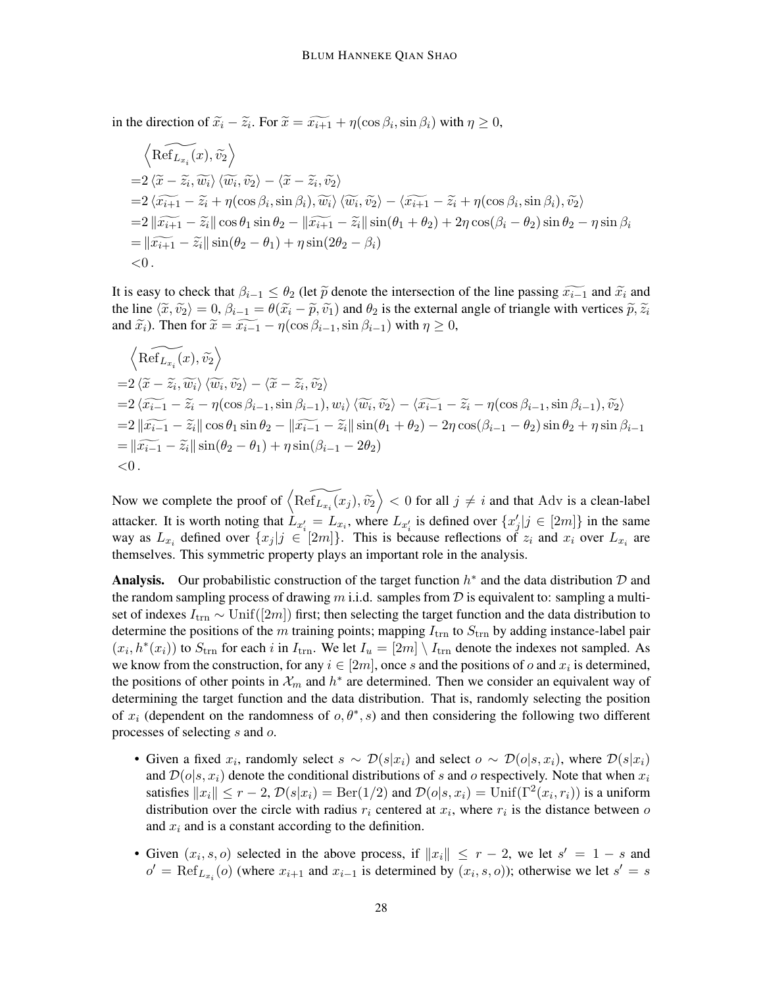in the direction of  $\tilde{x}_i - \tilde{z}_i$ . For  $\tilde{x} = \tilde{x}_{i+1} + \eta(\cos \beta_i, \sin \beta_i)$  with  $\eta \ge 0$ ,

$$
\langle \widetilde{\text{Ref}}_{L_{x_i}}(x), \widetilde{v_2} \rangle
$$
  
=2\langle \widetilde{x} - \widetilde{z}\_i, \widetilde{w\_i} \rangle \langle \widetilde{w}\_i, \widetilde{v\_2} \rangle - \langle \widetilde{x} - \widetilde{z}\_i, \widetilde{v\_2} \rangle  
=2\langle \widetilde{x\_{i+1}} - \widetilde{z}\_i + \eta(\cos \beta\_i, \sin \beta\_i), \widetilde{w}\_i \rangle \langle \widetilde{w}\_i, \widetilde{v\_2} \rangle - \langle \widetilde{x\_{i+1}} - \widetilde{z}\_i + \eta(\cos \beta\_i, \sin \beta\_i), \widetilde{v\_2} \rangle  
=2\|\widetilde{x\_{i+1}} - \widetilde{z}\_i\| \cos \theta\_1 \sin \theta\_2 - \|\widetilde{x\_{i+1}} - \widetilde{z}\_i\| \sin(\theta\_1 + \theta\_2) + 2\eta \cos(\beta\_i - \theta\_2) \sin \theta\_2 - \eta \sin \beta\_i  
= \|\widetilde{x\_{i+1}} - \widetilde{z}\_i\| \sin(\theta\_2 - \theta\_1) + \eta \sin(2\theta\_2 - \beta\_i)  
<0.

It is easy to check that  $\beta_{i-1} \leq \theta_2$  (let  $\tilde{p}$  denote the intersection of the line passing  $\widetilde{x_{i-1}}$  and  $\widetilde{x_i}$  and the line  $\langle \tilde{x}, \tilde{v}_2 \rangle = 0$ ,  $\beta_{i-1} = \theta(\tilde{x}_i - \tilde{p}, \tilde{v}_1)$  and  $\theta_2$  is the external angle of triangle with vertices  $\tilde{p}, \tilde{z}_i$ and  $\widetilde{x}_i$ ). Then for  $\widetilde{x} = \widetilde{x_{i-1}} - \eta(\cos\beta_{i-1}, \sin\beta_{i-1})$  with  $\eta \geq 0$ ,

$$
\langle \widetilde{\text{Ref}}_{L_{x_i}}(x), \widetilde{v_2} \rangle
$$
  
=2\langle \widetilde{x} - \widetilde{z}\_i, \widetilde{w\_i} \rangle \langle \widetilde{w}\_i, \widetilde{v\_2} \rangle - \langle \widetilde{x} - \widetilde{z}\_i, \widetilde{v\_2} \rangle  
=2\langle \widetilde{x\_{i-1}} - \widetilde{z}\_i - \eta(\cos \beta\_{i-1}, \sin \beta\_{i-1}), w\_i \rangle \langle \widetilde{w}\_i, \widetilde{v\_2} \rangle - \langle \widetilde{x\_{i-1}} - \widetilde{z}\_i - \eta(\cos \beta\_{i-1}, \sin \beta\_{i-1}), \widetilde{v\_2} \rangle  
=2\|\widetilde{x\_{i-1}} - \widetilde{z}\_i\| \cos \theta\_1 \sin \theta\_2 - \|\widetilde{x\_{i-1}} - \widetilde{z}\_i\| \sin(\theta\_1 + \theta\_2) - 2\eta \cos(\beta\_{i-1} - \theta\_2) \sin \theta\_2 + \eta \sin \beta\_{i-1}  
=\|\widetilde{x\_{i-1}} - \widetilde{z}\_i\| \sin(\theta\_2 - \theta\_1) + \eta \sin(\beta\_{i-1} - 2\theta\_2)  
<0.

Now we complete the proof of  $\left\langle \widehat{\text{Ref}_{L_{x_i}}(x_j)}, \widetilde{v_2} \right\rangle < 0$  for all  $j \neq i$  and that Adv is a clean-label attacker. It is worth noting that  $L_{x_i'} = L_{x_i}$ , where  $L_{x_i'}$  is defined over  $\{x_j'|j \in [2m]\}$  in the same way as  $L_{x_i}$  defined over  $\{x_j | j \in [2m]\}$ . This is because reflections of  $z_i$  and  $x_i$  over  $L_{x_i}$  are themselves. This symmetric property plays an important role in the analysis.

Analysis. Our probabilistic construction of the target function  $h^*$  and the data distribution  $D$  and the random sampling process of drawing m i.i.d. samples from  $\mathcal D$  is equivalent to: sampling a multiset of indexes  $I_{\text{trn}} \sim \text{Unif}([2m])$  first; then selecting the target function and the data distribution to determine the positions of the m training points; mapping  $I_{trn}$  to  $S_{trn}$  by adding instance-label pair  $(x_i, h^*(x_i))$  to  $S_{\text{trn}}$  for each i in  $I_{\text{trn}}$ . We let  $I_u = [2m] \setminus I_{\text{trn}}$  denote the indexes not sampled. As we know from the construction, for any  $i \in [2m]$ , once s and the positions of o and  $x_i$  is determined, the positions of other points in  $\mathcal{X}_m$  and  $h^*$  are determined. Then we consider an equivalent way of determining the target function and the data distribution. That is, randomly selecting the position of  $x_i$  (dependent on the randomness of  $o, \theta^*, s$ ) and then considering the following two different processes of selecting s and o.

- Given a fixed  $x_i$ , randomly select  $s \sim \mathcal{D}(s|x_i)$  and select  $o \sim \mathcal{D}(o|s, x_i)$ , where  $\mathcal{D}(s|x_i)$ and  $\mathcal{D}(o|s, x_i)$  denote the conditional distributions of s and o respectively. Note that when  $x_i$ satisfies  $||x_i|| \le r - 2$ ,  $\mathcal{D}(s|x_i) = \text{Ber}(1/2)$  and  $\mathcal{D}(o|s, x_i) = \text{Unif}(\Gamma^2(x_i, r_i))$  is a uniform distribution over the circle with radius  $r_i$  centered at  $x_i$ , where  $r_i$  is the distance between o and  $x_i$  and is a constant according to the definition.
- Given  $(x_i, s, o)$  selected in the above process, if  $||x_i|| \leq r 2$ , we let  $s' = 1 s$  and  $o' = \text{Ref}_{L_{x_i}}(o)$  (where  $x_{i+1}$  and  $x_{i-1}$  is determined by  $(x_i, s, o)$ ); otherwise we let  $s' = s$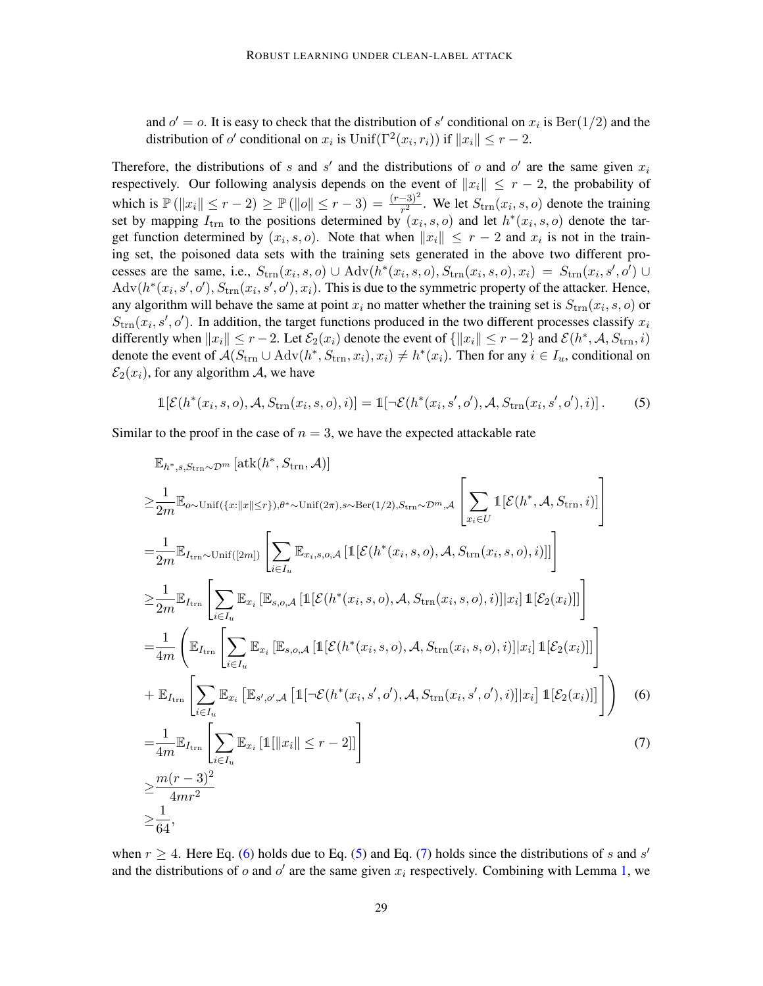and  $o' = o$ . It is easy to check that the distribution of s' conditional on  $x_i$  is  $\text{Ber}(1/2)$  and the distribution of  $o'$  conditional on  $x_i$  is  $\text{Unif}(\Gamma^2(x_i, r_i))$  if  $||x_i|| \leq r - 2$ .

Therefore, the distributions of s and s' and the distributions of o and o' are the same given  $x_i$ respectively. Our following analysis depends on the event of  $||x_i|| \leq r - 2$ , the probability of which is  $\mathbb{P}(\|x_i\| \le r - 2) \ge \mathbb{P}(\|o\| \le r - 3) = \frac{(r - 3)^2}{r^2}$ . We let  $S_{trn}(x_i, s, o)$  denote the training set by mapping  $I_{trn}$  to the positions determined by  $(x_i, s, o)$  and let  $h^*(x_i, s, o)$  denote the target function determined by  $(x_i, s, o)$ . Note that when  $||x_i|| \leq r - 2$  and  $x_i$  is not in the training set, the poisoned data sets with the training sets generated in the above two different processes are the same, i.e.,  $S_{trn}(x_i, s, o) \cup \text{Adv}(h^*(x_i, s, o), S_{trn}(x_i, s, o), x_i) = S_{trn}(x_i, s', o') \cup$  $Adv(h^*(x_i, s', o'), S_{trn}(x_i, s', o'), x_i)$ . This is due to the symmetric property of the attacker. Hence, any algorithm will behave the same at point  $x_i$  no matter whether the training set is  $S_{\text{trn}}(x_i, s, o)$  or  $S_{\text{trn}}(x_i, s', o')$ . In addition, the target functions produced in the two different processes classify  $x_i$ differently when  $||x_i|| \le r - 2$ . Let  $\mathcal{E}_2(x_i)$  denote the event of  $\{\|x_i\| \le r - 2\}$  and  $\mathcal{E}(h^*, \mathcal{A}, S_{trn}, i)$ denote the event of  $A(S_{trn} \cup \text{Adv}(h^*, S_{trn}, x_i), x_i) \neq h^*(x_i)$ . Then for any  $i \in I_u$ , conditional on  $\mathcal{E}_2(x_i)$ , for any algorithm A, we have

<span id="page-28-1"></span>
$$
\mathbb{1}[\mathcal{E}(h^*(x_i,s,o),\mathcal{A},S_{\text{trn}}(x_i,s,o),i)] = \mathbb{1}[\neg \mathcal{E}(h^*(x_i,s',o'),\mathcal{A},S_{\text{trn}}(x_i,s',o'),i)].
$$
 (5)

Similar to the proof in the case of  $n = 3$ , we have the expected attackable rate

<span id="page-28-0"></span>
$$
\mathbb{E}_{h^*,s,S_{\text{trn}}\sim\mathcal{D}^m}[\text{atk}(h^*,S_{\text{trn}},\mathcal{A})]
$$
\n
$$
\geq \frac{1}{2m} \mathbb{E}_{o\sim\text{Unif}(\{x:\|x\|\leq r\}),\theta^*\sim\text{Unif}(2\pi),s\sim\text{Ber}(1/2),S_{\text{trn}}\sim\mathcal{D}^m,\mathcal{A}} \left[ \sum_{x_i \in U} \mathbb{1}[\mathcal{E}(h^*,\mathcal{A},S_{\text{trn}},i)] \right]
$$
\n
$$
= \frac{1}{2m} \mathbb{E}_{I_{\text{trn}}} \sim \text{Unif}([2m]) \left[ \sum_{i\in I_u} \mathbb{E}_{x_i,s,o,\mathcal{A}} \left[ \mathbb{1}[\mathcal{E}(h^*(x_i,s,o),\mathcal{A},S_{\text{trn}}(x_i,s,o),i)] \right] \right]
$$
\n
$$
\geq \frac{1}{2m} \mathbb{E}_{I_{\text{trn}}} \left[ \sum_{i\in I_u} \mathbb{E}_{x_i} \left[ \mathbb{E}_{s,o,\mathcal{A}} \left[ \mathbb{1}[\mathcal{E}(h^*(x_i,s,o),\mathcal{A},S_{\text{trn}}(x_i,s,o),i)] \right| x_i \right] \mathbb{1}[\mathcal{E}_2(x_i)] \right]
$$
\n
$$
= \frac{1}{4m} \left( \mathbb{E}_{I_{\text{trn}}} \left[ \sum_{i\in I_u} \mathbb{E}_{x_i} \left[ \mathbb{E}_{s,o,\mathcal{A}} \left[ \mathbb{1}[\mathcal{E}(h^*(x_i,s,o),\mathcal{A},S_{\text{trn}}(x_i,s,o),i)] \right| x_i \right] \mathbb{1}[\mathcal{E}_2(x_i)] \right]
$$
\n
$$
+ \mathbb{E}_{I_{\text{trn}}} \left[ \sum_{i\in I_u} \mathbb{E}_{x_i} \left[ \mathbb{E}_{s',o',\mathcal{A}} \left[ \mathbb{1}[\neg \mathcal{E}(h^*(x_i,s',o'),\mathcal{A},S_{\text{trn}}(x_i,s',o'),i)] \right| x_i \right] \mathbb{1}[\mathcal{E}_2(x_i)] \right]
$$
\n
$$
= \frac{
$$

<span id="page-28-2"></span>when  $r \geq 4$ . Here Eq. [\(6\)](#page-28-0) holds due to Eq. [\(5\)](#page-28-1) and Eq. [\(7\)](#page-28-2) holds since the distributions of s and s' and the distributions of  $o$  and  $o'$  are the same given  $x_i$  respectively. Combining with Lemma [1,](#page-22-1) we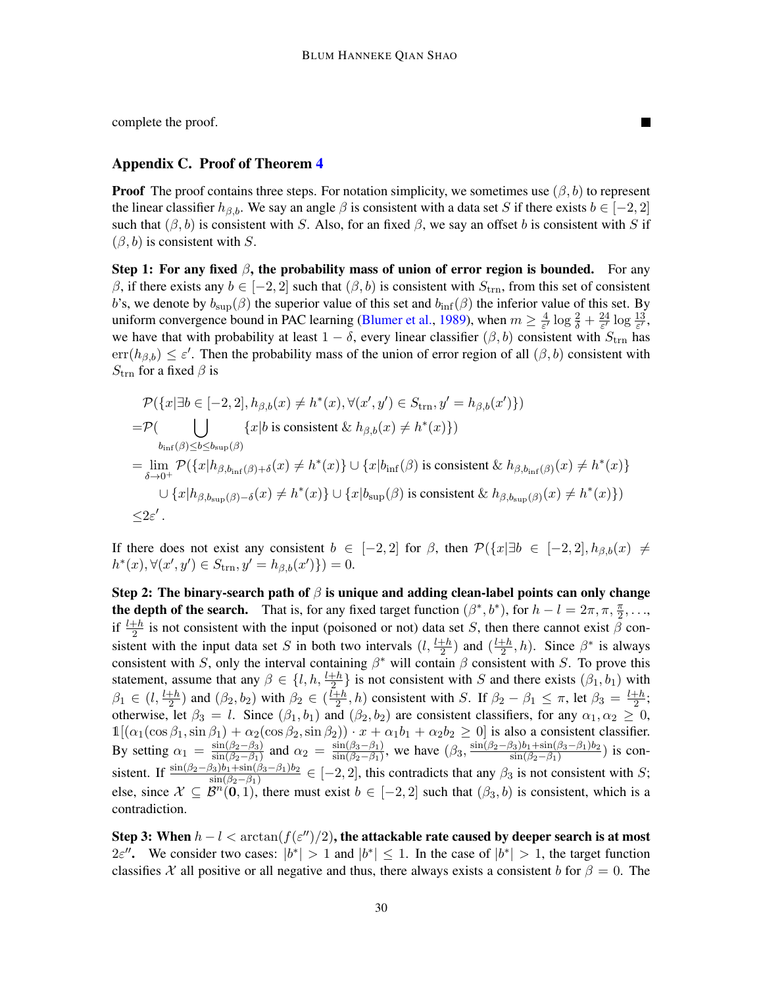complete the proof.

# <span id="page-29-0"></span>Appendix C. Proof of Theorem [4](#page-8-1)

**Proof** The proof contains three steps. For notation simplicity, we sometimes use  $(\beta, b)$  to represent the linear classifier  $h_{\beta,b}$ . We say an angle  $\beta$  is consistent with a data set S if there exists  $b \in [-2, 2]$ such that  $(\beta, b)$  is consistent with S. Also, for an fixed  $\beta$ , we say an offset b is consistent with S if  $(\beta, b)$  is consistent with S.

Step 1: For any fixed  $\beta$ , the probability mass of union of error region is bounded. For any β, if there exists any  $b \in [-2, 2]$  such that  $(β, b)$  is consistent with  $S_{trn}$ , from this set of consistent b's, we denote by  $b_{\text{sup}}(\beta)$  the superior value of this set and  $b_{\text{inf}}(\beta)$  the inferior value of this set. By uniform convergence bound in PAC learning [\(Blumer et al.,](#page-14-13) [1989\)](#page-14-13), when  $m \geq \frac{4}{\epsilon^2}$  $\frac{4}{\varepsilon'}\log\frac{2}{\delta}+\frac{24}{\varepsilon'}$  $rac{24}{\varepsilon'}\log\frac{13}{\varepsilon'},$ we have that with probability at least  $1 - \delta$ , every linear classifier  $(\beta, b)$  consistent with  $S_{\text{trn}}$  has  $err(h_{\beta,b}) \leq \varepsilon'$ . Then the probability mass of the union of error region of all  $(\beta, b)$  consistent with  $S_{\text{trn}}$  for a fixed  $\beta$  is

$$
\mathcal{P}(\{x|\exists b \in [-2,2], h_{\beta,b}(x) \neq h^*(x), \forall (x',y') \in S_{\text{trn}}, y' = h_{\beta,b}(x')\})
$$
\n
$$
= \mathcal{P}(\bigcup_{b_{\inf}(\beta) \leq b \leq b_{\sup}(\beta)} \{x|b \text{ is consistent} \& h_{\beta,b}(x) \neq h^*(x)\})
$$
\n
$$
= \lim_{\delta \to 0^+} \mathcal{P}(\{x|h_{\beta,b_{\inf}(\beta)+\delta}(x) \neq h^*(x)\} \cup \{x|b_{\inf}(\beta) \text{ is consistent} \& h_{\beta,b_{\inf}(\beta)}(x) \neq h^*(x)\} \cup \{x|h_{\beta,b_{\sup}(\beta)-\delta}(x) \neq h^*(x)\} \cup \{x|b_{\sup}(\beta) \text{ is consistent} \& h_{\beta,b_{\sup}(\beta)}(x) \neq h^*(x)\})
$$
\n
$$
\leq 2\varepsilon'.
$$

If there does not exist any consistent  $b \in [-2,2]$  for  $\beta$ , then  $\mathcal{P}(\{x | \exists b \in [-2,2], h_{\beta,b}(x) \neq 0\})$  $h^*(x), \forall (x', y') \in S_{trn}, y' = h_{\beta, b}(x')\}) = 0.$ 

Step 2: The binary-search path of  $\beta$  is unique and adding clean-label points can only change the depth of the search. That is, for any fixed target function  $(\beta^*, b^*)$ , for  $h - l = 2\pi, \pi, \frac{\pi}{2}, \ldots$ if  $\frac{l+h}{2}$  is not consistent with the input (poisoned or not) data set S, then there cannot exist  $\beta$  consistent with the input data set S in both two intervals  $(l, \frac{l+h}{2})$  and  $(\frac{l+h}{2})$  $\frac{+h}{2}$ , h). Since  $\beta^*$  is always consistent with S, only the interval containing  $\beta^*$  will contain  $\beta$  consistent with S. To prove this statement, assume that any  $\beta \in \{l, h, \frac{l+h}{2}\}$  is not consistent with S and there exists  $(\beta_1, b_1)$  with  $\beta_1 \in (l, \frac{l+h}{2})$  and  $(\beta_2, b_2)$  with  $\beta_2 \in (\frac{l+h}{2})$  $\frac{1+h}{2}$ , h) consistent with S. If  $\beta_2 - \beta_1 \leq \pi$ , let  $\beta_3 = \frac{l+h}{2}$  $\frac{+h}{2}$ ; otherwise, let  $\beta_3 = l$ . Since  $(\beta_1, b_1)$  and  $(\beta_2, b_2)$  are consistent classifiers, for any  $\alpha_1, \alpha_2 \geq 0$ ,  $\mathbb{1}[(\alpha_1(\cos\beta_1,\sin\beta_1)+\alpha_2(\cos\beta_2,\sin\beta_2)) \cdot x + \alpha_1b_1 + \alpha_2b_2 \ge 0]$  is also a consistent classifier. By setting  $\alpha_1 = \frac{\sin(\beta_2 - \beta_3)}{\sin(\beta_2 - \beta_1)}$  $\frac{\sin(\beta_2-\beta_3)}{\sin(\beta_2-\beta_1)}$  and  $\alpha_2 = \frac{\sin(\beta_3-\beta_1)}{\sin(\beta_2-\beta_1)}$  $\frac{\sin(\beta_3 - \beta_1)}{\sin(\beta_2 - \beta_1)}$ , we have  $(\beta_3, \frac{\sin(\beta_2 - \beta_3)b_1 + \sin(\beta_3 - \beta_1)b_2}{\sin(\beta_2 - \beta_1)}$  $\frac{\sin(\beta_2-\beta_1)\sin(2-\beta_1)}{\sin(\beta_2-\beta_1)}$  is consistent. If  $\frac{\sin(\beta_2-\beta_3)b_1+\sin(\beta_3-\beta_1)b_2}{\sin(\beta_2-\beta_1)} \in [-2,2]$ , this contradicts that any  $\beta_3$  is not consistent with S; else, since  $X \subseteq B^n(0,1)$ , there must exist  $b \in [-2,2]$  such that  $(\beta_3, b)$  is consistent, which is a contradiction.

Step 3: When  $h-l<\arctan(f(\varepsilon'')/2)$ , the attackable rate caused by deeper search is at most  $2\varepsilon''$ . We consider two cases:  $|b^*| > 1$  and  $|b^*| \le 1$ . In the case of  $|b^*| > 1$ , the target function classifies X all positive or all negative and thus, there always exists a consistent b for  $\beta = 0$ . The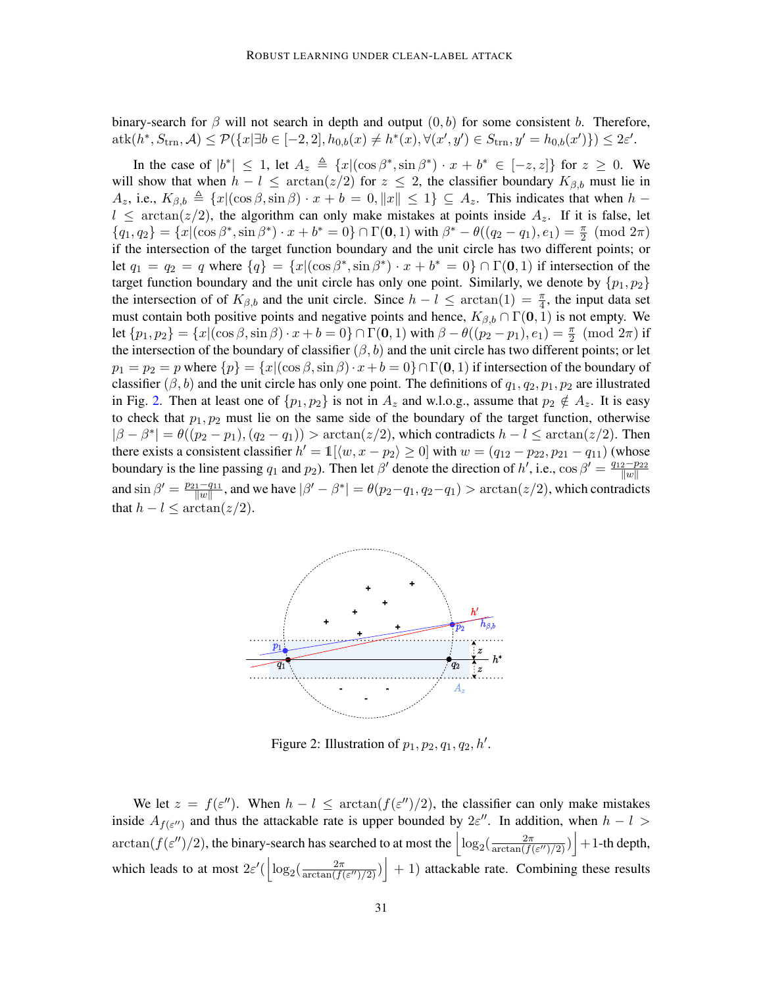binary-search for  $\beta$  will not search in depth and output  $(0, b)$  for some consistent b. Therefore,  $\text{atk}(h^*, S_{\text{trn}}, \mathcal{A}) \leq \mathcal{P}(\{x | \exists b \in [-2, 2], h_{0,b}(x) \neq h^*(x), \forall (x', y') \in S_{\text{trn}}, y' = h_{0,b}(x')\}) \leq 2\varepsilon'.$ 

In the case of  $|b^*| \leq 1$ , let  $A_z \triangleq \{x | (\cos \beta^* , \sin \beta^*) \cdot x + b^* \in [-z, z] \}$  for  $z \geq 0$ . We will show that when  $h - l \leq \arctan(z/2)$  for  $z \leq 2$ , the classifier boundary  $K_{\beta,b}$  must lie in  $A_z$ , i.e.,  $K_{\beta,b} \triangleq \{x|(\cos\beta,\sin\beta) \cdot x + b = 0, ||x|| \leq 1\} \subseteq A_z$ . This indicates that when  $h$  –  $l \leq \arctan(z/2)$ , the algorithm can only make mistakes at points inside  $A_z$ . If it is false, let  ${q_1, q_2} = {x | (\cos \beta^*, \sin \beta^*) \cdot x + b^* = 0} \cap \Gamma(\mathbf{0}, 1) \text{ with } \beta^* - \theta((q_2 - q_1), e_1) = \frac{\pi}{2} \pmod{2\pi}$ if the intersection of the target function boundary and the unit circle has two different points; or let  $q_1 = q_2 = q$  where  $\{q\} = \{x | (\cos \beta^*, \sin \beta^*) \cdot x + b^* = 0\} \cap \Gamma(\mathbf{0}, 1)$  if intersection of the target function boundary and the unit circle has only one point. Similarly, we denote by  $\{p_1, p_2\}$ the intersection of of  $K_{\beta,b}$  and the unit circle. Since  $h - l \leq \arctan(1) = \frac{\pi}{4}$ , the input data set must contain both positive points and negative points and hence,  $K_{\beta,b} \cap \Gamma(0,1)$  is not empty. We let  $\{p_1, p_2\} = \{x | (\cos \beta, \sin \beta) \cdot x + b = 0\} \cap \Gamma(0, 1)$  with  $\beta - \theta((p_2 - p_1), e_1) = \frac{\pi}{2} \pmod{2\pi}$  if the intersection of the boundary of classifier  $(\beta, b)$  and the unit circle has two different points; or let  $p_1 = p_2 = p$  where  $\{p\} = \{x \mid (\cos \beta, \sin \beta) \cdot x + b = 0\} \cap \Gamma(\mathbf{0}, 1)$  if intersection of the boundary of classifier ( $\beta$ , b) and the unit circle has only one point. The definitions of  $q_1, q_2, p_1, p_2$  are illustrated in Fig. [2.](#page-30-0) Then at least one of  $\{p_1, p_2\}$  is not in  $A_z$  and w.l.o.g., assume that  $p_2 \notin A_z$ . It is easy to check that  $p_1, p_2$  must lie on the same side of the boundary of the target function, otherwise  $|\beta - \beta^*| = \theta((p_2 - p_1), (q_2 - q_1))$  > arctan( $z/2$ ), which contradicts  $h - l \leq \arctan(z/2)$ . Then there exists a consistent classifier  $h' = \mathbb{1}[\langle w, x - p_2 \rangle \ge 0]$  with  $w = (q_{12} - p_{22}, p_{21} - q_{11})$  (whose boundary is the line passing  $q_1$  and  $p_2$ ). Then let  $\beta'$  denote the direction of h', i.e.,  $\cos \beta' = \frac{q_{12}-p_{22}}{||w||}$  $\overline{\|w\|}$ and  $\sin \beta' = \frac{p_{21} - q_{11}}{||w||}$  $\frac{1-q_{11}}{\|w\|}$ , and we have  $|\beta'-\beta^*| = \theta(p_2-q_1, q_2-q_1) > \arctan(z/2)$ , which contradicts that  $h - l \leq \arctan(z/2)$ .



<span id="page-30-0"></span>Figure 2: Illustration of  $p_1, p_2, q_1, q_2, h'.$ 

We let  $z = f(\varepsilon'')$ . When  $h - l \leq \arctan(f(\varepsilon'')/2)$ , the classifier can only make mistakes inside  $A_{f(\varepsilon'')}$  and thus the attackable rate is upper bounded by  $2\varepsilon''$ . In addition, when  $h-l$  $\arctan(f(\varepsilon'')/2)$ , the binary-search has searched to at most the  $\Big|\log_2(\frac{2\pi}{\arctan(f(\varepsilon'))})\Big|$  $\frac{2\pi}{\arctan(f(\varepsilon'')/2)})$  + 1-th depth, which leads to at most  $2\varepsilon'(\left|\log_2(\frac{2\pi}{\arctan(f)}\right|))$  $\left| \frac{2\pi}{\arctan(f(\varepsilon'')/2)} \right| + 1$ ) attackable rate. Combining these results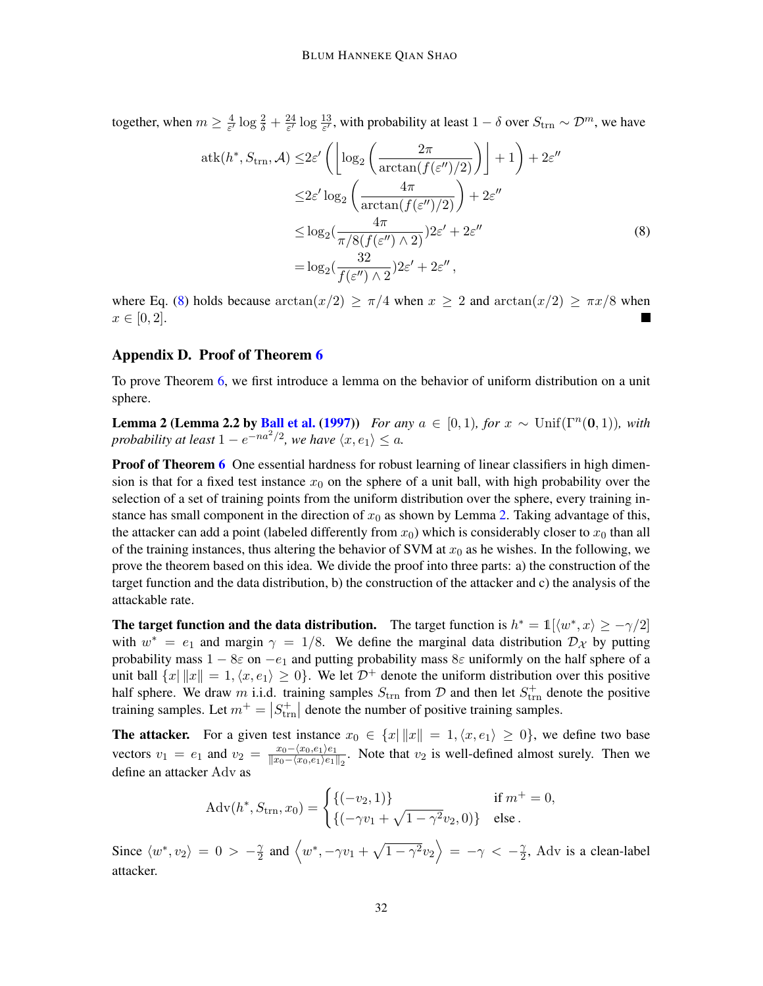together, when  $m \geq \frac{4}{5}$  $\frac{4}{\varepsilon'}\log\frac{2}{\delta}+\frac{24}{\varepsilon'}$  $\frac{24}{\varepsilon'}\log\frac{13}{\varepsilon'}$ , with probability at least  $1-\delta$  over  $S_{\text{trn}} \sim \mathcal{D}^m$ , we have

<span id="page-31-1"></span>
$$
atk(h^*, S_{\text{trn}}, \mathcal{A}) \le 2\varepsilon' \left( \left\lfloor \log_2 \left( \frac{2\pi}{\arctan(f(\varepsilon'')/2)} \right) \right\rfloor + 1 \right) + 2\varepsilon''
$$
  

$$
\le 2\varepsilon' \log_2 \left( \frac{4\pi}{\arctan(f(\varepsilon'')/2)} \right) + 2\varepsilon''
$$
  

$$
\le \log_2 \left( \frac{4\pi}{\pi/8(f(\varepsilon'') \wedge 2)} \right) 2\varepsilon' + 2\varepsilon''
$$
  

$$
= \log_2 \left( \frac{32}{f(\varepsilon'') \wedge 2} \right) 2\varepsilon' + 2\varepsilon'',
$$
 (8)

where Eq. [\(8\)](#page-31-1) holds because  $arctan(x/2) \ge \pi/4$  when  $x \ge 2$  and  $arctan(x/2) \ge \pi x/8$  when  $x \in [0, 2].$ 

### <span id="page-31-0"></span>Appendix D. Proof of Theorem [6](#page-9-1)

<span id="page-31-2"></span>To prove Theorem [6,](#page-9-1) we first introduce a lemma on the behavior of uniform distribution on a unit sphere.

**Lemma 2 (Lemma 2.2 by [Ball et al.](#page-14-14) [\(1997\)](#page-14-14))** *For any*  $a \in [0,1)$ *, for*  $x \sim \text{Unif}(\Gamma^n(\mathbf{0},1))$ *, with probability at least*  $1 - e^{-na^2/2}$ , we have  $\langle x, e_1 \rangle \le a$ .

Proof of Theorem [6](#page-9-1) One essential hardness for robust learning of linear classifiers in high dimension is that for a fixed test instance  $x_0$  on the sphere of a unit ball, with high probability over the selection of a set of training points from the uniform distribution over the sphere, every training instance has small component in the direction of  $x_0$  as shown by Lemma [2.](#page-31-2) Taking advantage of this, the attacker can add a point (labeled differently from  $x_0$ ) which is considerably closer to  $x_0$  than all of the training instances, thus altering the behavior of SVM at  $x_0$  as he wishes. In the following, we prove the theorem based on this idea. We divide the proof into three parts: a) the construction of the target function and the data distribution, b) the construction of the attacker and c) the analysis of the attackable rate.

The target function and the data distribution. The target function is  $h^* = \mathbb{1}[\langle w^*, x \rangle \ge -\gamma/2]$ with  $w^* = e_1$  and margin  $\gamma = 1/8$ . We define the marginal data distribution  $\mathcal{D}_{\mathcal{X}}$  by putting probability mass  $1 - 8\varepsilon$  on  $-e_1$  and putting probability mass  $8\varepsilon$  uniformly on the half sphere of a unit ball  $\{x \mid ||x|| = 1, \langle x, e_1 \rangle \ge 0\}$ . We let  $\mathcal{D}^+$  denote the uniform distribution over this positive half sphere. We draw m i.i.d. training samples  $S_{\text{trn}}$  from D and then let  $S_{\text{trn}}^+$  denote the positive training samples. Let  $m^+ = |S_{\text{trn}}^+|$  denote the number of positive training samples.

**The attacker.** For a given test instance  $x_0 \in \{x \mid ||x|| = 1, \langle x, e_1 \rangle \geq 0\}$ , we define two base vectors  $v_1 = e_1$  and  $v_2 = \frac{x_0 - \langle x_0, e_1 \rangle e_1}{\|x_0 - \langle x_0, e_1 \rangle e_1\|}$  $\frac{x_0 - (x_0, e_1)e_1}{\|x_0 - (x_0, e_1)e_1\|_2}$ . Note that  $v_2$  is well-defined almost surely. Then we define an attacker Adv as

$$
Adv(h^*, S_{trn}, x_0) = \begin{cases} \{(-v_2, 1)\} & \text{if } m^+ = 0, \\ \{(-\gamma v_1 + \sqrt{1 - \gamma^2} v_2, 0)\} & \text{else.} \end{cases}
$$

Since  $\langle w^*, v_2 \rangle = 0 > -\frac{\gamma}{2}$  $\frac{\gamma}{2}$  and  $\left\langle w^*, -\gamma v_1 + \sqrt{1-\gamma^2} v_2 \right\rangle = -\gamma \, < \, -\frac{\gamma}{2}$  $\frac{\gamma}{2}$ , Adv is a clean-label attacker.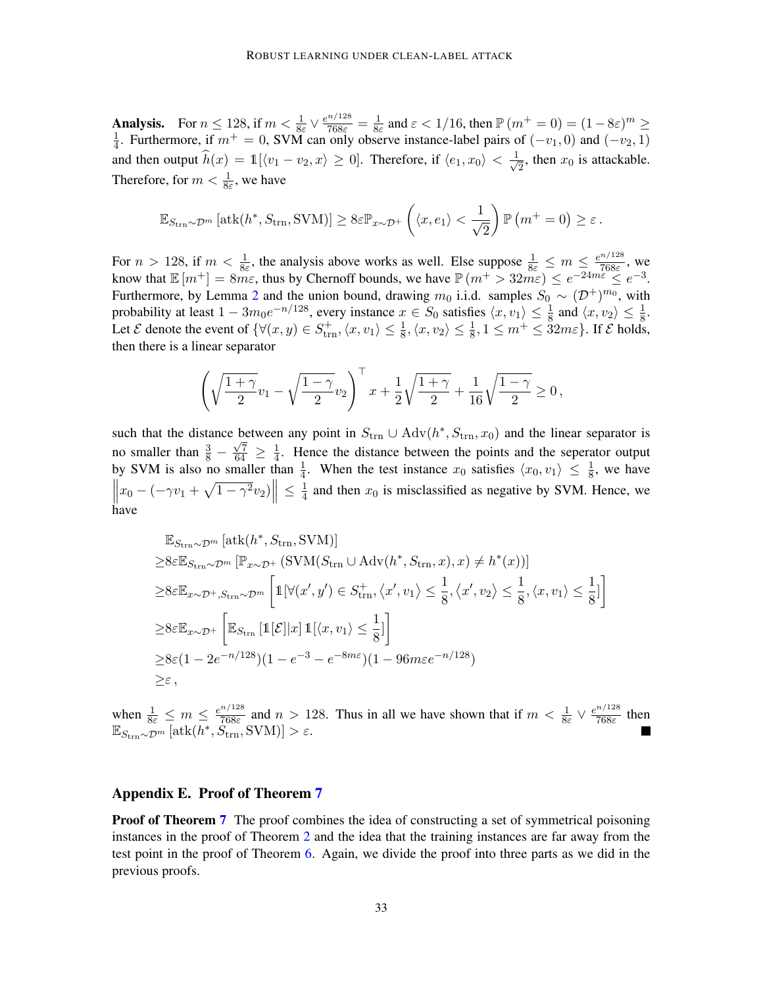**Analysis.** For  $n \leq 128$ , if  $m < \frac{1}{8\varepsilon} \vee \frac{e^{n/128}}{768\varepsilon} = \frac{1}{8\varepsilon}$  $\frac{1}{8\varepsilon}$  and  $\varepsilon < 1/16$ , then  $\mathbb{P}(m^+ = 0) = (1 - 8\varepsilon)^m \ge$ 1  $\frac{1}{4}$ . Furthermore, if  $m^+ = 0$ , SVM can only observe instance-label pairs of  $(-v_1, 0)$  and  $(-v_2, 1)$ and then output  $\widehat{h}(x) = 1$  [ $\langle v_1 - v_2, x \rangle \ge 0$ ]. Therefore, if  $\langle e_1, x_0 \rangle < \frac{1}{\sqrt{\lambda}}$  $\frac{1}{2}$ , then  $x_0$  is attackable. Therefore, for  $m < \frac{1}{8\varepsilon}$ , we have

$$
\mathbb{E}_{S_{\text{trn}}\sim\mathcal{D}^m}\left[\text{atk}(h^*,S_{\text{trn}},\text{SVM})\right]\geq 8\varepsilon\mathbb{P}_{x\sim\mathcal{D}^+}\left(\langle x,e_1\rangle<\frac{1}{\sqrt{2}}\right)\mathbb{P}\left(m^+=0\right)\geq\varepsilon.
$$

For  $n > 128$ , if  $m < \frac{1}{8\varepsilon}$ , the analysis above works as well. Else suppose  $\frac{1}{8\varepsilon} \leq m \leq \frac{e^{n/128}}{768\varepsilon}$  $\frac{768\varepsilon}{768\varepsilon}$ , we know that  $\mathbb{E}[m^+] = 8m\varepsilon$ , thus by Chernoff bounds, we have  $\mathbb{P}(m^+ > 32m\varepsilon) \le e^{-24m\varepsilon} \le e^{-3}$ . Furthermore, by Lemma [2](#page-31-2) and the union bound, drawing  $m_0$  i.i.d. samples  $S_0 \sim (\mathcal{D}^+)^{m_0}$ , with probability at least  $1 - 3m_0e^{-n/128}$ , every instance  $x \in S_0$  satisfies  $\langle x, v_1 \rangle \leq \frac{1}{8}$  and  $\langle x, v_2 \rangle \leq \frac{1}{8}$ . Let  $\mathcal E$  denote the event of  $\{\forall (x, y) \in S^+_{\text{trn}}, \langle x, v_1 \rangle \leq \frac{1}{8}, \langle x, v_2 \rangle \leq \frac{1}{8}, 1 \leq m^+ \leq 32m\varepsilon\}$ . If  $\mathcal E$  holds, then there is a linear separator

$$
\left(\sqrt{\frac{1+\gamma}{2}}v_1 - \sqrt{\frac{1-\gamma}{2}}v_2\right)^{\top} x + \frac{1}{2}\sqrt{\frac{1+\gamma}{2}} + \frac{1}{16}\sqrt{\frac{1-\gamma}{2}} \ge 0,
$$

such that the distance between any point in  $S_{trn} \cup \text{Adv}(h^*, S_{trn}, x_0)$  and the linear separator is no smaller than  $\frac{3}{8} - \frac{\sqrt{7}}{64} \ge \frac{1}{4}$  $\frac{1}{4}$ . Hence the distance between the points and the seperator output by SVM is also no smaller than  $\frac{1}{4}$ . When the test instance  $x_0$  satisfies  $\langle x_0, v_1 \rangle \leq \frac{1}{8}$ , we have  $\left\| x_0 - (-\gamma v_1 + \sqrt{1-\gamma^2}v_2) \right\| \leq \frac{1}{4}$  $\frac{1}{4}$  and then  $x_0$  is misclassified as negative by SVM. Hence, we have

$$
\mathbb{E}_{S_{\text{trn}}\sim\mathcal{D}^{m}}\left[\text{atk}(h^{*}, S_{\text{trn}}, \text{SVM})\right]
$$
  
\n
$$
\geq 8\varepsilon \mathbb{E}_{S_{\text{trn}}\sim\mathcal{D}^{m}}\left[\mathbb{P}_{x\sim\mathcal{D}^{+}}\left(\text{SVM}(S_{\text{trn}}\cup \text{Adv}(h^{*}, S_{\text{trn}}, x), x)\neq h^{*}(x)\right)\right]
$$
  
\n
$$
\geq 8\varepsilon \mathbb{E}_{x\sim\mathcal{D}^{+}, S_{\text{trn}}\sim\mathcal{D}^{m}}\left[\mathbb{1}[\forall (x', y') \in S_{\text{trn}}^{+}, \langle x', v_{1}\rangle \leq \frac{1}{8}, \langle x', v_{2}\rangle \leq \frac{1}{8}, \langle x, v_{1}\rangle \leq \frac{1}{8}\right]
$$
  
\n
$$
\geq 8\varepsilon \mathbb{E}_{x\sim\mathcal{D}^{+}}\left[\mathbb{E}_{S_{\text{trn}}}\left[\mathbb{1}[\mathcal{E}]\,|x\right]\mathbb{1}[\langle x, v_{1}\rangle \leq \frac{1}{8}\right]
$$
  
\n
$$
\geq 8\varepsilon(1 - 2e^{-n/128})(1 - e^{-3} - e^{-8n\varepsilon})(1 - 96m\varepsilon e^{-n/128})
$$
  
\n
$$
\geq \varepsilon,
$$

when  $\frac{1}{8\varepsilon} \leq m \leq \frac{e^{n/128}}{768\varepsilon}$  $rac{n}{768\varepsilon}$  and  $n > 128$ . Thus in all we have shown that if  $m < \frac{1}{8\varepsilon} \vee \frac{e^{n/128}}{768\varepsilon}$  $\frac{768\varepsilon}{768\varepsilon}$  then  $\mathbb{E}_{S_{\text{trn}} \sim \mathcal{D}^m} [\text{atk}(h^*, \overset{\text{occ}}{S_{\text{trn}}}, \text{SVM})] > \varepsilon.$ 

### <span id="page-32-0"></span>Appendix E. Proof of Theorem [7](#page-9-2)

**Proof of Theorem [7](#page-9-2)** The proof combines the idea of constructing a set of symmetrical poisoning instances in the proof of Theorem [2](#page-7-1) and the idea that the training instances are far away from the test point in the proof of Theorem [6.](#page-9-1) Again, we divide the proof into three parts as we did in the previous proofs.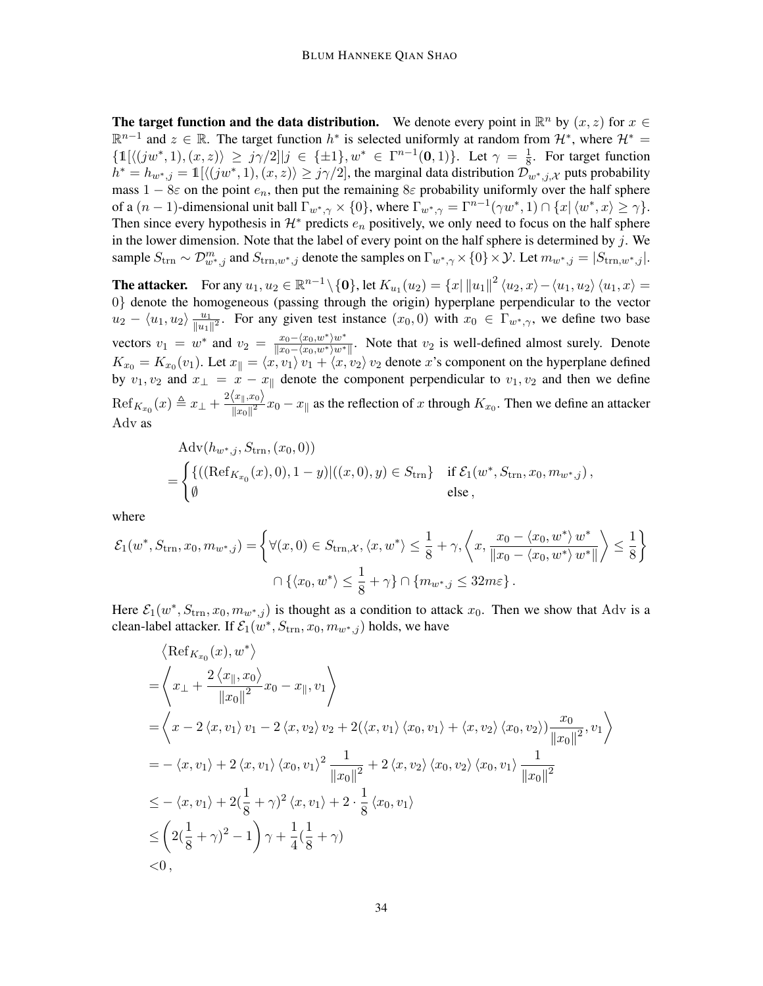The target function and the data distribution. We denote every point in  $\mathbb{R}^n$  by  $(x, z)$  for  $x \in$  $\mathbb{R}^{n-1}$  and  $z \in \mathbb{R}$ . The target function  $h^*$  is selected uniformly at random from  $\mathcal{H}^*$ , where  $\mathcal{H}^*$  $\{\mathbb{1}[\langle(jw^*,1),(x,z)\rangle\geq j\gamma/2\,j\in\{\pm 1\},w^*\in\Gamma^{n-1}(\mathbf{0},1)\}.$  Let  $\gamma=\frac{1}{8}$  $\frac{1}{8}$ . For target function  $h^* = h_{w^*,j} = \mathbb{1}[\langle(jw^*,1), (x,z)\rangle \geq j\gamma/2]$ , the marginal data distribution  $\mathcal{D}_{w^*,j,\mathcal{X}}$  puts probability mass  $1 - 8\varepsilon$  on the point  $e_n$ , then put the remaining  $8\varepsilon$  probability uniformly over the half sphere of a  $(n-1)$ -dimensional unit ball  $\Gamma_{w^*,\gamma} \times \{0\}$ , where  $\Gamma_{w^*,\gamma} = \Gamma^{n-1}(\gamma w^*, 1) \cap \{x \mid \langle w^*, x \rangle \geq \gamma\}$ . Then since every hypothesis in  $\mathcal{H}^*$  predicts  $e_n$  positively, we only need to focus on the half sphere in the lower dimension. Note that the label of every point on the half sphere is determined by  $j$ . We sample  $S_{\text{trn}} \sim \mathcal{D}_{w^*,j}^m$  and  $S_{\text{trn},w^*,j}$  denote the samples on  $\Gamma_{w^*,\gamma} \times \{0\} \times \mathcal{Y}$ . Let  $m_{w^*,j} = |S_{\text{trn},w^*,j}|$ .

The attacker. For any  $u_1, u_2 \in \mathbb{R}^{n-1} \setminus \{0\}$ , let  $K_{u_1}(u_2) = \{x \mid ||u_1||^2 \langle u_2, x \rangle - \langle u_1, u_2 \rangle \langle u_1, x \rangle =$ 0} denote the homogeneous (passing through the origin) hyperplane perpendicular to the vector  $u_2 - \langle u_1, u_2 \rangle \frac{u_1}{\|u_1\|}$  $\frac{u_1}{\|u_1\|^2}$ . For any given test instance  $(x_0, 0)$  with  $x_0 \in \Gamma_{w^*, \gamma}$ , we define two base vectors  $v_1 = w^*$  and  $v_2 = \frac{x_0 - \langle x_0, w^* \rangle w^*}{\|x_0 - \langle x_0, w^* \rangle w^*}$  $\frac{x_0-x_0,w}{x_0-x_0,w^*w^*}$ . Note that  $v_2$  is well-defined almost surely. Denote  $K_{x_0} = K_{x_0}(v_1)$ . Let  $x_{\parallel} = \langle x, v_1 \rangle v_1 + \langle x, v_2 \rangle v_2$  denote x's component on the hyperplane defined by  $v_1, v_2$  and  $x_{\perp} = x - x_{\parallel}$  denote the component perpendicular to  $v_1, v_2$  and then we define  $\mathrm{Ref}_{K_{x_0}}(x) \triangleq x_\perp + \frac{2\langle x_\parallel, x_0\rangle}{\|x_0\|^2}$  $\frac{\|x\|, x_0}{\|x_0\|^2}$   $x_0 - x_{\|}$  as the reflection of x through  $K_{x_0}$ . Then we define an attacker Adv as

$$
Adv(h_{w^*,j}, S_{trn}, (x_0, 0))
$$
  
= 
$$
\begin{cases} {((Ref_{K_{x_0}}(x), 0), 1 - y)((x, 0), y) \in S_{trn}} & \text{if } \mathcal{E}_1(w^*, S_{trn}, x_0, m_{w^*,j}), \\ \emptyset & \text{else,} \end{cases}
$$

where

$$
\mathcal{E}_1(w^*, S_{\text{trn}}, x_0, m_{w^*,j}) = \left\{ \forall (x, 0) \in S_{\text{trn}, \mathcal{X}}, \langle x, w^* \rangle \le \frac{1}{8} + \gamma, \left\langle x, \frac{x_0 - \langle x_0, w^* \rangle w^*}{\|x_0 - \langle x_0, w^* \rangle w^* \|} \right\rangle \le \frac{1}{8} \right\}
$$
  

$$
\bigcap \left\{ \langle x_0, w^* \rangle \le \frac{1}{8} + \gamma \right\} \bigcap \left\{ m_{w^*, j} \le 32m\varepsilon \right\}.
$$

Here  $\mathcal{E}_1(w^*, S_{\text{trn}}, x_0, m_{w^*,j})$  is thought as a condition to attack  $x_0$ . Then we show that Adv is a clean-label attacker. If  $\mathcal{E}_1(w^*, S_{\text{trn}}, x_0, m_{w^*, j})$  holds, we have

$$
\langle \operatorname{Ref}_{K_{x_0}}(x), w^* \rangle
$$
\n
$$
= \left\langle x_{\perp} + \frac{2 \langle x_{\parallel}, x_0 \rangle}{\|x_0\|^2} x_0 - x_{\parallel}, v_1 \right\rangle
$$
\n
$$
= \left\langle x - 2 \langle x, v_1 \rangle v_1 - 2 \langle x, v_2 \rangle v_2 + 2(\langle x, v_1 \rangle \langle x_0, v_1 \rangle + \langle x, v_2 \rangle \langle x_0, v_2 \rangle) \frac{x_0}{\|x_0\|^2}, v_1 \right\rangle
$$
\n
$$
= -\langle x, v_1 \rangle + 2 \langle x, v_1 \rangle \langle x_0, v_1 \rangle^2 \frac{1}{\|x_0\|^2} + 2 \langle x, v_2 \rangle \langle x_0, v_2 \rangle \langle x_0, v_1 \rangle \frac{1}{\|x_0\|^2}
$$
\n
$$
\leq -\langle x, v_1 \rangle + 2(\frac{1}{8} + \gamma)^2 \langle x, v_1 \rangle + 2 \cdot \frac{1}{8} \langle x_0, v_1 \rangle
$$
\n
$$
\leq \left( 2(\frac{1}{8} + \gamma)^2 - 1 \right) \gamma + \frac{1}{4}(\frac{1}{8} + \gamma)
$$
\n
$$
< 0,
$$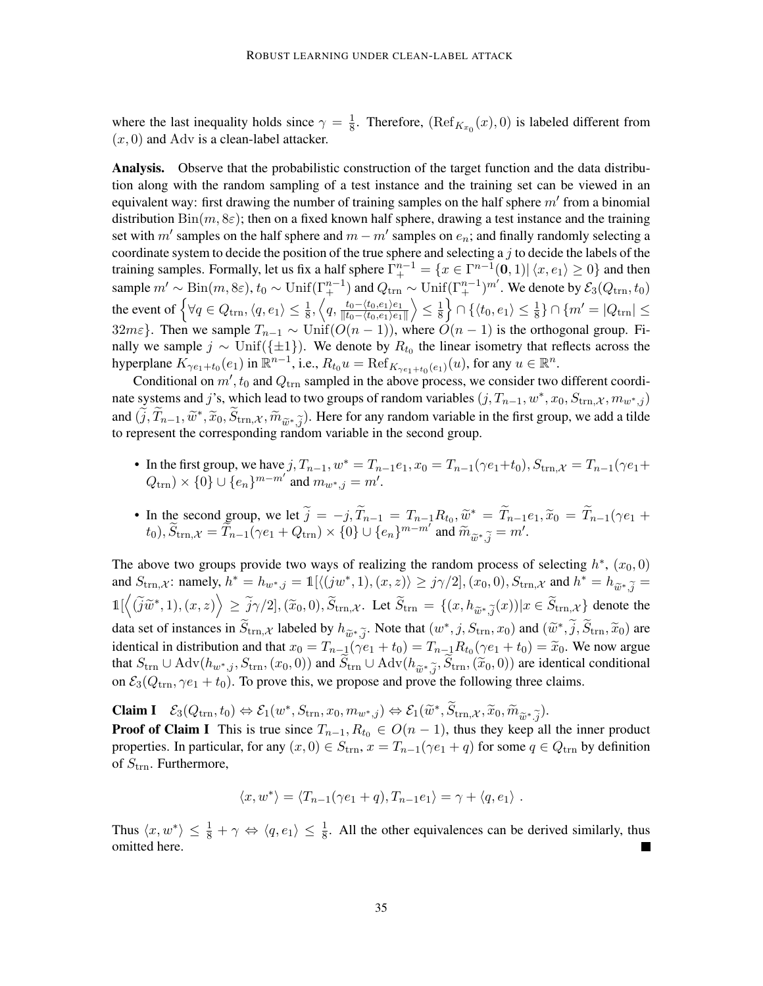where the last inequality holds since  $\gamma = \frac{1}{8}$  $\frac{1}{8}$ . Therefore,  $(Ref_{K_{x_0}}(x), 0)$  is labeled different from  $(x, 0)$  and Adv is a clean-label attacker.

Analysis. Observe that the probabilistic construction of the target function and the data distribution along with the random sampling of a test instance and the training set can be viewed in an equivalent way: first drawing the number of training samples on the half sphere  $m'$  from a binomial distribution  $\text{Bin}(m, 8\varepsilon)$ ; then on a fixed known half sphere, drawing a test instance and the training set with  $m'$  samples on the half sphere and  $m - m'$  samples on  $e_n$ ; and finally randomly selecting a coordinate system to decide the position of the true sphere and selecting a  $j$  to decide the labels of the training samples. Formally, let us fix a half sphere  $\Gamma^{n-1}_+ = \{x \in \Gamma^{n-1}(\mathbf{0},1) | \langle x, e_1 \rangle \ge 0\}$  and then sample  $m' \sim Bin(m, 8\varepsilon)$ ,  $t_0 \sim Unif(\Gamma^{n-1}_+)$  and  $Q_{\text{trn}} \sim Unif(\Gamma^{n-1}_+)^{m'}$ . We denote by  $\mathcal{E}_3(Q_{\text{trn}}, t_0)$ the event of  $\left\{\forall q \in Q_{\text{trn}}, \langle q, e_1 \rangle \leq \frac{1}{8}, \left\langle q, \frac{t_0 - \langle t_0, e_1 \rangle e_1}{\| t_0 - \langle t_0, e_1 \rangle e_1} \right\rangle\right\}$  $\|t_0-\langle t_0,e_1\rangle e_1\|$  $\left\langle \leq \frac{1}{8} \right\rangle$  $\frac{1}{8}$ }  $\cap$  { $\langle t_0, e_1 \rangle \leq \frac{1}{8}$ }  $\cap$  { $m' = |Q_{\text{trn}}| \leq$ 32mε}. Then we sample  $T_{n-1} \sim \text{Unif}(O(n-1))$ , where  $O(n-1)$  is the orthogonal group. Finally we sample  $j \sim \text{Unif}(\{\pm 1\})$ . We denote by  $R_{t_0}$  the linear isometry that reflects across the hyperplane  $K_{\gamma e_1+t_0}(e_1)$  in  $\mathbb{R}^{n-1}$ , i.e.,  $R_{t_0}u = \text{Ref}_{K_{\gamma e_1+t_0}(e_1)}(u)$ , for any  $u \in \mathbb{R}^n$ .

Conditional on  $m'$ ,  $t_0$  and  $Q_{\text{trn}}$  sampled in the above process, we consider two different coordinate systems and j's, which lead to two groups of random variables  $(j, T_{n-1}, w^*, x_0, S_{\text{trn}, \mathcal{X}}, m_{w^*, j})$ and  $(\tilde{j}, \tilde{T}_{n-1}, \tilde{w}^*, \tilde{x}_0, \tilde{S}_{\text{trn}, \mathcal{X}}, \tilde{m}_{\tilde{w}^*, \tilde{j}})$ . Here for any random variable in the first group, we add a tilde to represent the corresponding random variable in the second group. to represent the corresponding random variable in the second group.

- In the first group, we have  $j, T_{n-1}, w^* = T_{n-1}e_1, x_0 = T_{n-1}(\gamma e_1 + t_0), S_{\text{trn}, \mathcal{X}} = T_{n-1}(\gamma e_1 + t_0)$  $Q_{\text{trn}}) \times \{0\} \cup \{e_n\}^{m-m'}$  and  $m_{w^*,j} = m'.$
- In the second group, we let  $\widetilde{j} = -j$ ,  $\widetilde{T}_{n-1} = T_{n-1}R_{t_0}$ ,  $\widetilde{w}^* = \widetilde{T}_{n-1}e_1$ ,  $\widetilde{x}_0 = \widetilde{T}_{n-1}(\gamma e_1 +$  $(t_0)$ ,  $\widetilde{S}_{\text{trn},\mathcal{X}} = \widetilde{T}_{n-1}(\gamma e_1 + Q_{\text{trn}}) \times \{0\} \cup \{e_n\}^{m-m'}$  and  $\widetilde{m}_{\widetilde{w}^*,\widetilde{j}} = m'.$

The above two groups provide two ways of realizing the random process of selecting  $h^*$ ,  $(x_0, 0)$ and  $S_{\text{trn},\mathcal{X}}$ : namely,  $h^* = h_{w^*,j} = \mathbb{1}[\langle (jw^*,1), (x,z) \rangle \geq j\gamma/2], (x_0,0), S_{\text{trn},\mathcal{X}}$  and  $h^* = h_{\widetilde{w}^*,\widetilde{j}} = \langle \widetilde{\mathcal{X}}_k | \widetilde{\mathcal{X}}_k | \widetilde{\mathcal{X}}_k | \widetilde{\mathcal{X}}_k | \widetilde{\mathcal{X}}_k | \widetilde{\mathcal{X}}_k | \widetilde{\mathcal{X}}_k | \widetilde{\$  $\mathbb{1}[\left\langle (\widetilde{j}\widetilde{w}^*,1), (x,z) \right\rangle \geq \widetilde{j}\gamma/2], (\widetilde{x}_0,0), \widetilde{S}_{\text{trn},\mathcal{X}}.$  Let  $\widetilde{S}_{\text{trn}} = \{(x,h_{\widetilde{w}^*,\widetilde{j}}(x)) | x \in \widetilde{S}_{\text{trn},\mathcal{X}}\}$  denote the data set of instances in  $\widetilde{S}_{\text{trn},\mathcal{X}}$  labeled by  $h_{\widetilde{w}^*,\widetilde{j}}$ . Note that  $(w^*,j,S_{\text{trn}},x_0)$  and  $(\widetilde{w}^*,\widetilde{j},\widetilde{S}_{\text{trn}},\widetilde{x}_0)$  are identical in distribution and that  $x_i = T_{\text{trn}}(c(e_i + t_i) - T_{\text{trn}}(c$ identical in distribution and that  $x_0 = T_{n-1}(\gamma e_1 + t_0) = T_{n-1}R_{t_0}(\gamma e_1 + t_0) = \tilde{x}_0$ . We now argue that  $S_{\text{trn}} \cup \text{Adv}(h_{w^*,j}, S_{\text{trn}}, (x_0, 0))$  and  $S_{\text{trn}} \cup \text{Adv}(h_{\tilde{w}^*,\tilde{j}}, S_{\text{trn}},(\tilde{x}_0, 0))$  are identical conditional on  $\mathcal{E}_3(Q_{\text{trn}}, \gamma e_1 + t_0)$ . To prove this, we propose and prove the following three claims.

**Claim I**  $\mathcal{E}_3(Q_{\text{trn}}, t_0) \Leftrightarrow \mathcal{E}_1(w^*, S_{\text{trn}}, x_0, m_{w^*, j}) \Leftrightarrow \mathcal{E}_1(\widetilde{w}^*, \widetilde{S}_{\text{trn}, \mathcal{X}}, \widetilde{x}_0, \widetilde{m}_{\widetilde{w}^*, \widetilde{j}}).$ <br>**Proof of Claim I**, This is two since  $T = P_0 \subset Q(x_0, 1)$ , thus they know of

**Proof of Claim I** This is true since  $T_{n-1}, R_{t_0} \in O(n-1)$ , thus they keep all the inner product properties. In particular, for any  $(x, 0) \in S_{trn}$ ,  $x = T_{n-1}(\gamma e_1 + q)$  for some  $q \in Q_{trn}$  by definition of  $S_{\text{trn}}$ . Furthermore,

$$
\langle x, w^* \rangle = \langle T_{n-1}(\gamma e_1 + q), T_{n-1}e_1 \rangle = \gamma + \langle q, e_1 \rangle.
$$

Thus  $\langle x, w^* \rangle \leq \frac{1}{8} + \gamma \Leftrightarrow \langle q, e_1 \rangle \leq \frac{1}{8}$ . All the other equivalences can be derived similarly, thus omitted here.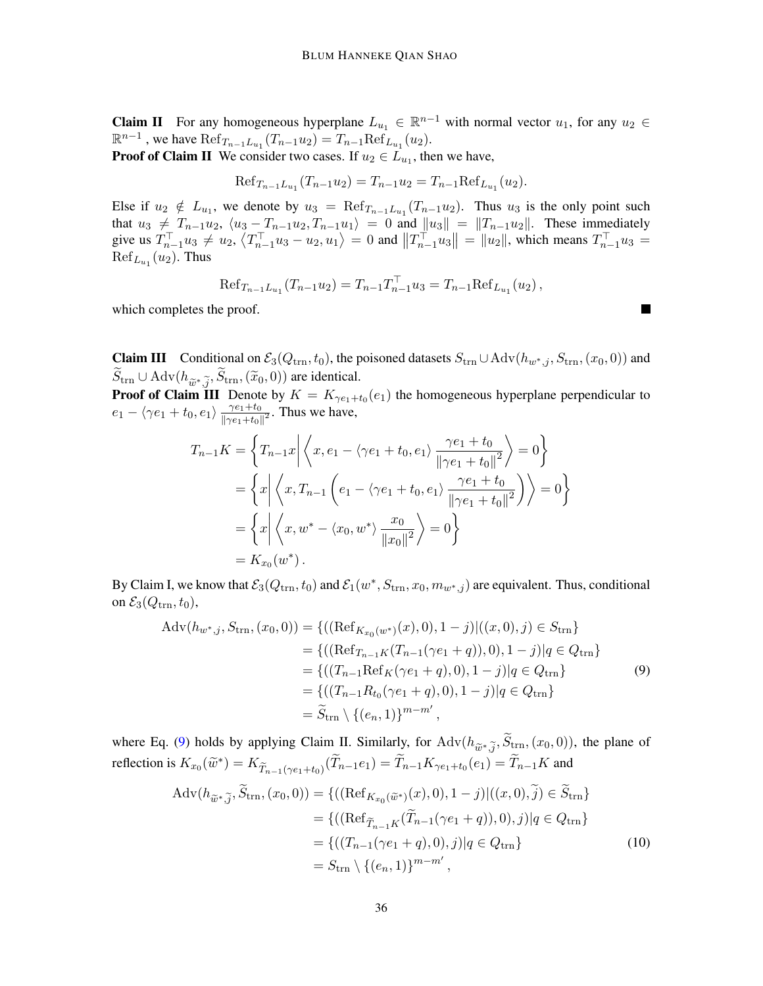**Claim II** For any homogeneous hyperplane  $L_{u_1} \in \mathbb{R}^{n-1}$  with normal vector  $u_1$ , for any  $u_2 \in$  $\mathbb{R}^{n-1}$ , we have  $\text{Ref}_{T_{n-1}L_{u_1}}(T_{n-1}u_2) = T_{n-1}\text{Ref}_{L_{u_1}}(u_2)$ .

**Proof of Claim II** We consider two cases. If  $u_2 \in L_{u_1}$ , then we have,

$$
Ref_{T_{n-1}L_{u_1}}(T_{n-1}u_2) = T_{n-1}u_2 = T_{n-1}Ref_{L_{u_1}}(u_2).
$$

Else if  $u_2 \notin L_{u_1}$ , we denote by  $u_3 = \text{Ref}_{T_{n-1}L_{u_1}}(T_{n-1}u_2)$ . Thus  $u_3$  is the only point such that  $u_3 \neq T_{n-1}u_2$ ,  $\langle u_3 - T_{n-1}u_2, T_{n-1}u_1 \rangle = 0$  and  $||u_3|| = ||T_{n-1}u_2||$ . These immediately give us  $T_{n-1}^{\top}u_3 \neq u_2, \langle T_{n-1}^{\top}u_3 - u_2, u_1 \rangle = 0$  and  $||T_{n-1}^{\top}u_3|| = ||u_2||$ , which means  $T_{n-1}^{\top}u_3 =$  $\mathrm{Ref}_{L_{u_1}}(u_2)$ . Thus

$$
\text{Ref}_{T_{n-1}L_{u_1}}(T_{n-1}u_2) = T_{n-1}T_{n-1}^{\top}u_3 = T_{n-1}\text{Ref}_{L_{u_1}}(u_2),
$$

<span id="page-35-0"></span> $\blacksquare$ 

which completes the proof.

**Claim III** Conditional on  $\mathcal{E}_3(Q_{\text{trn}}, t_0)$ , the poisoned datasets  $S_{\text{trn}} \cup \text{Adv}(h_{w^*,j}, S_{\text{trn}},(x_0, 0))$  and  $S_{\text{trn}} \cup \text{Adv}(h_{\widetilde{w}^*,\widetilde{j}},S_{\text{trn}},(\widetilde{x}_0,0))$  are identical.<br>**Proof of Claim III**, Donoto by  $K - K$ 

**Proof of Claim III** Denote by  $K = K_{\gamma e_1 + t_0}(e_1)$  the homogeneous hyperplane perpendicular to  $e_1 - \langle \gamma e_1 + t_0, e_1 \rangle \frac{\gamma e_1 + t_0}{\|\gamma e_1 + t_0\|}$  $\frac{\gamma e_1 + t_0}{\|\gamma e_1 + t_0\|^2}$ . Thus we have,

$$
T_{n-1}K = \left\{ T_{n-1}x \middle| \left\langle x, e_1 - \langle \gamma e_1 + t_0, e_1 \rangle \frac{\gamma e_1 + t_0}{\|\gamma e_1 + t_0\|^2} \right\rangle = 0 \right\}
$$
  
= 
$$
\left\{ x \middle| \left\langle x, T_{n-1} \left( e_1 - \langle \gamma e_1 + t_0, e_1 \rangle \frac{\gamma e_1 + t_0}{\|\gamma e_1 + t_0\|^2} \right) \right\rangle = 0 \right\}
$$
  
= 
$$
\left\{ x \middle| \left\langle x, w^* - \langle x_0, w^* \rangle \frac{x_0}{\|x_0\|^2} \right\rangle = 0 \right\}
$$
  
= 
$$
K_{x_0}(w^*).
$$

By Claim I, we know that  $\mathcal{E}_3(Q_{trn}, t_0)$  and  $\mathcal{E}_1(w^*, S_{trn}, x_0, m_{w^*, j})$  are equivalent. Thus, conditional on  $\mathcal{E}_3(Q_{\text{trn}}, t_0)$ ,

$$
Adv(h_{w^*,j}, S_{trn}, (x_0, 0)) = \{((Ref_{K_{x_0}(w^*)}(x), 0), 1 - j)|((x, 0), j) \in S_{trn}\}\
$$

$$
= \{((Ref_{T_{n-1}K}(T_{n-1}(\gamma e_1 + q)), 0), 1 - j)|q \in Q_{trn}\}\
$$

$$
= \{((T_{n-1}Ref_K(\gamma e_1 + q), 0), 1 - j)|q \in Q_{trn}\}\
$$

$$
= \{((T_{n-1}R_{t_0}(\gamma e_1 + q), 0), 1 - j)|q \in Q_{trn}\}\
$$

$$
= \widetilde{S}_{trn} \setminus \{(e_n, 1)\}^{m - m'},
$$

$$
(9)
$$

where Eq. [\(9\)](#page-35-0) holds by applying Claim II. Similarly, for Adv $(h_{\tilde{w}^*,\tilde{j}}, S_{\text{trn}},(x_0, 0))$ , the plane of reflection is  $K_{x_0}(\tilde{w}^*) = K_{\tilde{T}_{n-1}(\gamma e_1+t_0)}(\tilde{T}_{n-1}e_1) = \tilde{T}_{n-1}K_{\gamma e_1+t_0}(e_1) = \tilde{T}_{n-1}K$  and

<span id="page-35-1"></span>
$$
\begin{split} \text{Adv}(h_{\widetilde{w}^*,\widetilde{j}},\widetilde{S}_{\text{trn}},(x_0,0)) &= \{((\text{Ref}_{K_{x_0}(\widetilde{w}^*)}(x),0),1-j)|((x,0),\widetilde{j}) \in \widetilde{S}_{\text{trn}}\} \\ &= \{((\text{Ref}_{\widetilde{T}_{n-1}K}(\widetilde{T}_{n-1}(\gamma e_1+q)),0),j)|q \in Q_{\text{trn}}\} \\ &= \{((T_{n-1}(\gamma e_1+q),0),j)|q \in Q_{\text{trn}}\} \\ &= S_{\text{trn}} \setminus \{(e_n,1)\}^{m-m'}, \end{split} \tag{10}
$$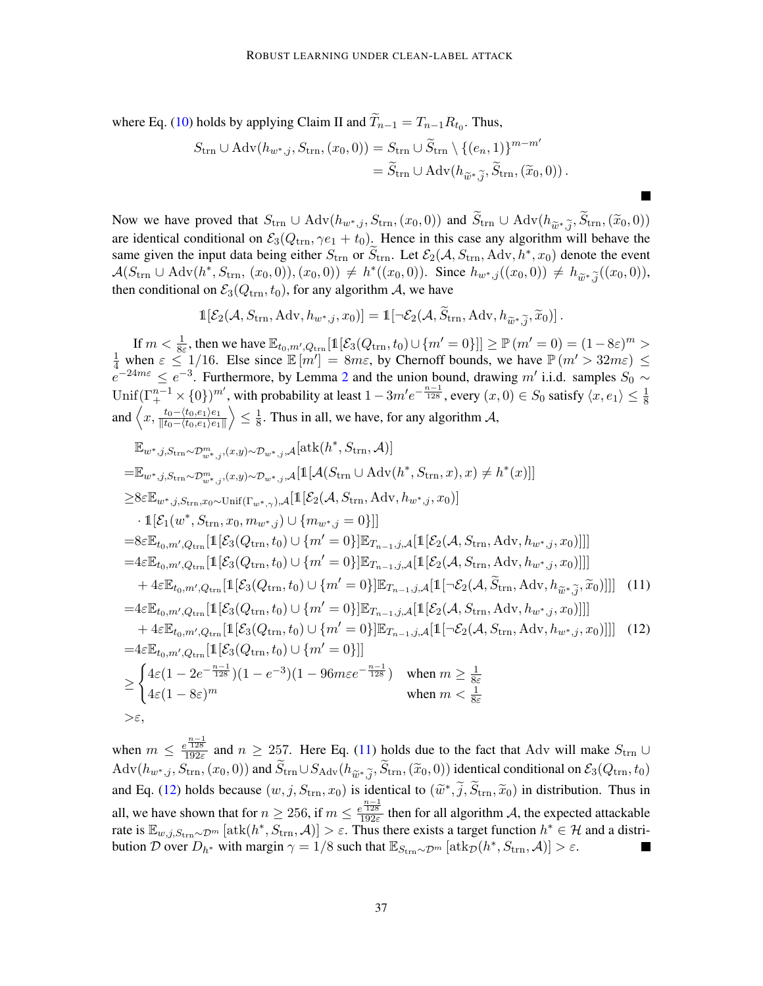where Eq. [\(10\)](#page-35-1) holds by applying Claim II and  $T_{n-1} = T_{n-1} R_{t_0}$ . Thus,

$$
S_{\text{trn}} \cup \text{Adv}(h_{w^*,j}, S_{\text{trn}}, (x_0, 0)) = S_{\text{trn}} \cup \widetilde{S}_{\text{trn}} \setminus \{(e_n, 1)\}^{m - m'}
$$
  
=  $\widetilde{S}_{\text{trn}} \cup \text{Adv}(h_{\widetilde{w}^*, \widetilde{j}}, \widetilde{S}_{\text{trn}}, (\widetilde{x}_0, 0)).$ 

Now we have proved that  $S_{\text{trn}} \cup \text{Adv}(h_{w^*,j}, S_{\text{trn}}, (x_0, 0))$  and  $S_{\text{trn}} \cup \text{Adv}(h_{\widetilde{w}^*,\widetilde{j}}, S_{\text{trn}}, (\widetilde{x}_0, 0))$ are identical conditional on  $\mathcal{E}_3(Q_{\text{trn}}, \gamma e_1 + t_0)$ . Hence in this case any algorithm will behave the same given the input data being either  $S_{\text{trn}}$  or  $\widetilde{S}_{\text{trn}}$ . Let  $\mathcal{E}_2(\mathcal{A}, S_{\text{trn}}, \text{Adv}, h^*, x_0)$  denote the event  $\mathcal{A}(S_{\text{trn}} \cup \text{Adv}(h^*, S_{\text{trn}}, (x_0, 0)), (x_0, 0)) \neq h^*((x_0, 0)).$  Since  $h_{w^*,j}((x_0, 0)) \neq h_{\widetilde{w}^*,\widetilde{j}}((x_0, 0)),$ <br>then conditional on  $\mathcal{S}_e(O_{\widetilde{w}^*,\widetilde{P}_e})$  for any electric  $A$ , we have then conditional on  $\mathcal{E}_3(Q_{\text{trn}}, t_0)$ , for any algorithm A, we have

<span id="page-36-1"></span><span id="page-36-0"></span>
$$
\mathbb{1}[\mathcal{E}_2(\mathcal{A}, S_{\text{trn}}, \text{Adv}, h_{w^*, j}, x_0)] = \mathbb{1}[\neg \mathcal{E}_2(\mathcal{A}, \widetilde{S}_{\text{trn}}, \text{Adv}, h_{\widetilde{w}^*, \widetilde{j}}, \widetilde{x}_0)].
$$

If  $m < \frac{1}{8\varepsilon}$ , then we have  $\mathbb{E}_{t_0,m',Q_{\text{trn}}}[\mathbb{1}[\mathcal{E}_3(Q_{\text{trn}}, t_0) \cup \{m' = 0\}]] \ge \mathbb{P}(m' = 0) = (1 - 8\varepsilon)^m >$  $\frac{1}{4}$  when  $\varepsilon \leq 1/16$ . Else since  $\mathbb{E}[m'] = 8m\varepsilon$ , by Chernoff bounds, we have  $\mathbb{P}(m' > 32m\varepsilon) \leq$  $e^{-24m\varepsilon} \le e^{-3}$  $e^{-24m\varepsilon} \le e^{-3}$  $e^{-24m\varepsilon} \le e^{-3}$ . Furthermore, by Lemma 2 and the union bound, drawing m' i.i.d. samples  $S_0 \sim$ Unif $(\Gamma^{n-1}_+\times \{0\})^{m'}$ , with probability at least  $1-3m'e^{-\frac{n-1}{128}}$ , every  $(x,0)\in S_0$  satisfy  $\langle x,e_1\rangle\leq \frac{1}{8}$ and  $\langle x, \frac{t_0 - \langle t_0, e_1 \rangle e_1}{\| t_0 - \langle t_0, e_1 \rangle e_1} \rangle$  $\|t_0-\langle t_0,e_1\rangle e_1\|$  $\left\langle \leq \frac{1}{8} \right\rangle$  $\frac{1}{8}$ . Thus in all, we have, for any algorithm A,

$$
\mathbb{E}_{w^*,j, S_{\text{trn}} \sim \mathcal{D}_{w^*,j}^m, (x,y) \sim \mathcal{D}_{w^*,j}, \mathcal{A}}[\text{atk}(h^*, S_{\text{trn}}, A)]
$$
\n
$$
= \mathbb{E}_{w^*,j, S_{\text{trn}} \sim \mathcal{D}_{w^*,j}^m, (x,y) \sim \mathcal{D}_{w^*,j}, \mathcal{A}}[\mathbb{1}[\mathcal{A}(S_{\text{trn}} \cup \text{Adv}(h^*, S_{\text{trn}}, x), x) \neq h^*(x)]]
$$
\n
$$
\geq 8\varepsilon \mathbb{E}_{w^*,j, S_{\text{trn}}, x_0 \sim \text{Unif}(\Gamma_{w^*,\gamma}), \mathcal{A}}[\mathbb{1}[\mathcal{E}_2(\mathcal{A}, S_{\text{trn}}, \text{Adv}, h_{w^*,j}, x_0)]
$$
\n
$$
\cdot \mathbb{1}[\mathcal{E}_1(w^*, S_{\text{trn}}, x_0, m_{w^*,j}) \cup \{m_{w^*,j} = 0\}]]
$$
\n
$$
= 8\varepsilon \mathbb{E}_{t_0, m', Q_{\text{trn}}}[\mathbb{1}[\mathcal{E}_3(Q_{\text{trn}}, t_0) \cup \{m' = 0\}]\mathbb{E}_{T_{n-1}, j, \mathcal{A}}[\mathbb{1}[\mathcal{E}_2(\mathcal{A}, S_{\text{trn}}, \text{Adv}, h_{w^*,j}, x_0)]]]
$$
\n
$$
= 4\varepsilon \mathbb{E}_{t_0, m', Q_{\text{trn}}}[\mathbb{1}[\mathcal{E}_3(Q_{\text{trn}}, t_0) \cup \{m' = 0\}]\mathbb{E}_{T_{n-1}, j, \mathcal{A}}[\mathbb{1}[\mathcal{E}_2(\mathcal{A}, S_{\text{trn}}, \text{Adv}, h_{w^*,j}, x_0)]]]
$$
\n
$$
+ 4\varepsilon \mathbb{E}_{t_0, m', Q_{\text{trn}}}[\mathbb{1}[\mathcal{E}_3(Q_{\text{trn}}, t_0) \cup \{m' = 0\}]\mathbb{E}_{T_{n-1}, j, \mathcal{A}}[\mathbb{1}[\mathcal{E}_2(\mathcal{A}, S_{\text{trn}}, \text{Adv},
$$

when  $m \leq \frac{e^{\frac{n-1}{128}}}{192\varepsilon}$  and  $n \geq 257$ . Here Eq. [\(11\)](#page-36-0) holds due to the fact that Adv will make  $S_{\text{trn}} \cup$  $\text{Adv}(h_{w^*,j}, S_{\text{trn}},(x_0, 0))$  and  $S_{\text{trn}} \cup S_{\text{Adv}}(h_{\tilde{w}^*,\tilde{j}}, S_{\text{trn}},(\tilde{x}_0, 0))$  identical conditional on  $\mathcal{E}_3(Q_{\text{trn}}, t_0)$ and Eq. [\(12\)](#page-36-1) holds because  $(w, j, S_{trn}, x_0)$  is identical to  $(\tilde{w}^*, \tilde{j}, \tilde{S}_{trn}, \tilde{x}_0)$  in distribution. Thus in all, we have shown that for  $n \geq 256$ , if  $m \leq \frac{e^{\frac{n-1}{128}}}{192\varepsilon}$  then for all algorithm A, the expected attackable rate is  $\mathbb{E}_{w,j,S_{\text{trn}}\sim\mathcal{D}^m}\left[\text{atk}(h^*,S_{\text{trn}},\mathcal{A})\right] > \varepsilon$ . Thus there exists a target function  $h^* \in \mathcal{H}$  and a distribution D over  $D_{h^*}$  with margin  $\gamma = 1/8$  such that  $\mathbb{E}_{S_{trn} \sim \mathcal{D}^m} [\text{atk}_{\mathcal{D}}(h^*, S_{trn}, \mathcal{A})] > \varepsilon$ .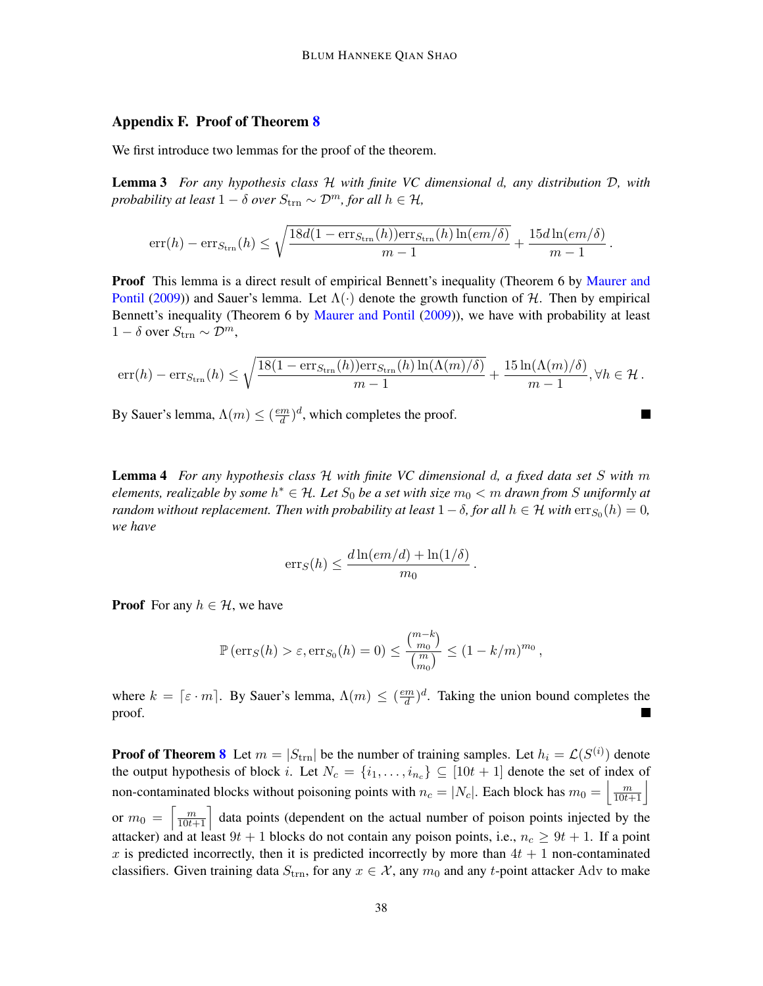# <span id="page-37-0"></span>Appendix F. Proof of Theorem [8](#page-10-1)

We first introduce two lemmas for the proof of the theorem.

Lemma 3 *For any hypothesis class* H *with finite VC dimensional* d*, any distribution* D*, with probability at least*  $1 - \delta$  *over*  $S_{\text{trn}} \sim \mathcal{D}^m$ *, for all*  $h \in \mathcal{H}$ *,* 

<span id="page-37-2"></span>
$$
\mathrm{err}(h) - \mathrm{err}_{S_{\mathrm{trn}}}(h) \leq \sqrt{\frac{18d(1 - \mathrm{err}_{S_{\mathrm{trn}}}(h))\mathrm{err}_{S_{\mathrm{trn}}}(h)\ln(em/\delta)}{m-1}} + \frac{15d\ln(em/\delta)}{m-1}.
$$

**Proof** This lemma is a direct result of empirical Bennett's inequality (Theorem 6 by [Maurer and](#page-15-15) [Pontil](#page-15-15) [\(2009\)](#page-15-15)) and Sauer's lemma. Let  $\Lambda(\cdot)$  denote the growth function of H. Then by empirical Bennett's inequality (Theorem 6 by [Maurer and Pontil](#page-15-15) [\(2009\)](#page-15-15)), we have with probability at least  $1 - \delta$  over  $S_{\text{trn}} \sim \mathcal{D}^m$ ,

$$
\mathrm{err}(h) - \mathrm{err}_{S_{\mathrm{trn}}}(h) \le \sqrt{\frac{18(1 - \mathrm{err}_{S_{\mathrm{trn}}}(h))\mathrm{err}_{S_{\mathrm{trn}}}(h)\ln(\Lambda(m)/\delta)}{m-1}} + \frac{15\ln(\Lambda(m)/\delta)}{m-1}, \forall h \in \mathcal{H}.
$$

 $\blacksquare$ 

By Sauer's lemma,  $\Lambda(m) \leq \left(\frac{em}{d}\right)$  $\frac{dm}{d}$ , which completes the proof.

<span id="page-37-1"></span>Lemma 4 *For any hypothesis class* H *with finite VC dimensional* d*, a fixed data set* S *with* m *elements, realizable by some* h <sup>∗</sup> ∈ H*. Let* S<sup>0</sup> *be a set with size* m<sup>0</sup> < m *drawn from* S *uniformly at random without replacement. Then with probability at least*  $1 - \delta$ , for all  $h \in \mathcal{H}$  with  $\text{err}_{S_0}(h) = 0$ , *we have*

$$
err_S(h) \leq \frac{d \ln(em/d) + \ln(1/\delta)}{m_0}.
$$

**Proof** For any  $h \in \mathcal{H}$ , we have

$$
\mathbb{P}\left(\mathrm{err}_S(h) > \varepsilon, \mathrm{err}_{S_0}(h) = 0\right) \le \frac{\binom{m-k}{m_0}}{\binom{m}{m_0}} \le (1 - k/m)^{m_0},
$$

where  $k = \lceil \varepsilon \cdot m \rceil$ . By Sauer's lemma,  $\Lambda(m) \leq \left(\frac{em}{d}\right)$  $\frac{m}{d}$ <sup> $\left(d\right)$ </sup>. Taking the union bound completes the proof.

**Proof of Theorem [8](#page-10-1)** Let  $m = |S_{trn}|$  be the number of training samples. Let  $h_i = \mathcal{L}(S^{(i)})$  denote the output hypothesis of block i. Let  $N_c = \{i_1, \ldots, i_{n_c}\} \subseteq [10t + 1]$  denote the set of index of non-contaminated blocks without poisoning points with  $n_c = |N_c|$ . Each block has  $m_0 = \left\lfloor \frac{m}{10t+1} \right\rfloor$ or  $m_0 = \left\lceil \frac{m}{10t+1} \right\rceil$  data points (dependent on the actual number of poison points injected by the attacker) and at least  $9t + 1$  blocks do not contain any poison points, i.e.,  $n_c \ge 9t + 1$ . If a point x is predicted incorrectly, then it is predicted incorrectly by more than  $4t + 1$  non-contaminated classifiers. Given training data  $S_{\text{trn}}$ , for any  $x \in \mathcal{X}$ , any  $m_0$  and any t-point attacker Adv to make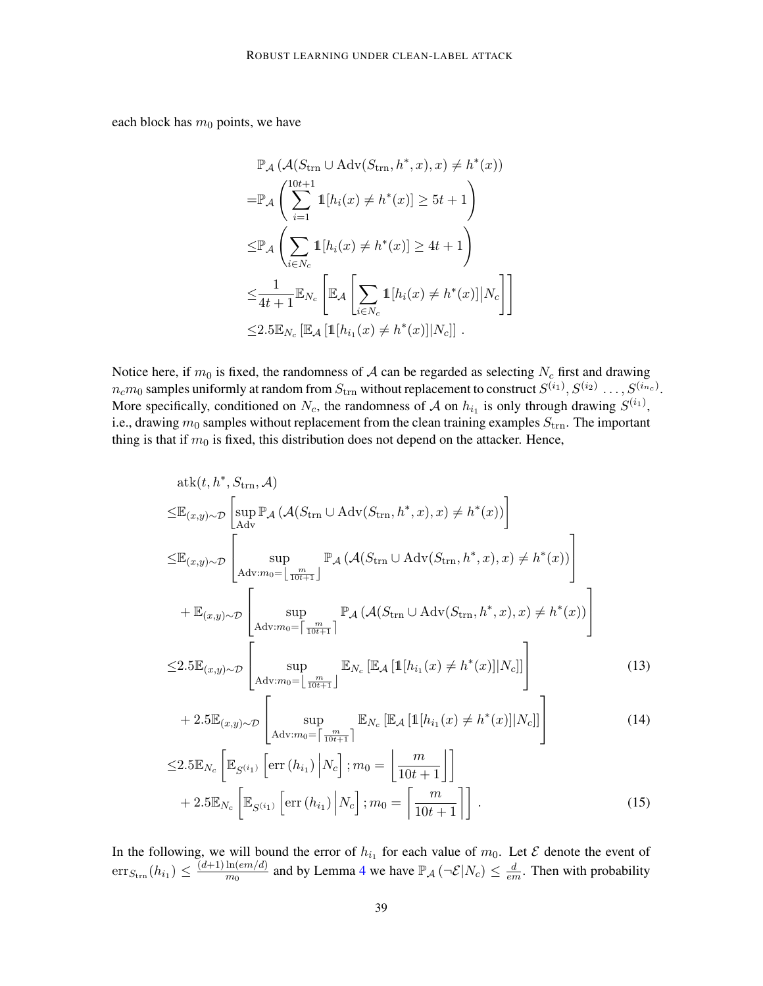each block has  $m_0$  points, we have

$$
\mathbb{P}_{\mathcal{A}}\left(\mathcal{A}(S_{\text{trn}} \cup \text{Adv}(S_{\text{trn}}, h^*, x), x) \neq h^*(x)\right)
$$
\n
$$
= \mathbb{P}_{\mathcal{A}}\left(\sum_{i=1}^{10t+1} \mathbb{1}[h_i(x) \neq h^*(x)] \geq 5t+1\right)
$$
\n
$$
\leq \mathbb{P}_{\mathcal{A}}\left(\sum_{i \in N_c} \mathbb{1}[h_i(x) \neq h^*(x)] \geq 4t+1\right)
$$
\n
$$
\leq \frac{1}{4t+1} \mathbb{E}_{N_c} \left[\mathbb{E}_{\mathcal{A}}\left[\sum_{i \in N_c} \mathbb{1}[h_i(x) \neq h^*(x)] | N_c\right]\right]
$$
\n
$$
\leq 2.5 \mathbb{E}_{N_c} \left[\mathbb{E}_{\mathcal{A}}\left[\mathbb{1}[h_{i_1}(x) \neq h^*(x)] | N_c\right]\right].
$$

Notice here, if  $m_0$  is fixed, the randomness of A can be regarded as selecting  $N_c$  first and drawing  $n_cm_0$  samples uniformly at random from  $S_{\rm trn}$  without replacement to construct  $S^{(i_1)}, S^{(i_2)}\ldots, S^{(i_{n_c})}.$ More specifically, conditioned on  $N_c$ , the randomness of A on  $h_{i_1}$  is only through drawing  $S^{(i_1)}$ , i.e., drawing  $m_0$  samples without replacement from the clean training examples  $S_{\text{trn}}$ . The important thing is that if  $m_0$  is fixed, this distribution does not depend on the attacker. Hence,

$$
atk(t, h^*, S_{trn}, \mathcal{A})
$$
\n
$$
\leq \mathbb{E}_{(x,y)\sim\mathcal{D}} \left[ \sup_{Adv} \mathbb{P}_{\mathcal{A}} \left( \mathcal{A}(S_{trn} \cup Adv(S_{trn}, h^*, x), x) \neq h^*(x) \right) \right]
$$
\n
$$
\leq \mathbb{E}_{(x,y)\sim\mathcal{D}} \left[ \sup_{Adv: m_0 = \left\lfloor \frac{m}{10t+1} \right\rfloor} \mathbb{P}_{\mathcal{A}} \left( \mathcal{A}(S_{trn} \cup Adv(S_{trn}, h^*, x), x) \neq h^*(x) \right) \right]
$$
\n
$$
+ \mathbb{E}_{(x,y)\sim\mathcal{D}} \left[ \sup_{Adv: m_0 = \left\lceil \frac{m}{10t+1} \right\rceil} \mathbb{P}_{\mathcal{A}} \left( \mathcal{A}(S_{trn} \cup Adv(S_{trn}, h^*, x), x) \neq h^*(x) \right) \right]
$$
\n
$$
\leq 2.5 \mathbb{E}_{(x,y)\sim\mathcal{D}} \left[ \sup_{Adv: m_0 = \left\lfloor \frac{m}{10t+1} \right\rfloor} \mathbb{E}_{N_c} \left[ \mathbb{E}_{\mathcal{A}} \left[ \mathbb{1}[h_{i_1}(x) \neq h^*(x)] | N_c \right] \right] \right] \tag{13}
$$

<span id="page-38-0"></span>
$$
+ 2.5 \mathbb{E}_{(x,y)\sim \mathcal{D}} \left[ \sup_{\text{Adv}: m_0 = \lceil \frac{m}{10t+1} \rceil} \mathbb{E}_{N_c} \left[ \mathbb{E}_{\mathcal{A}} \left[ \mathbb{1}[h_{i_1}(x) \neq h^*(x)] | N_c \right] \right] \right] \tag{14}
$$

$$
\leq 2.5 \mathbb{E}_{N_c} \left[ \mathbb{E}_{S^{(i_1)}} \left[ \text{err} \left( h_{i_1} \right) \middle| N_c \right]; m_0 = \left[ \frac{m}{10t + 1} \right] \right] + 2.5 \mathbb{E}_{N_c} \left[ \mathbb{E}_{S^{(i_1)}} \left[ \text{err} \left( h_{i_1} \right) \middle| N_c \right]; m_0 = \left[ \frac{m}{10t + 1} \right] \right]. \tag{15}
$$

In the following, we will bound the error of  $h_{i_1}$  for each value of  $m_0$ . Let  $\mathcal E$  denote the event of  $\mathrm{err}_{S_{\text{trn}}}(h_{i_1}) \leq \frac{(d+1)\ln(em/d)}{m_0}$  $\frac{\ln(em/d)}{m_0}$  and by Lemma [4](#page-37-1) we have  $\mathbb{P}_{\mathcal{A}}\left(\neg \mathcal{E}|N_c\right) \leq \frac{d}{en}$  $\frac{d}{em}$ . Then with probability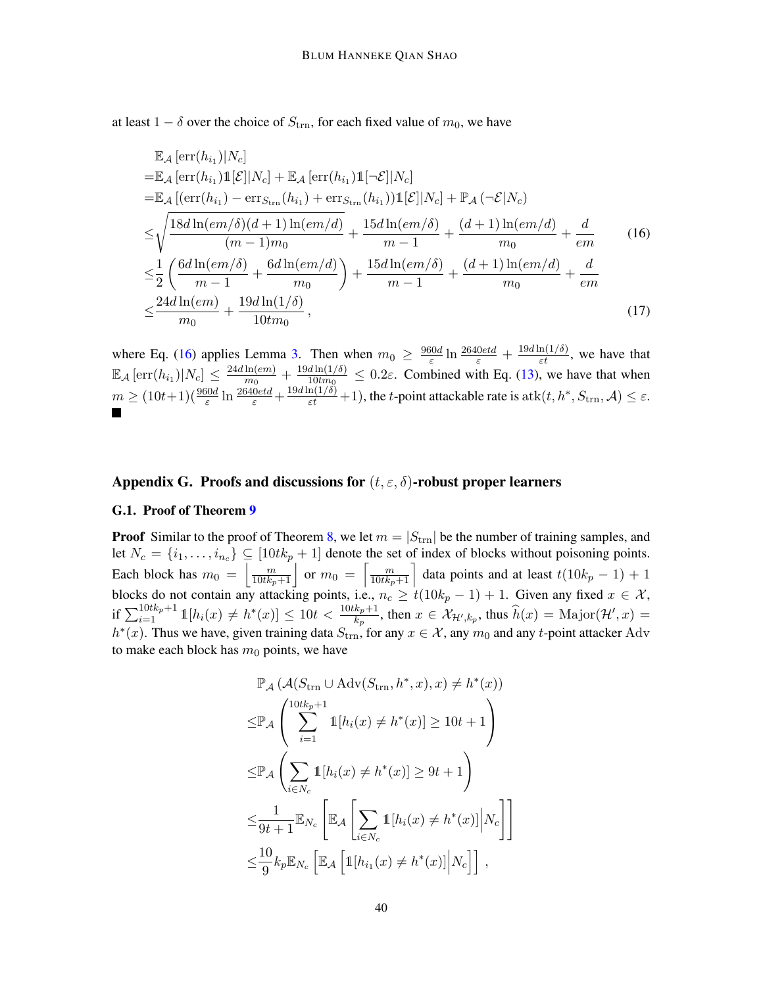at least  $1 - \delta$  over the choice of  $S_{\text{trn}}$ , for each fixed value of  $m_0$ , we have

<span id="page-39-2"></span><span id="page-39-1"></span>
$$
\mathbb{E}_{\mathcal{A}}\left[\text{err}(h_{i_1})|N_c\right] \n= \mathbb{E}_{\mathcal{A}}\left[\text{err}(h_{i_1})\mathbb{1}[\mathcal{E}||N_c\right] + \mathbb{E}_{\mathcal{A}}\left[\text{err}(h_{i_1})\mathbb{1}[\neg \mathcal{E}||N_c\right] \n= \mathbb{E}_{\mathcal{A}}\left[\left(\text{err}(h_{i_1}) - \text{err}_{S_{trn}}(h_{i_1}) + \text{err}_{S_{trn}}(h_{i_1})\right)\mathbb{1}[\mathcal{E}||N_c\right] + \mathbb{P}_{\mathcal{A}}\left(\neg \mathcal{E}|N_c\right) \n\leq \sqrt{\frac{18d\ln(em/\delta)(d+1)\ln(em/d)}{(m-1)m_0}} + \frac{15d\ln(em/\delta)}{m-1} + \frac{(d+1)\ln(em/d)}{m_0} + \frac{d}{em}
$$
\n
$$
\leq \frac{1}{2}\left(\frac{6d\ln(em/\delta)}{m-1} + \frac{6d\ln(em/d)}{m_0}\right) + \frac{15d\ln(em/\delta)}{m-1} + \frac{(d+1)\ln(em/d)}{m_0} + \frac{d}{em}
$$
\n
$$
\leq \frac{24d\ln(em)}{m_0} + \frac{19d\ln(1/\delta)}{10tm_0},
$$
\n(17)

where Eq. [\(16\)](#page-39-1) applies Lemma [3.](#page-37-2) Then when  $m_0 \geq \frac{960d}{5}$  $\frac{30d}{\varepsilon}$  ln  $\frac{2640etd}{\varepsilon}$  +  $\frac{19d \ln(1/\delta)}{\varepsilon t}$ , we have that  $\mathbb{E}_{\mathcal{A}}\left[\text{err}(h_{i_1})|N_c\right] \leq \frac{24d\ln(em)}{m_0}$  $\frac{\ln(em)}{m_0}+\frac{19d\ln(1/\delta)}{10tm_0}$  $\frac{d \ln(1/\delta)}{10 \pi m_0} \leq 0.2\varepsilon$ . Combined with Eq. [\(13\)](#page-38-0), we have that when  $m \ge (10t+1)(\frac{960d}{\varepsilon} \ln \frac{2640etd}{\varepsilon} + \frac{19d \ln(1/\delta)}{\varepsilon t} + 1)$ , the *t*-point attackable rate is  $\text{atk}(t, h^*, S_{\text{trn}}, \mathcal{A}) \le \varepsilon$ .

# <span id="page-39-0"></span>Appendix G. Proofs and discussions for  $(t, \varepsilon, \delta)$ -robust proper learners

## G.1. Proof of Theorem [9](#page-11-2)

**Proof** Similar to the proof of Theorem [8,](#page-10-1) we let  $m = |S_{trn}|$  be the number of training samples, and let  $N_c = \{i_1, \ldots, i_{n_c}\} \subseteq [10tk_p + 1]$  denote the set of index of blocks without poisoning points. Each block has  $m_0 = \left[\frac{m}{10tk_p+1}\right]$  or  $m_0 = \left[\frac{m}{10tk_p+1}\right]$  data points and at least  $t(10k_p-1)+1$ blocks do not contain any attacking points, i.e.,  $n_c \ge t(10k_p - 1) + 1$ . Given any fixed  $x \in \mathcal{X}$ , if  $\sum_{i=1}^{10tk_p+1} \mathbb{1}[h_i(x) \neq h^*(x)] \leq 10t < \frac{10tk_p+1}{k_p}$ , then  $x \in \mathcal{X}_{\mathcal{H}',k_p}$ , thus  $\widehat{h}(x) = \text{Major}(\mathcal{H}',x) =$  $h^*(x)$ . Thus we have, given training data  $S_{\text{trn}}$ , for any  $x \in \mathcal{X}$ , any  $m_0$  and any t-point attacker Adv to make each block has  $m_0$  points, we have

$$
\mathbb{P}_{\mathcal{A}}\left(\mathcal{A}(S_{\text{trn}} \cup \text{Adv}(S_{\text{trn}}, h^*, x), x) \neq h^*(x)\right)
$$
\n
$$
\leq \mathbb{P}_{\mathcal{A}}\left(\sum_{i=1}^{\text{10th}_{p+1}} \mathbb{1}[h_i(x) \neq h^*(x)] \geq 10t + 1\right)
$$
\n
$$
\leq \mathbb{P}_{\mathcal{A}}\left(\sum_{i \in N_c} \mathbb{1}[h_i(x) \neq h^*(x)] \geq 9t + 1\right)
$$
\n
$$
\leq \frac{1}{9t+1} \mathbb{E}_{N_c} \left[\mathbb{E}_{\mathcal{A}}\left[\sum_{i \in N_c} \mathbb{1}[h_i(x) \neq h^*(x)] \middle| N_c\right]\right]
$$
\n
$$
\leq \frac{10}{9} k_p \mathbb{E}_{N_c} \left[\mathbb{E}_{\mathcal{A}}\left[\mathbb{1}[h_{i_1}(x) \neq h^*(x)] \middle| N_c\right]\right],
$$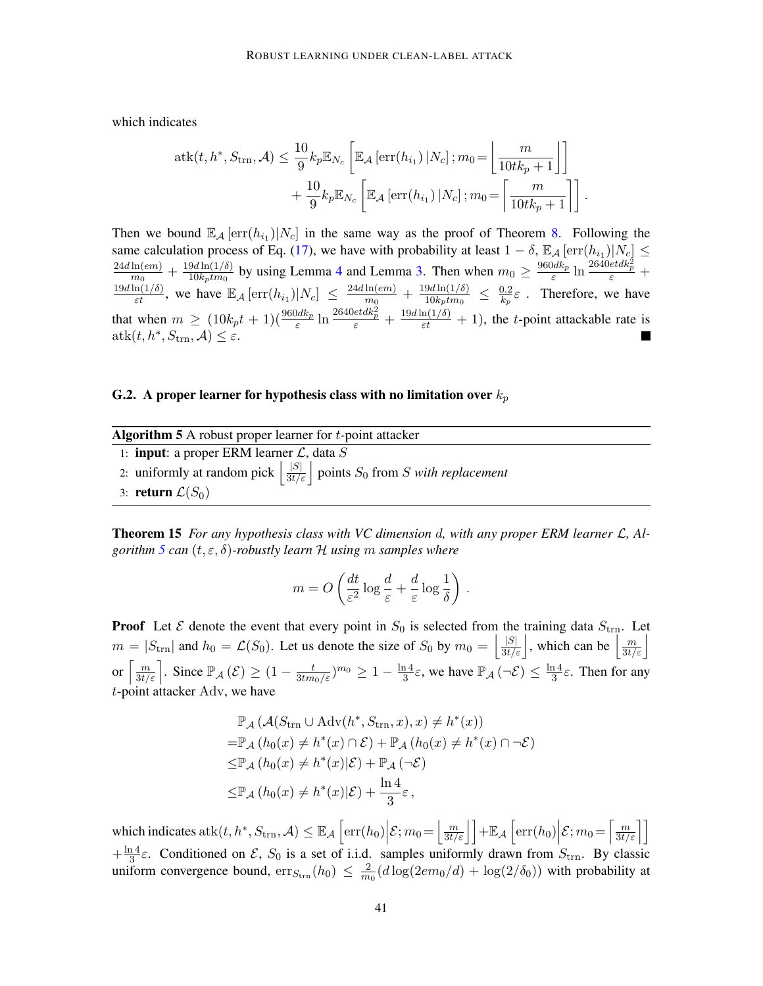which indicates

$$
atk(t, h^*, S_{\text{trn}}, \mathcal{A}) \leq \frac{10}{9} k_p \mathbb{E}_{N_c} \left[ \mathbb{E}_{\mathcal{A}} \left[ \text{err}(h_{i_1}) \, | N_c \right]; m_0 = \left[ \frac{m}{10tk_p + 1} \right] \right] + \frac{10}{9} k_p \mathbb{E}_{N_c} \left[ \mathbb{E}_{\mathcal{A}} \left[ \text{err}(h_{i_1}) \, | N_c \right]; m_0 = \left[ \frac{m}{10tk_p + 1} \right] \right].
$$

Then we bound  $\mathbb{E}_{\mathcal{A}}\left[\text{err}(h_{i_1})|N_c\right]$  in the same way as the proof of Theorem [8.](#page-10-1) Following the same calculation process of Eq. [\(17\)](#page-39-2), we have with probability at least  $1 - \delta$ ,  $\mathbb{E}_{\mathcal{A}}\left[\text{err}(h_{i_1})|N_c\right] \leq$  $24d\ln(em)$  $\frac{\ln(em)}{m_0}+\frac{19d\ln(1/\delta)}{10k_ptm_0}$  $\frac{9d \ln(1/\delta)}{10k_p t m_0}$  by using Lemma [4](#page-37-1) and Lemma [3.](#page-37-2) Then when  $m_0 \ge \frac{960d k_p}{\varepsilon}$  $\frac{0dk_p}{\varepsilon} \ln \frac{2640etdk_p^2}{\varepsilon} +$  $\frac{19d \ln(1/\delta)}{\varepsilon t}$ , we have  $\mathbb{E}_{\mathcal{A}}\left[\text{err}(h_{i_1})|N_c\right] \leq \frac{24d \ln(em)}{m_0}$  $\frac{\ln(em)}{m_0}+\frac{19d\ln(1/\delta)}{10k_ptm_0}$  $\frac{9d\ln(1/\delta)}{10k_ptm_0} \ \leq \ \frac{0.2}{k_p}$  $\frac{0.2}{k_p}\varepsilon$ . Therefore, we have that when  $m \ge (10k_pt + 1)(\frac{960dk_p}{\varepsilon} \ln \frac{2640et dk_p^2}{\varepsilon} + \frac{19d \ln(1/\delta)}{\varepsilon} + 1)$ , the t-point attackable rate is  $atk(t, h^*, S_{trn}, \mathcal{A}) \leq \varepsilon.$ 

# G.2. A proper learner for hypothesis class with no limitation over  $k_p$

<span id="page-40-0"></span>

| <b>Algorithm 5</b> A robust proper learner for $t$ -point attacker                                           |
|--------------------------------------------------------------------------------------------------------------|
| 1: <b>input</b> : a proper ERM learner $\mathcal{L}$ , data S                                                |
| 2: uniformly at random pick $\left  \frac{ S }{3t/\varepsilon} \right $ points $S_0$ from S with replacement |
| 3: return $\mathcal{L}(S_0)$                                                                                 |

Theorem 15 *For any hypothesis class with VC dimension* d*, with any proper ERM learner* L*, Algorithm [5](#page-40-0) can* (t, ε, δ)*-robustly learn* H *using* m *samples where*

$$
m = O\left(\frac{dt}{\varepsilon^2} \log \frac{d}{\varepsilon} + \frac{d}{\varepsilon} \log \frac{1}{\delta}\right).
$$

**Proof** Let  $\mathcal{E}$  denote the event that every point in  $S_0$  is selected from the training data  $S_{\text{trn}}$ . Let  $m = |S_{\text{trn}}|$  and  $h_0 = \mathcal{L}(S_0)$ . Let us denote the size of  $S_0$  by  $m_0 = \left|\frac{|S|}{3t/\varepsilon}\right|$ , which can be  $\left|\frac{m}{3t/\varepsilon}\right|$ or  $\left[\frac{m}{3t/\varepsilon}\right]$ . Since  $\mathbb{P}_{\mathcal{A}}\left(\mathcal{E}\right) \geq (1 - \frac{t}{3tm_0/\varepsilon})^{m_0} \geq 1 - \frac{\ln 4}{3}$  $\frac{\ln 4}{3}\varepsilon$ , we have  $\mathbb{P}_{\mathcal{A}}(\neg \mathcal{E}) \leq \frac{\ln 4}{3}$  $\frac{14}{3}\varepsilon$ . Then for any t-point attacker Adv, we have

$$
\mathbb{P}_{\mathcal{A}}(\mathcal{A}(S_{\text{trn}} \cup \text{Adv}(h^*, S_{\text{trn}}, x), x) \neq h^*(x))
$$
  
=  $\mathbb{P}_{\mathcal{A}}(h_0(x) \neq h^*(x) \cap \mathcal{E}) + \mathbb{P}_{\mathcal{A}}(h_0(x) \neq h^*(x) \cap \neg \mathcal{E})$   
 $\leq \mathbb{P}_{\mathcal{A}}(h_0(x) \neq h^*(x)|\mathcal{E}) + \mathbb{P}_{\mathcal{A}}(\neg \mathcal{E})$   
 $\leq \mathbb{P}_{\mathcal{A}}(h_0(x) \neq h^*(x)|\mathcal{E}) + \frac{\ln 4}{3}\varepsilon,$ 

which indicates at  $k(t, h^*, S_{trn}, \mathcal{A}) \leq \mathbb{E}_{\mathcal{A}} \left[ \text{err}(h_0) \Big| \mathcal{E}; m_0 = \left[ \frac{m}{3t/\varepsilon} \right] \right] + \mathbb{E}_{\mathcal{A}} \left[ \text{err}(h_0) \Big| \mathcal{E}; m_0 = \left[ \frac{m}{3t/\varepsilon} \right] \right]$  $+\frac{\ln 4}{3}$  $\frac{3^{14}}{3}\epsilon$ . Conditioned on  $\mathcal{E}, S_0$  is a set of i.i.d. samples uniformly drawn from  $S_{\text{trn}}$ . By classic uniform convergence bound,  $\text{err}_{S_{trn}}(h_0) \leq \frac{2}{m}$  $\frac{2}{m_0}(d \log(2em_0/d) + \log(2/\delta_0))$  with probability at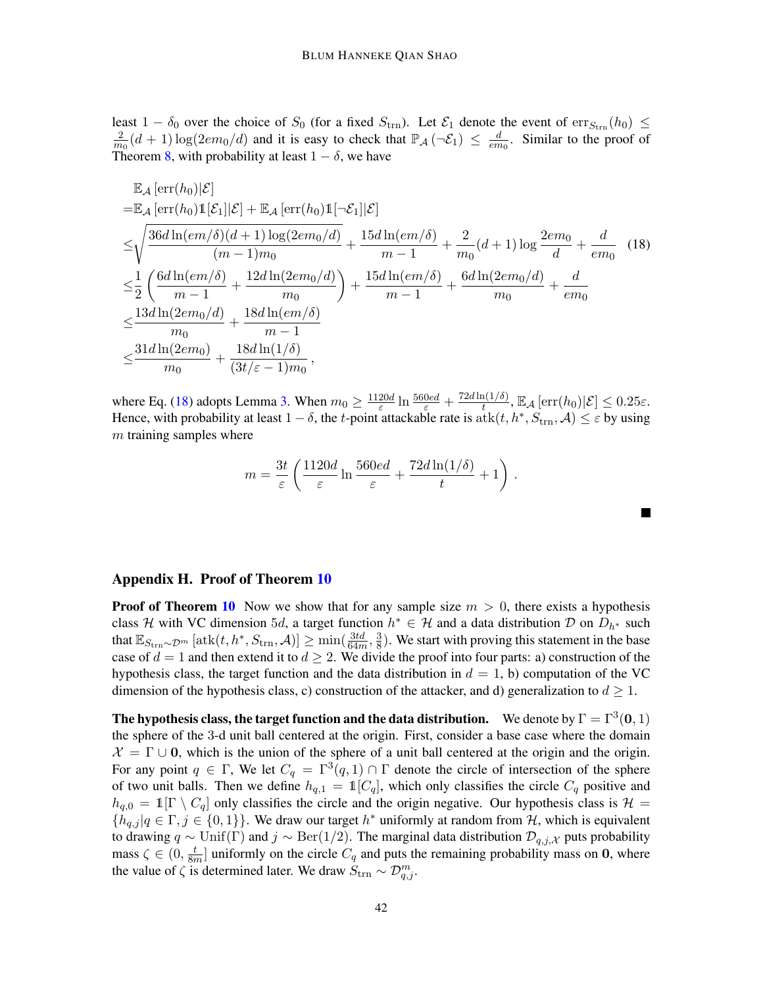least  $1 - \delta_0$  over the choice of  $S_0$  (for a fixed  $S_{\text{trn}}$ ). Let  $\mathcal{E}_1$  denote the event of  $\text{err}_{S_{\text{trn}}}(h_0) \leq$ 2  $\frac{2}{m_0}(d+1)\log(2em_0/d)$  and it is easy to check that  $\mathbb{P}_{\mathcal{A}}(-\mathcal{E}_1) \leq \frac{d}{em}$  $\frac{d}{em_0}$ . Similar to the proof of Theorem [8,](#page-10-1) with probability at least  $1 - \delta$ , we have

$$
\mathbb{E}_{\mathcal{A}}\left[\text{err}(h_{0})|\mathcal{E}\right] = \mathbb{E}_{\mathcal{A}}\left[\text{err}(h_{0})\mathbb{1}[\mathcal{E}_{1}]|\mathcal{E}\right] + \mathbb{E}_{\mathcal{A}}\left[\text{err}(h_{0})\mathbb{1}[\neg \mathcal{E}_{1}]|\mathcal{E}\right] \n\leq \sqrt{\frac{36d\ln(em/\delta)(d+1)\log(2em_{0}/d)}{(m-1)m_{0}}} + \frac{15d\ln(em/\delta)}{m-1} + \frac{2}{m_{0}}(d+1)\log\frac{2em_{0}}{d} + \frac{d}{em_{0}} \quad (18) \n\leq \frac{1}{2}\left(\frac{6d\ln(em/\delta)}{m-1} + \frac{12d\ln(2em_{0}/d)}{m_{0}}\right) + \frac{15d\ln(em/\delta)}{m-1} + \frac{6d\ln(2em_{0}/d)}{m_{0}} + \frac{d}{em_{0}} \n\leq \frac{13d\ln(2em_{0}/d)}{m_{0}} + \frac{18d\ln(em/\delta)}{m-1} \n\leq \frac{31d\ln(2em_{0})}{m_{0}} + \frac{18d\ln(1/\delta)}{(3t/\varepsilon - 1)m_{0}},
$$

where Eq. [\(18\)](#page-41-1) adopts Lemma [3.](#page-37-2) When  $m_0 \geq \frac{1120d}{\epsilon}$  $\frac{20d}{\varepsilon}\ln\frac{560ed}{\varepsilon}+\frac{72d\ln(1/\delta)}{t}$  $\frac{\ln(1/\delta)}{t}$ ,  $\mathbb{E}_{\mathcal{A}}\left[\text{err}(h_0)|\mathcal{E}\right] \leq 0.25\varepsilon$ . Hence, with probability at least  $1-\delta$ , the t-point attackable rate is  $\text{atk}(t, h^*, S_{\text{trn}}, \mathcal{A}) \leq \varepsilon$  by using  $m$  training samples where

$$
m = \frac{3t}{\varepsilon} \left( \frac{1120d}{\varepsilon} \ln \frac{560ed}{\varepsilon} + \frac{72d \ln(1/\delta)}{t} + 1 \right).
$$

<span id="page-41-1"></span> $\blacksquare$ 

### <span id="page-41-0"></span>Appendix H. Proof of Theorem [10](#page-12-0)

**Proof of Theorem [10](#page-12-0)** Now we show that for any sample size  $m > 0$ , there exists a hypothesis class H with VC dimension 5d, a target function  $h^* \in H$  and a data distribution D on  $D_{h^*}$  such that  $\mathbb{E}_{S_\text{trn}\sim\mathcal{D}^m}\left[\text{atk}(t,h^*,S_\text{trn},\mathcal{A})\right]\geq \min(\frac{3td}{64m},\frac{3}{8})$  $\frac{3}{8}$ ). We start with proving this statement in the base case of  $d = 1$  and then extend it to  $d \geq 2$ . We divide the proof into four parts: a) construction of the hypothesis class, the target function and the data distribution in  $d = 1$ , b) computation of the VC dimension of the hypothesis class, c) construction of the attacker, and d) generalization to  $d \geq 1$ .

The hypothesis class, the target function and the data distribution. We denote by  $\Gamma = \Gamma^3(0,1)$ the sphere of the 3-d unit ball centered at the origin. First, consider a base case where the domain  $\mathcal{X} = \Gamma \cup \mathbf{0}$ , which is the union of the sphere of a unit ball centered at the origin and the origin. For any point  $q \in \Gamma$ , We let  $C_q = \Gamma^3(q, 1) \cap \Gamma$  denote the circle of intersection of the sphere of two unit balls. Then we define  $h_{q,1} = \mathbb{1}[C_q]$ , which only classifies the circle  $C_q$  positive and  $h_{q,0} = \mathbb{1}[\Gamma \setminus C_q]$  only classifies the circle and the origin negative. Our hypothesis class is  $\mathcal{H} =$  ${h_{q,j} | q \in \Gamma, j \in \{0,1\}\}.$  We draw our target  $h^*$  uniformly at random from H, which is equivalent to drawing  $q \sim \text{Unif}(\Gamma)$  and  $j \sim \text{Ber}(1/2)$ . The marginal data distribution  $\mathcal{D}_{q,j,\mathcal{X}}$  puts probability mass  $\zeta \in (0, \frac{t}{8r})$  $\frac{t}{8m}$  uniformly on the circle  $C_q$  and puts the remaining probability mass on 0, where the value of  $\zeta$  is determined later. We draw  $S_{\text{trn}} \sim \mathcal{D}_{q,j}^m$ .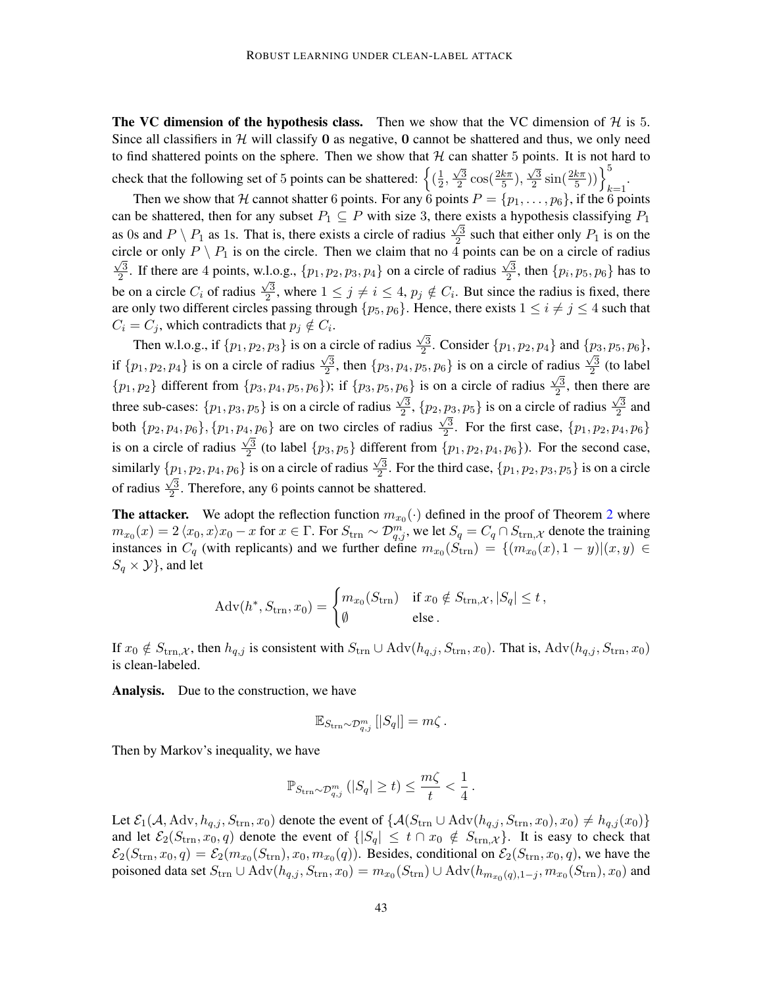The VC dimension of the hypothesis class. Then we show that the VC dimension of  $H$  is 5. Since all classifiers in  $H$  will classify 0 as negative, 0 cannot be shattered and thus, we only need to find shattered points on the sphere. Then we show that  $H$  can shatter 5 points. It is not hard to check that the following set of 5 points can be shattered:  $\left\{(\frac{1}{2},\frac{1}{2},\frac{1}{2},\frac{1}{2},\frac{1}{2},\frac{1}{2},\frac{1}{2},\frac{1}{2},\frac{1}{2},\frac{1}{2},\frac{1}{2},\frac{1}{2},\frac{1}{2},\frac{1}{2},\frac{1}{2},\frac{1}{2},\frac{1}{2},\frac{1}{2},\frac{1}{2},\frac{1}{2},\frac{1}{2},\frac{1}{2},\frac{$  $\frac{1}{2}$  $\sqrt{3}$  $\frac{\sqrt{3}}{2}\cos(\frac{2k\pi}{5}),$  $\sqrt{3}$  $\frac{\sqrt{3}}{2}\sin(\frac{2k\pi}{5}))\Big\}_{k=1}^{5}$ .

Then we show that H cannot shatter 6 points. For any  $\hat{6}$  points  $P = \{p_1, \ldots, p_6\}$ , if the  $\hat{6}$  points can be shattered, then for any subset  $P_1 \subseteq P$  with size 3, there exists a hypothesis classifying  $P_1$ as 0s and  $P \setminus P_1$  as 1s. That is, there exists a circle of radius  $\frac{\sqrt{3}}{2}$  $\frac{\sqrt{3}}{2}$  such that either only  $P_1$  is on the circle or only  $P \setminus P_1$  is on the circle. Then we claim that no 4 points can be on a circle of radius 3  $\frac{\sqrt{3}}{2}$ . If there are 4 points, w.l.o.g.,  $\{p_1, p_2, p_3, p_4\}$  on a circle of radius  $\frac{\sqrt{3}}{2}$ .1.o.g.,  $\{p_1, p_2, p_3, p_4\}$  on a circle of radius  $\frac{\sqrt{3}}{2}$ , then  $\{p_i, p_5, p_6\}$  has to be on a circle  $C_i$  of radius  $\frac{\sqrt{3}}{2}$  $\frac{\sqrt{3}}{2}$ , where  $1 \leq j \neq i \leq 4$ ,  $p_j \notin C_i$ . But since the radius is fixed, there are only two different circles passing through  $\{p_5, p_6\}$ . Hence, there exists  $1 \le i \ne j \le 4$  such that  $C_i = C_j$ , which contradicts that  $p_j \notin C_i$ .

Then w.l.o.g., if  $\{p_1, p_2, p_3\}$  is on a circle of radius  $\sqrt{3}$ a circle of radius  $\frac{\sqrt{3}}{2}$ . Consider  $\{p_1, p_2, p_4\}$  and  $\{p_3, p_5, p_6\}$ , if  $\{p_1, p_2, p_4\}$  is on a circle of radius  $\frac{\sqrt{3}}{2}$  $\frac{\sqrt{3}}{2}$ , then  $\{p_3, p_4, p_5, p_6\}$  is on a circle of radius  $\frac{\sqrt{3}}{2}$ adius  $\frac{\sqrt{3}}{2}$  (to label  $\{p_1, p_2\}$  different from  $\{p_3, p_4, p_5, p_6\}$ ; if  $\{p_3, p_5, p_6\}$  is on a circle of radius  $\frac{\sqrt{3}}{2}$  $p_6$ } is on a circle of radius  $\frac{\sqrt{3}}{2}$ , then there are three sub-cases:  $\{p_1, p_3, p_5\}$  is on a circle of radius  $\frac{\sqrt{3}}{2}$  $\frac{\sqrt{3}}{2}$ ,  $\{p_2, p_3, p_5\}$  is on a circle of radius  $\frac{\sqrt{3}}{2}$  $\{p_3, p_5\}$  is on a circle of radius  $\frac{\sqrt{3}}{2}$  and both  $\{p_2, p_4, p_6\}, \{p_1, p_4, p_6\}$  are on two circles of radius  $\frac{\sqrt{3}}{2}$  $\{p_4, p_6\}$  are on two circles of radius  $\frac{\sqrt{3}}{2}$ . For the first case,  $\{p_1, p_2, p_4, p_6\}$ is on a circle of radius  $\frac{\sqrt{3}}{2}$  $\frac{\sqrt{3}}{2}$  (to label  $\{p_3, p_5\}$  different from  $\{p_1, p_2, p_4, p_6\}$ ). For the second case, similarly  $\{p_1, p_2, p_4, p_6\}$  is on a circle of radius  $\frac{\sqrt{3}}{2}$  $\{p_1, p_2, p_4, p_6\}$  is on a circle of radius  $\frac{\sqrt{3}}{2}$ . For the third case,  $\{p_1, p_2, p_3, p_5\}$  is on a circle of radius  $\frac{\sqrt{3}}{2}$  $\frac{\sqrt{3}}{2}$ . Therefore, any 6 points cannot be shattered.

**The attacker.** We adopt the reflection function  $m_{x_0}(\cdot)$  defined in the proof of Theorem [2](#page-7-1) where  $m_{x_0}(x) = 2 \langle x_0, x \rangle x_0 - x$  for  $x \in \Gamma$ . For  $S_{\text{trn}} \sim \mathcal{D}_{q,j}^m$ , we let  $S_q = C_q \cap S_{\text{trn},\mathcal{X}}$  denote the training instances in  $C_q$  (with replicants) and we further define  $m_{x_0}(S_{\text{trn}}) = \{(m_{x_0}(x), 1-y) | (x, y) \in$  $S_q \times Y$ , and let

$$
Adv(h^*, S_{\text{trn}}, x_0) = \begin{cases} m_{x_0}(S_{\text{trn}}) & \text{if } x_0 \notin S_{\text{trn}, \mathcal{X}}, |S_q| \le t, \\ \emptyset & \text{else.} \end{cases}
$$

If  $x_0 \notin S_{\text{trn},\mathcal{X}}$ , then  $h_{q,j}$  is consistent with  $S_{\text{trn}} \cup \text{Adv}(h_{q,j}, S_{\text{trn}}, x_0)$ . That is,  $\text{Adv}(h_{q,j}, S_{\text{trn}}, x_0)$ is clean-labeled.

Analysis. Due to the construction, we have

$$
\mathbb{E}_{S_{\text{trn}}\sim\mathcal{D}_{q,j}^m} [|S_q|] = m\zeta.
$$

Then by Markov's inequality, we have

$$
\mathbb{P}_{S_{\text{trn}}\sim\mathcal{D}_{q,j}^m}\left(|S_q|\geq t\right)\leq \frac{m\zeta}{t}<\frac{1}{4}
$$

.

Let  $\mathcal{E}_1(\mathcal{A}, \text{Adv}, h_{q,j}, S_{trn}, x_0)$  denote the event of  $\{\mathcal{A}(S_{trn} \cup \text{Adv}(h_{q,j}, S_{trn}, x_0), x_0) \neq h_{q,j}(x_0)\}\$ and let  $\mathcal{E}_2(S_{trn}, x_0, q)$  denote the event of  $\{ |S_q| \leq t \cap x_0 \notin S_{trn, \mathcal{X}} \}$ . It is easy to check that  $\mathcal{E}_2(S_{\text{trn}}, x_0, q) = \mathcal{E}_2(m_{x_0}(S_{\text{trn}}), x_0, m_{x_0}(q))$ . Besides, conditional on  $\mathcal{E}_2(S_{\text{trn}}, x_0, q)$ , we have the poisoned data set  $S_{\text{trn}} \cup \text{Adv}(h_{q,j}, S_{\text{trn}}, x_0) = m_{x_0}(S_{\text{trn}}) \cup \text{Adv}(h_{m_{x_0}(q), 1-j}, m_{x_0}(S_{\text{trn}}), x_0)$  and